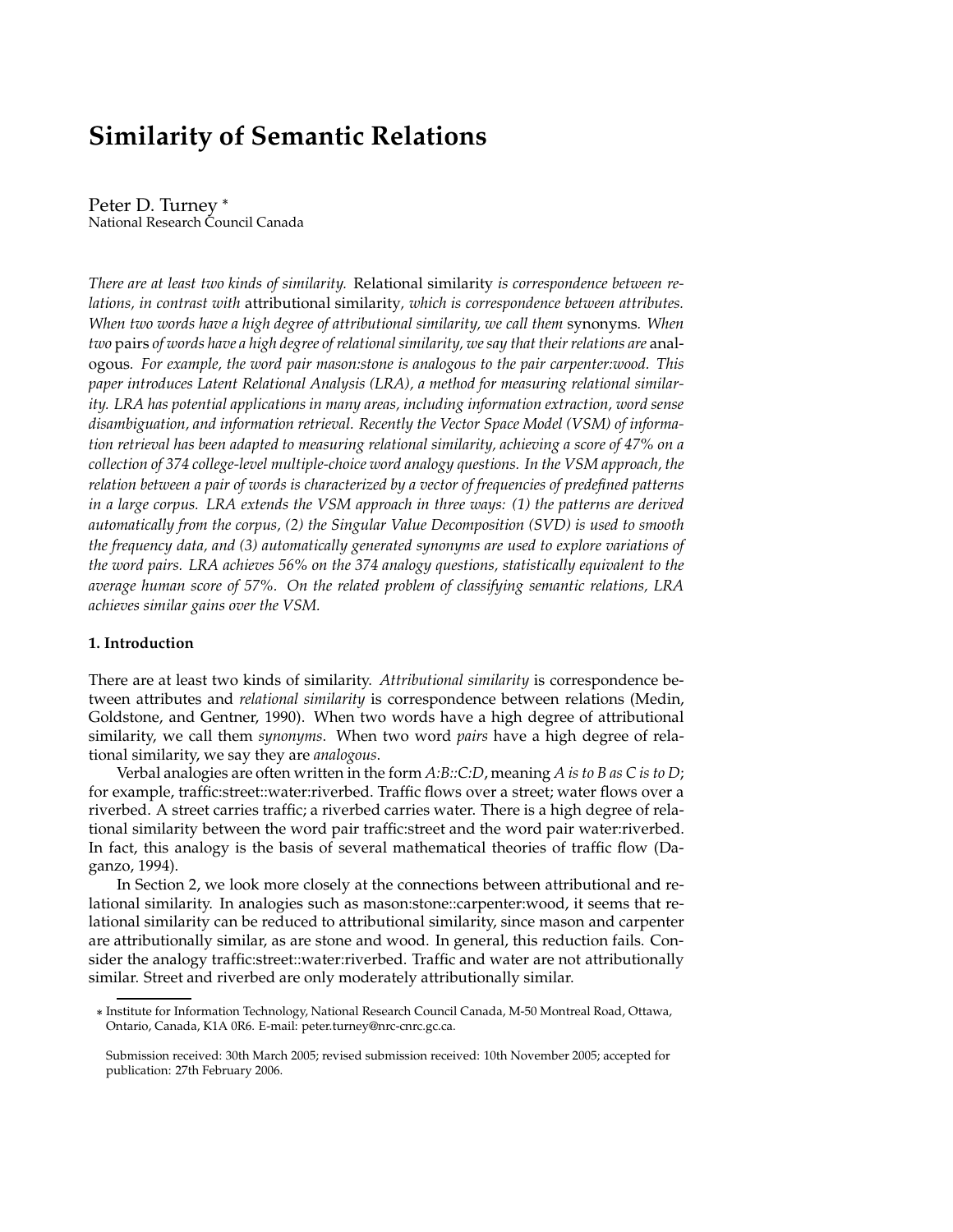# Similarity of Semantic Relations

# Peter D. Turney

National Research Council Canada

There are at least two kinds of similarity. Relational similarity is correspondence between relations, in contrast with attributional similarity, which is correspondence between attributes. When two words have a high degree of attributional similarity, we call them synonyms. When two pairs of words have a high degree of relational similarity, we say that their relations are analogous. For example, the word pair mason:stone is analogous to the pair carpenter:wood. This paper introduces Latent Relational Analysis (LRA), a method for measuring relational similarity. LRA has potential applications in many areas, including information extraction, word sense disambiguation, and information retrieval. Recently the Vector Space Model (VSM) of information retrieval has been adapted to measuring relational similarity, achieving a score of 47% on a collection of 374 college-level multiple-choice word analogy questions. In the VSM approach, the relation between a pair of words is characterized by a vector of frequencies of predefined patterns in a large corpus. LRA extends the VSM approach in three ways: (1) the patterns are derived automatically from the corpus, (2) the Singular Value Decomposition (SVD) is used to smooth the frequency data, and (3) automatically generated synonyms are used to explore variations of the word pairs. LRA achieves 56% on the 374 analogy questions, statistically equivalent to the average human score of 57%. On the related problem of classifying semantic relations, LRA achieves similar gains over the VSM.

# 1. Introduction

There are at least two kinds of similarity. Attributional similarity is correspondence between attributes and *relational similarity* is correspondence between relations (Medin, Goldstone, and Gentner, 1990). When two words have a high degree of attributional similarity, we call them synonyms. When two word pairs have a high degree of relational similarity, we say they are analogous.

Verbal analogies are often written in the form  $A:B::C:D$ , meaning  $A$  is to  $B$  as  $C$  is to  $D$ ; for example, traffic:street::water:riverbed. Traffic flows over a street; water flows over a riverbed. A street carries traffic; a riverbed carries water. There is a high degree of relational similarity between the word pair traffic:street and the word pair water:riverbed. In fact, this analogy is the basis of several mathematical theories of traffic flow (Daganzo, 1994).

In Section 2, we look more closely at the connections between attributional and relational similarity. In analogies such as mason:stone::carpenter:wood, it seems that relational similarity can be reduced to attributional similarity, since mason and carpenter are attributionally similar, as are stone and wood. In general, this reduction fails. Consider the analogy traffic:street::water:riverbed. Traffic and water are not attributionally similar. Street and riverbed are only moderately attributionally similar.

Institute for Information Technology, National Research Council Canada, M-50 Montreal Road, Ottawa, Ontario, Canada, K1A 0R6. E-mail: peter.turney@nrc-cnrc.gc.ca.

Submission received: 30th March 2005; revised submission received: 10th November 2005; accepted for publication: 27th February 2006.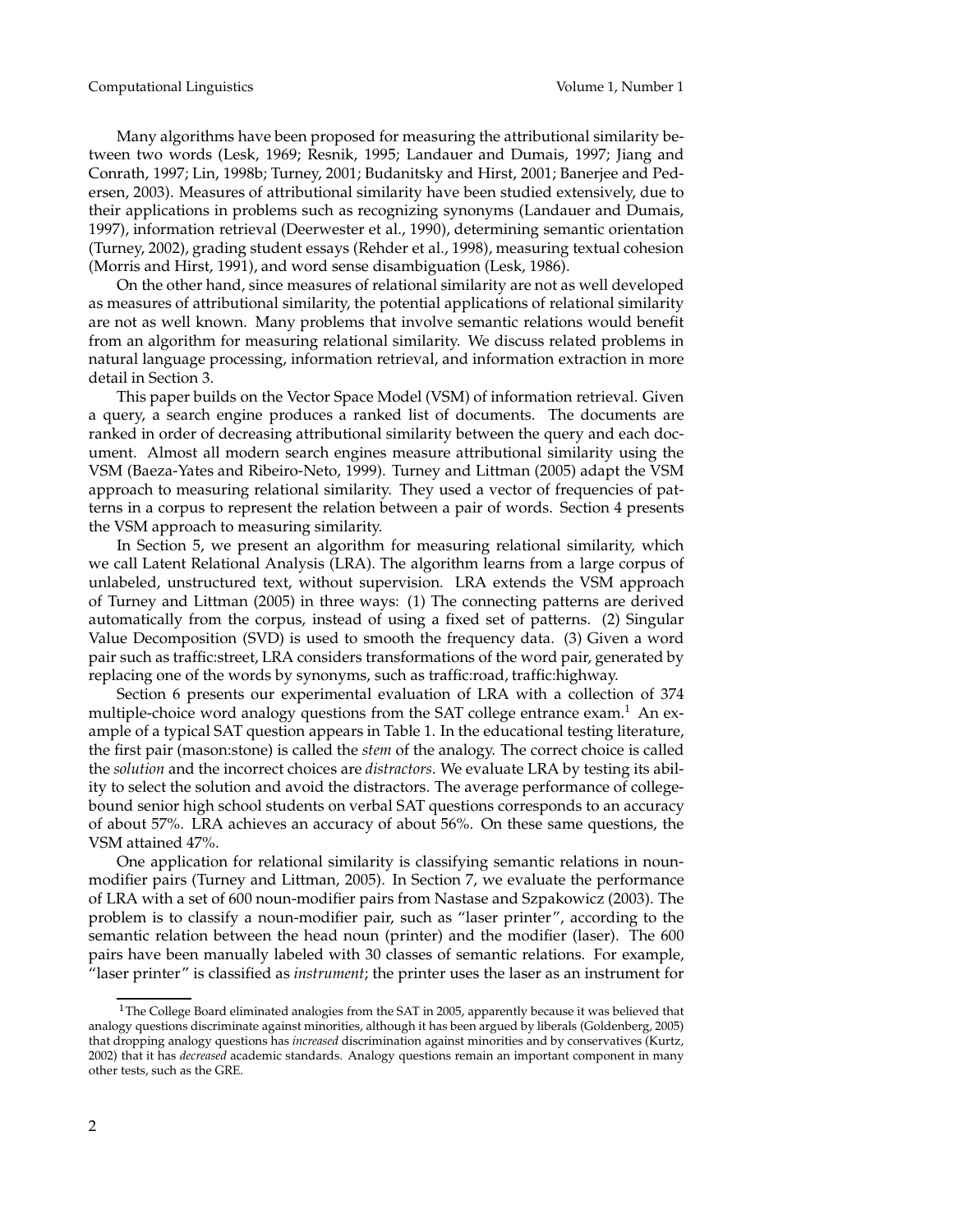#### Computational Linguistics Volume 1, Number 1

Many algorithms have been proposed for measuring the attributional similarity between two words (Lesk, 1969; Resnik, 1995; Landauer and Dumais, 1997; Jiang and Conrath, 1997; Lin, 1998b; Turney, 2001; Budanitsky and Hirst, 2001; Banerjee and Pedersen, 2003). Measures of attributional similarity have been studied extensively, due to their applications in problems such as recognizing synonyms (Landauer and Dumais, 1997), information retrieval (Deerwester et al., 1990), determining semantic orientation (Turney, 2002), grading student essays (Rehder et al., 1998), measuring textual cohesion (Morris and Hirst, 1991), and word sense disambiguation (Lesk, 1986).

On the other hand, since measures of relational similarity are not as well developed as measures of attributional similarity, the potential applications of relational similarity are not as well known. Many problems that involve semantic relations would benefit from an algorithm for measuring relational similarity. We discuss related problems in natural language processing, information retrieval, and information extraction in more detail in Section 3.

This paper builds on the Vector Space Model (VSM) of information retrieval. Given a query, a search engine produces a ranked list of documents. The documents are ranked in order of decreasing attributional similarity between the query and each document. Almost all modern search engines measure attributional similarity using the VSM (Baeza-Yates and Ribeiro-Neto, 1999). Turney and Littman (2005) adapt the VSM approach to measuring relational similarity. They used a vector of frequencies of patterns in a corpus to represent the relation between a pair of words. Section 4 presents the VSM approach to measuring similarity.

In Section 5, we present an algorithm for measuring relational similarity, which we call Latent Relational Analysis (LRA). The algorithm learns from a large corpus of unlabeled, unstructured text, without supervision. LRA extends the VSM approach of Turney and Littman (2005) in three ways: (1) The connecting patterns are derived automatically from the corpus, instead of using a fixed set of patterns. (2) Singular Value Decomposition (SVD) is used to smooth the frequency data. (3) Given a word pair such as traffic:street, LRA considers transformations of the word pair, generated by replacing one of the words by synonyms, such as traffic:road, traffic:highway.

Section 6 presents our experimental evaluation of LRA with a collection of 374 multiple-choice word analogy questions from the SAT college entrance  $exam<sup>1</sup>$  An example of a typical SAT question appears in Table 1. In the educational testing literature, the first pair (mason: stone) is called the *stem* of the analogy. The correct choice is called the solution and the incorrect choices are distractors. We evaluate LRA by testing its ability to select the solution and avoid the distractors. The average performance of collegebound senior high school students on verbal SAT questions corresponds to an accuracy of about 57%. LRA achieves an accuracy of about 56%. On these same questions, the VSM attained 47%.

One application for relational similarity is classifying semantic relations in nounmodifier pairs (Turney and Littman, 2005). In Section 7, we evaluate the performance of LRA with a set of 600 noun-modifier pairs from Nastase and Szpakowicz (2003). The problem is to classify a noun-modifier pair, such as "laser printer", according to the semantic relation between the head noun (printer) and the modifier (laser). The 600 pairs have been manually labeled with 30 classes of semantic relations. For example, "laser printer" is classified as *instrument*; the printer uses the laser as an instrument for

 $1$ The College Board eliminated analogies from the SAT in 2005, apparently because it was believed that analogy questions discriminate against minorities, although it has been argued by liberals (Goldenberg, 2005) that dropping analogy questions has increased discrimination against minorities and by conservatives (Kurtz, 2002) that it has *decreased* academic standards. Analogy questions remain an important component in many other tests, such as the GRE.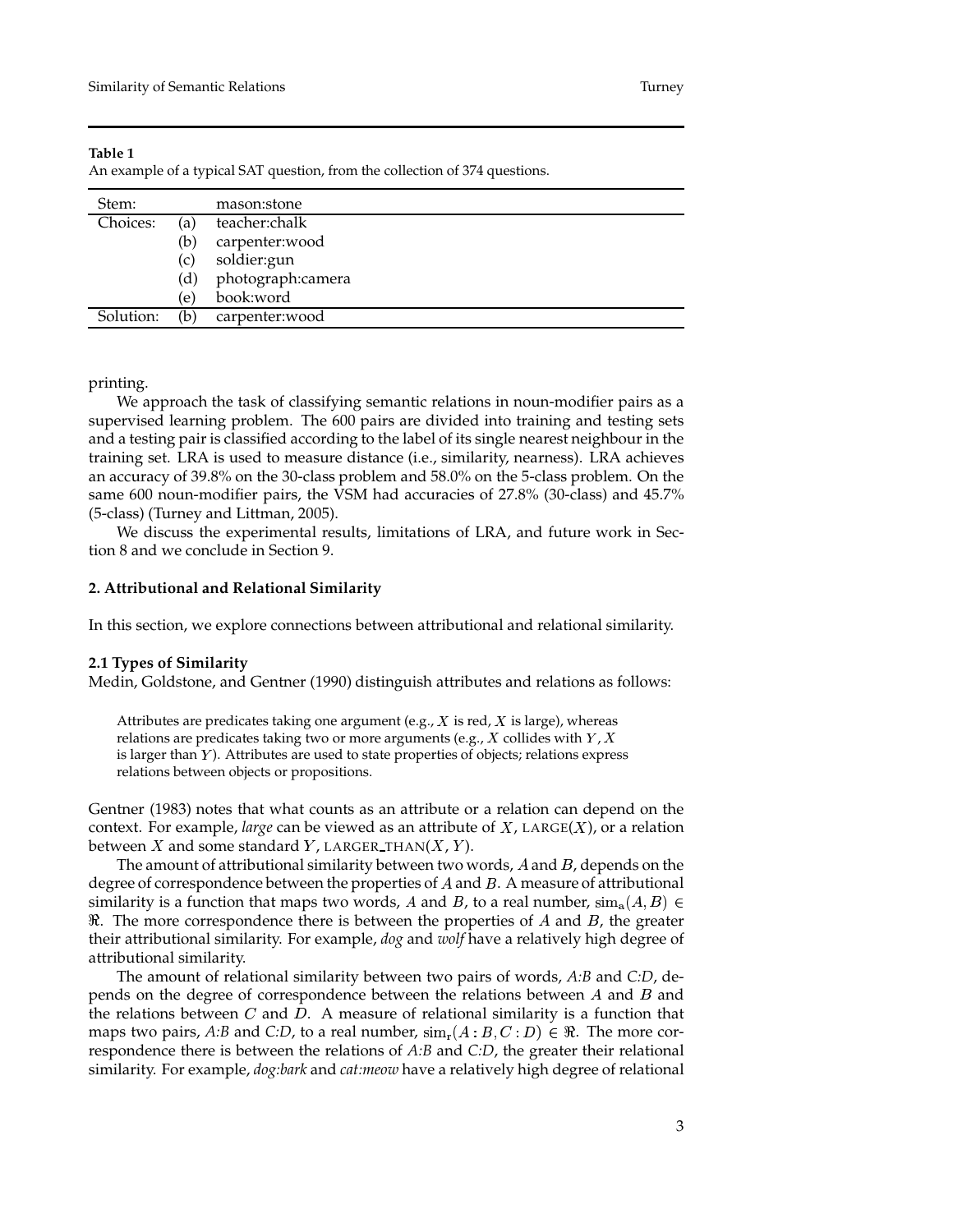An example of a typical SAT question, from the collection of 374 questions.

| Stem:     |     | mason:stone       |
|-----------|-----|-------------------|
| Choices:  | (a) | teacher:chalk     |
|           | (b) | carpenter:wood    |
|           | (c) | soldier:gun       |
|           | (d) | photograph:camera |
|           | (e) | book:word         |
| Solution: | b)  | carpenter:wood    |

printing.

We approach the task of classifying semantic relations in noun-modifier pairs as a supervised learning problem. The 600 pairs are divided into training and testing sets and a testing pair is classified according to the label of its single nearest neighbour in the training set. LRA is used to measure distance (i.e., similarity, nearness). LRA achieves an accuracy of 39.8% on the 30-class problem and 58.0% on the 5-class problem. On the same 600 noun-modifier pairs, the VSM had accuracies of 27.8% (30-class) and 45.7% (5-class) (Turney and Littman, 2005).

We discuss the experimental results, limitations of LRA, and future work in Section 8 and we conclude in Section 9.

# 2. Attributional and Relational Similarity

In this section, we explore connections between attributional and relational similarity.

#### 2.1 Types of Similarity

Medin, Goldstone, and Gentner (1990) distinguish attributes and relations as follows:

Attributes are predicates taking one argument (e.g.,  $X$  is red,  $X$  is large), whereas relations are predicates taking two or more arguments (e.g.,  $X$  collides with  $Y$  ,  $X$ is larger than  $Y$ ). Attributes are used to state properties of objects; relations express relations between objects or propositions.

Gentner (1983) notes that what counts as an attribute or a relation can depend on the context. For example, large can be viewed as an attribute of X, LARGE(X), or a relation between  $X$  and some standard  $Y$ , LARGER\_THAN( $X$ ,  $Y$ ).

The amount of attributional similarity between two words,  $A$  and  $B$ , depends on the degree of correspondence between the properties of  $A$  and  $B$ . A measure of attributional similarity is a function that maps two words,  $A$  and  $B$ , to a real number,  $\text{sim}_{\text{a}}(A,B)\in$  $\Re$ . The more correspondence there is between the properties of A and B, the greater their attributional similarity. For example, dog and wolf have a relatively high degree of attributional similarity.

The amount of relational similarity between two pairs of words, A:B and C:D, depends on the degree of correspondence between the relations between  $A$  and  $B$  and the relations between  $C$  and  $D$ . A measure of relational similarity is a function that maps two pairs, A:B and C:D, to a real number,  $\text{sim}_{r}(A:B,C:D) \in \Re$ . The more correspondence there is between the relations of  $A:B$  and  $C:D$ , the greater their relational similarity. For example, *dog:bark* and *cat:meow* have a relatively high degree of relational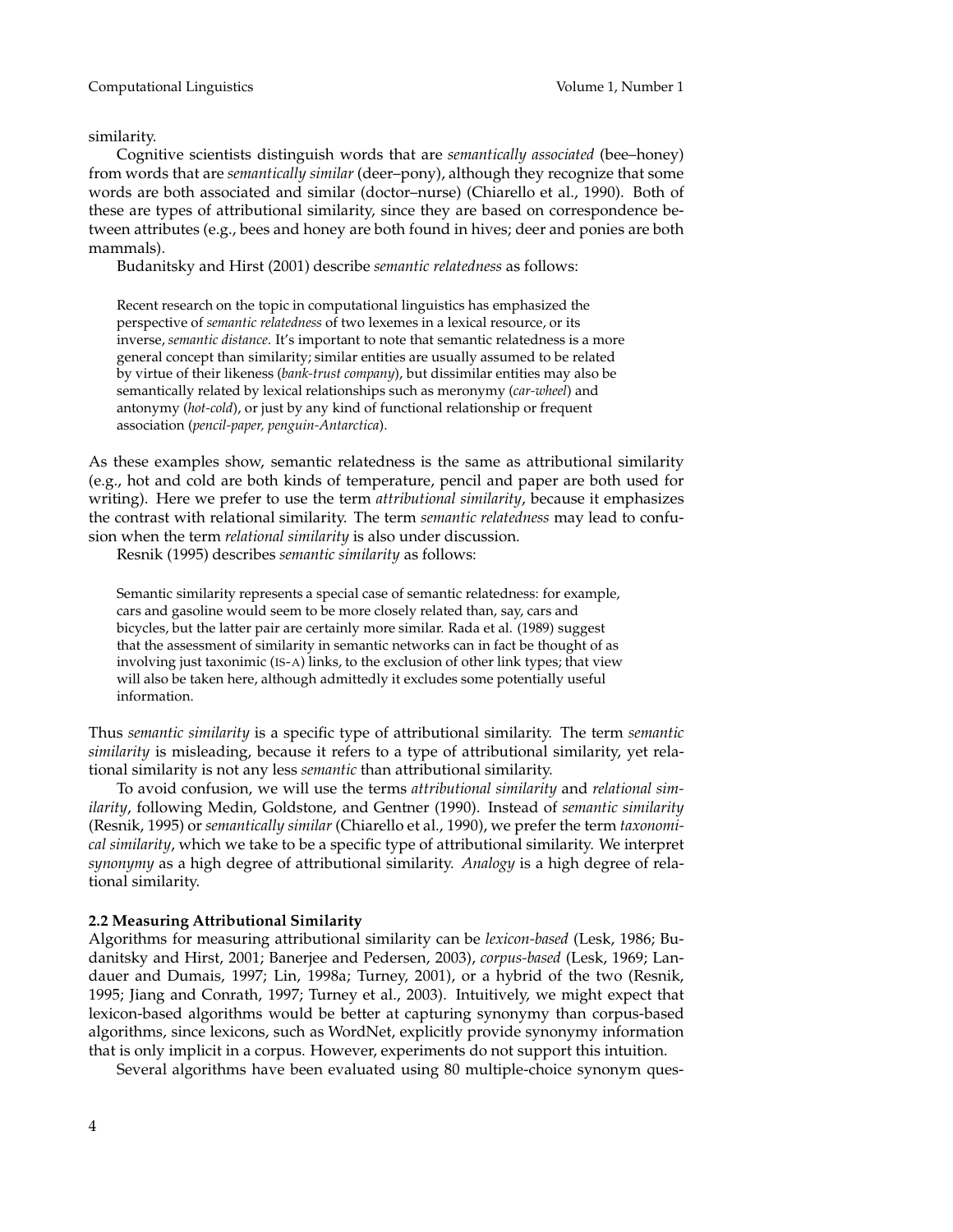# Computational Linguistics Volume 1, Number 1

similarity.

Cognitive scientists distinguish words that are semantically associated (bee–honey) from words that are semantically similar (deer–pony), although they recognize that some words are both associated and similar (doctor–nurse) (Chiarello et al., 1990). Both of these are types of attributional similarity, since they are based on correspondence between attributes (e.g., bees and honey are both found in hives; deer and ponies are both mammals).

Budanitsky and Hirst (2001) describe semantic relatedness as follows:

Recent research on the topic in computational linguistics has emphasized the perspective of semantic relatedness of two lexemes in a lexical resource, or its inverse, semantic distance. It's important to note that semantic relatedness is a more general concept than similarity; similar entities are usually assumed to be related by virtue of their likeness (bank-trust company), but dissimilar entities may also be semantically related by lexical relationships such as meronymy (car-wheel) and antonymy (hot-cold), or just by any kind of functional relationship or frequent association (pencil-paper, penguin-Antarctica).

As these examples show, semantic relatedness is the same as attributional similarity (e.g., hot and cold are both kinds of temperature, pencil and paper are both used for writing). Here we prefer to use the term *attributional similarity*, because it emphasizes the contrast with relational similarity. The term semantic relatedness may lead to confusion when the term relational similarity is also under discussion.

Resnik (1995) describes semantic similarity as follows:

Semantic similarity represents a special case of semantic relatedness: for example, cars and gasoline would seem to be more closely related than, say, cars and bicycles, but the latter pair are certainly more similar. Rada et al. (1989) suggest that the assessment of similarity in semantic networks can in fact be thought of as involving just taxonimic (IS-A) links, to the exclusion of other link types; that view will also be taken here, although admittedly it excludes some potentially useful information.

Thus semantic similarity is a specific type of attributional similarity. The term semantic similarity is misleading, because it refers to a type of attributional similarity, yet relational similarity is not any less semantic than attributional similarity.

To avoid confusion, we will use the terms attributional similarity and relational similarity, following Medin, Goldstone, and Gentner (1990). Instead of semantic similarity (Resnik, 1995) or *semantically similar* (Chiarello et al., 1990), we prefer the term taxonomical similarity, which we take to be a specific type of attributional similarity. We interpret synonymy as a high degree of attributional similarity. Analogy is a high degree of relational similarity.

## 2.2 Measuring Attributional Similarity

Algorithms for measuring attributional similarity can be lexicon-based (Lesk, 1986; Budanitsky and Hirst, 2001; Banerjee and Pedersen, 2003), corpus-based (Lesk, 1969; Landauer and Dumais, 1997; Lin, 1998a; Turney, 2001), or a hybrid of the two (Resnik, 1995; Jiang and Conrath, 1997; Turney et al., 2003). Intuitively, we might expect that lexicon-based algorithms would be better at capturing synonymy than corpus-based algorithms, since lexicons, such as WordNet, explicitly provide synonymy information that is only implicit in a corpus. However, experiments do not support this intuition.

Several algorithms have been evaluated using 80 multiple-choice synonym ques-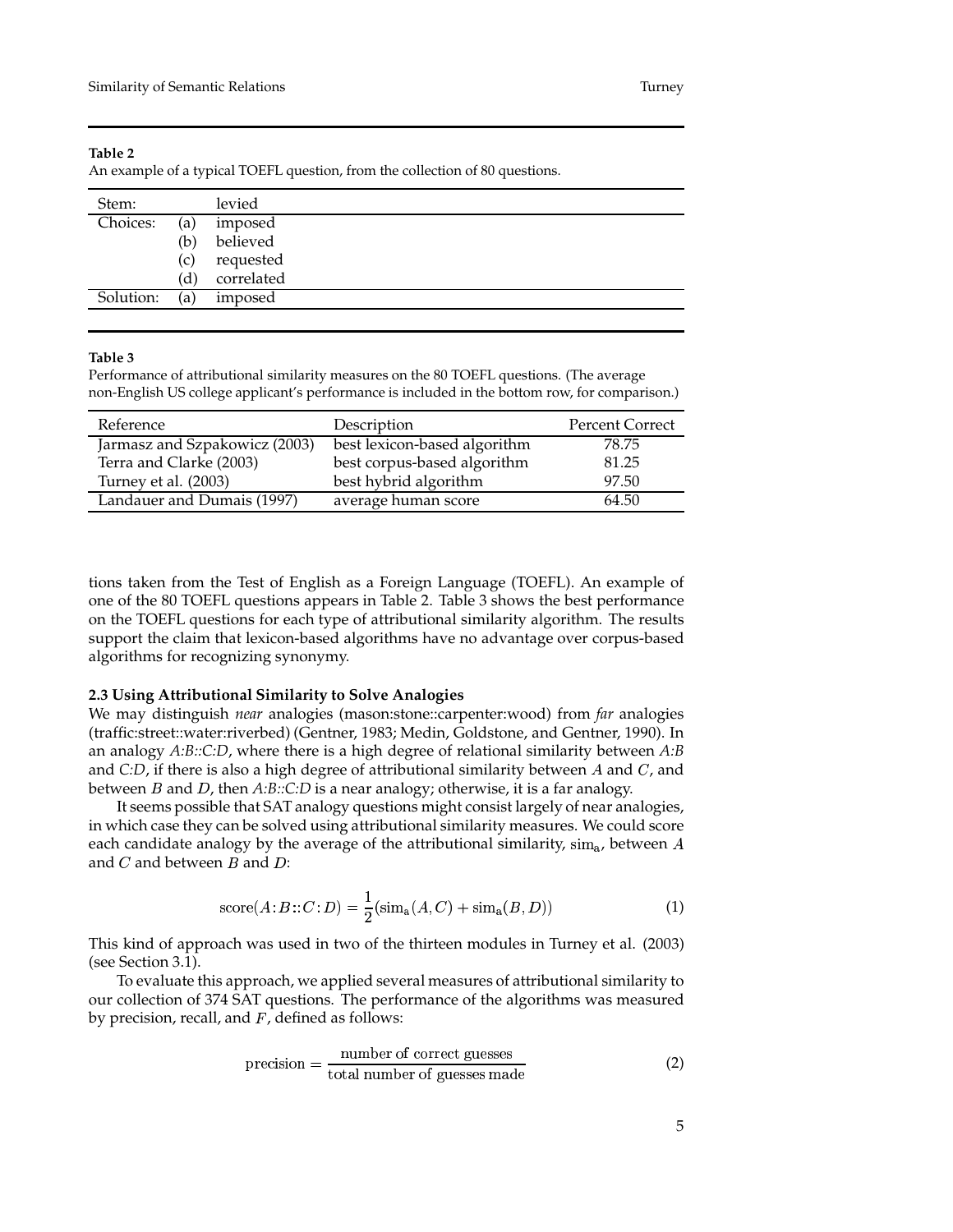An example of a typical TOEFL question, from the collection of 80 questions.

| Stem:     |     | levied     |
|-----------|-----|------------|
| Choices:  | (a) | imposed    |
|           | (b) | believed   |
|           | (c) | requested  |
|           | (d) | correlated |
| Solution: | (a) | imposed    |
|           |     |            |

#### Table 3

Performance of attributional similarity measures on the 80 TOEFL questions. (The average non-English US college applicant's performance is included in the bottom row, for comparison.)

| Reference                     | Description                  | <b>Percent Correct</b> |
|-------------------------------|------------------------------|------------------------|
| Jarmasz and Szpakowicz (2003) | best lexicon-based algorithm | 78.75                  |
| Terra and Clarke (2003)       | best corpus-based algorithm  | 81.25                  |
| Turney et al. (2003)          | best hybrid algorithm        | 97.50                  |
| Landauer and Dumais (1997)    | average human score          | 64.50                  |

tions taken from the Test of English as a Foreign Language (TOEFL). An example of one of the 80 TOEFL questions appears in Table 2. Table 3 shows the best performance on the TOEFL questions for each type of attributional similarity algorithm. The results support the claim that lexicon-based algorithms have no advantage over corpus-based algorithms for recognizing synonymy.

# 2.3 Using Attributional Similarity to Solve Analogies

We may distinguish *near* analogies (mason:stone::carpenter:wood) from *far* analogies (traffic:street::water:riverbed) (Gentner, 1983; Medin, Goldstone, and Gentner, 1990). In an analogy  $A:B::C:D$ , where there is a high degree of relational similarity between  $A:B$ and  $C:D$ , if there is also a high degree of attributional similarity between  $A$  and  $C$ , and between *B* and *D*, then  $A:B::C:D$  is a near analogy; otherwise, it is a far analogy.

It seems possible that SAT analogy questions might consist largely of near analogies, in which case they can be solved using attributional similarity measures. We could score each candidate analogy by the average of the attributional similarity,  $\sin_{a}$ , between A and  $C$  and between  $B$  and  $D$ :

$$
score(A:B::C:D) = \frac{1}{2}(\text{sim}_{a}(A,C) + \text{sim}_{a}(B,D))
$$
\n(1)

This kind of approach was used in two of the thirteen modules in Turney et al. (2003) (see Section 3.1).

To evaluate this approach, we applied several measures of attributional similarity to our collection of 374 SAT questions. The performance of the algorithms was measured by precision, recall, and  $F$ , defined as follows:

$$
precision = \frac{number\ of\ correct\ guesses}{total\ number\ of\ guesses\ made} \tag{2}
$$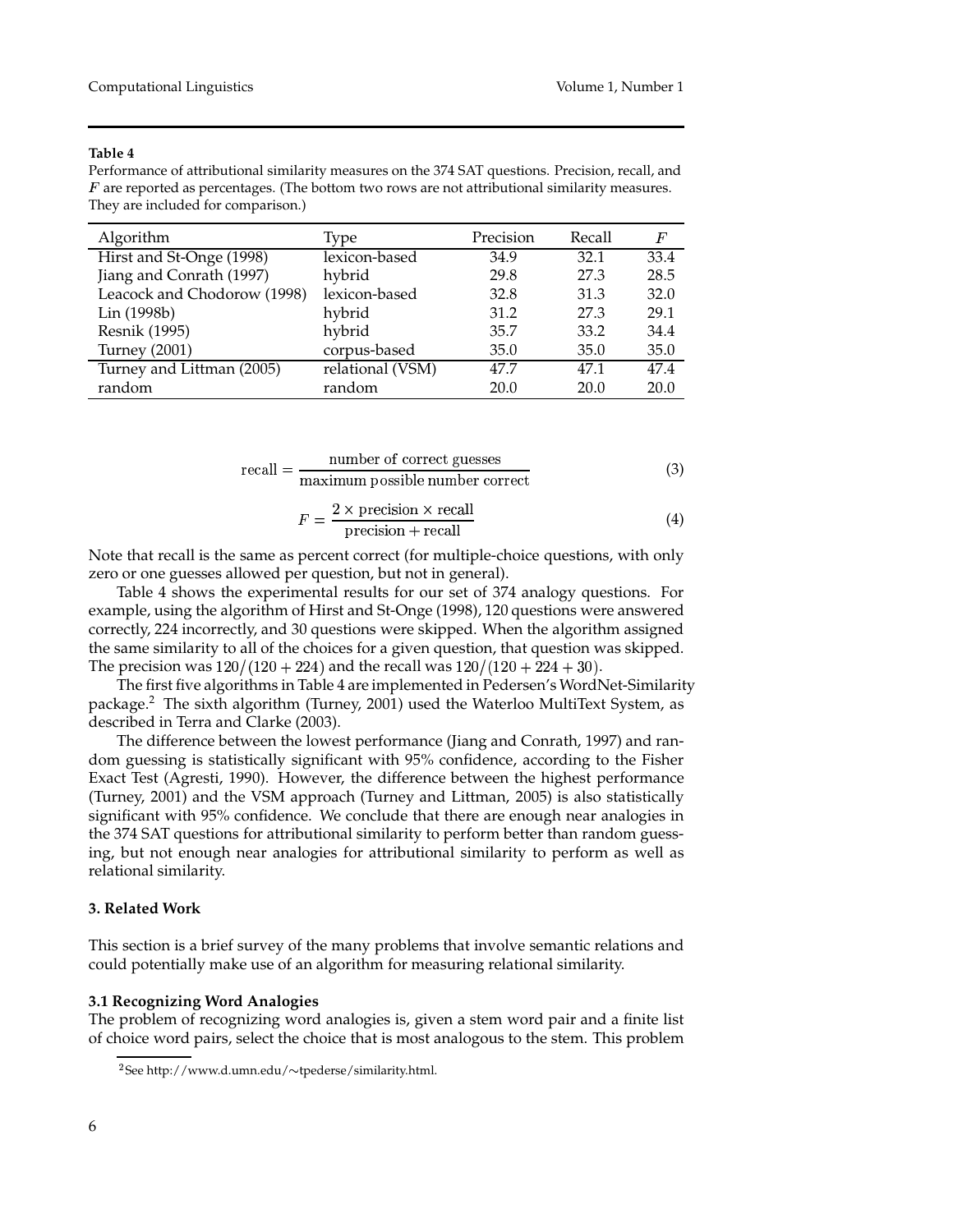Performance of attributional similarity measures on the 374 SAT questions. Precision, recall, and  $F$  are reported as percentages. (The bottom two rows are not attributional similarity measures. They are included for comparison.)

| Algorithm                   | Type             | Precision | Recall | $\bm{F}$ |
|-----------------------------|------------------|-----------|--------|----------|
| Hirst and St-Onge (1998)    | lexicon-based    | 34.9      | 32.1   | 33.4     |
| Jiang and Conrath (1997)    | hybrid           | 29.8      | 27.3   | 28.5     |
| Leacock and Chodorow (1998) | lexicon-based    | 32.8      | 31.3   | 32.0     |
| Lin (1998b)                 | hybrid           | 31.2      | 27.3   | 29.1     |
| Resnik (1995)               | hybrid           | 35.7      | 33.2   | 34.4     |
| <b>Turney (2001)</b>        | corpus-based     | 35.0      | 35.0   | 35.0     |
| Turney and Littman (2005)   | relational (VSM) | 47.7      | 47.1   | 47.4     |
| random                      | random           | 20.0      | 20.0   | 20.0     |

$$
recall = \frac{number\ of\ correct\ guesses}{maximum\ possible\ number\ correct}
$$
\n(3)

$$
F = \frac{2 \times \text{precision} \times \text{recall}}{\text{precision} + \text{recall}}
$$
 (4)

Note that recall is the same as percent correct (for multiple-choice questions, with only zero or one guesses allowed per question, but not in general).

Table 4 shows the experimental results for our set of 374 analogy questions. For example, using the algorithm of Hirst and St-Onge (1998), 120 questions were answered correctly, 224 incorrectly, and 30 questions were skipped. When the algorithm assigned the same similarity to all of the choices for a given question, that question was skipped. The precision was  $120/(120+224)$  and the recall was  $120/(120+224+30)$ .

The first five algorithms in Table 4 are implemented in Pedersen's WordNet-Similarity package.<sup>2</sup> The sixth algorithm (Turney, 2001) used the Waterloo MultiText System, as described in Terra and Clarke (2003).

The difference between the lowest performance (Jiang and Conrath, 1997) and random guessing is statistically significant with 95% confidence, according to the Fisher Exact Test (Agresti, 1990). However, the difference between the highest performance (Turney, 2001) and the VSM approach (Turney and Littman, 2005) is also statistically significant with 95% confidence. We conclude that there are enough near analogies in the 374 SAT questions for attributional similarity to perform better than random guessing, but not enough near analogies for attributional similarity to perform as well as relational similarity.

# 3. Related Work

This section is a brief survey of the many problems that involve semantic relations and could potentially make use of an algorithm for measuring relational similarity.

# 3.1 Recognizing Word Analogies

The problem of recognizing word analogies is, given a stem word pair and a finite list of choice word pairs, select the choice that is most analogous to the stem. This problem

 $^2$ See http://www.d.umn.edu/ $\sim$ tpederse/similarity.html.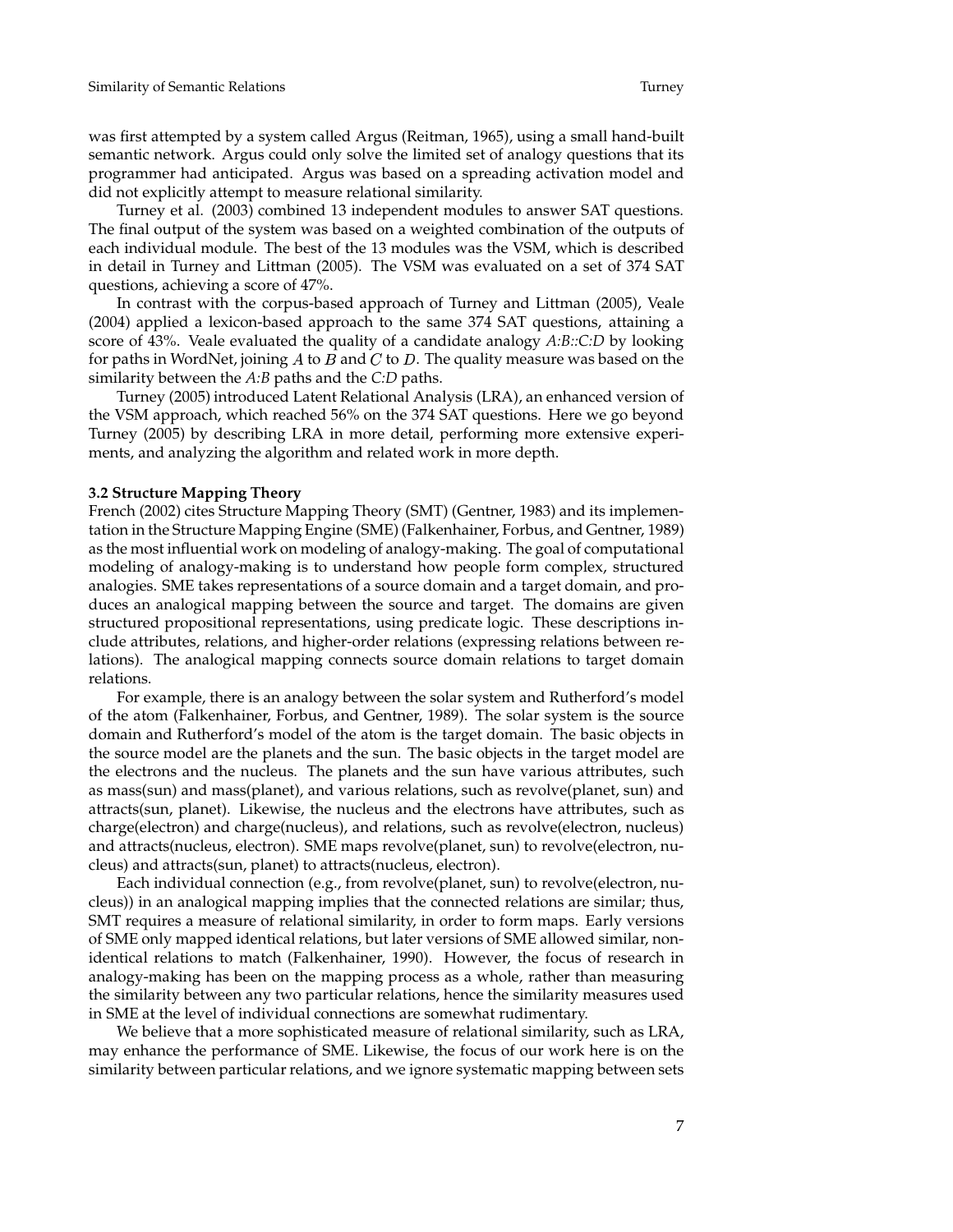was first attempted by a system called Argus (Reitman, 1965), using a small hand-built semantic network. Argus could only solve the limited set of analogy questions that its programmer had anticipated. Argus was based on a spreading activation model and did not explicitly attempt to measure relational similarity.

Turney et al. (2003) combined 13 independent modules to answer SAT questions. The final output of the system was based on a weighted combination of the outputs of each individual module. The best of the 13 modules was the VSM, which is described in detail in Turney and Littman (2005). The VSM was evaluated on a set of 374 SAT questions, achieving a score of 47%.

In contrast with the corpus-based approach of Turney and Littman (2005), Veale (2004) applied a lexicon-based approach to the same 374 SAT questions, attaining a score of 43%. Veale evaluated the quality of a candidate analogy A:B::C:D by looking for paths in WordNet, joining  $A$  to  $B$  and  $C$  to  $D$ . The quality measure was based on the similarity between the A:B paths and the C:D paths.

Turney (2005) introduced Latent Relational Analysis (LRA), an enhanced version of the VSM approach, which reached 56% on the 374 SAT questions. Here we go beyond Turney (2005) by describing LRA in more detail, performing more extensive experiments, and analyzing the algorithm and related work in more depth.

#### 3.2 Structure Mapping Theory

French (2002) cites Structure Mapping Theory (SMT) (Gentner, 1983) and its implementation in the Structure Mapping Engine (SME) (Falkenhainer, Forbus, and Gentner, 1989) as the most influential work on modeling of analogy-making. The goal of computational modeling of analogy-making is to understand how people form complex, structured analogies. SME takes representations of a source domain and a target domain, and produces an analogical mapping between the source and target. The domains are given structured propositional representations, using predicate logic. These descriptions include attributes, relations, and higher-order relations (expressing relations between relations). The analogical mapping connects source domain relations to target domain relations.

For example, there is an analogy between the solar system and Rutherford's model of the atom (Falkenhainer, Forbus, and Gentner, 1989). The solar system is the source domain and Rutherford's model of the atom is the target domain. The basic objects in the source model are the planets and the sun. The basic objects in the target model are the electrons and the nucleus. The planets and the sun have various attributes, such as mass(sun) and mass(planet), and various relations, such as revolve(planet, sun) and attracts(sun, planet). Likewise, the nucleus and the electrons have attributes, such as charge(electron) and charge(nucleus), and relations, such as revolve(electron, nucleus) and attracts(nucleus, electron). SME maps revolve(planet, sun) to revolve(electron, nucleus) and attracts(sun, planet) to attracts(nucleus, electron).

Each individual connection (e.g., from revolve(planet, sun) to revolve(electron, nucleus)) in an analogical mapping implies that the connected relations are similar; thus, SMT requires a measure of relational similarity, in order to form maps. Early versions of SME only mapped identical relations, but later versions of SME allowed similar, nonidentical relations to match (Falkenhainer, 1990). However, the focus of research in analogy-making has been on the mapping process as a whole, rather than measuring the similarity between any two particular relations, hence the similarity measures used in SME at the level of individual connections are somewhat rudimentary.

We believe that a more sophisticated measure of relational similarity, such as LRA, may enhance the performance of SME. Likewise, the focus of our work here is on the similarity between particular relations, and we ignore systematic mapping between sets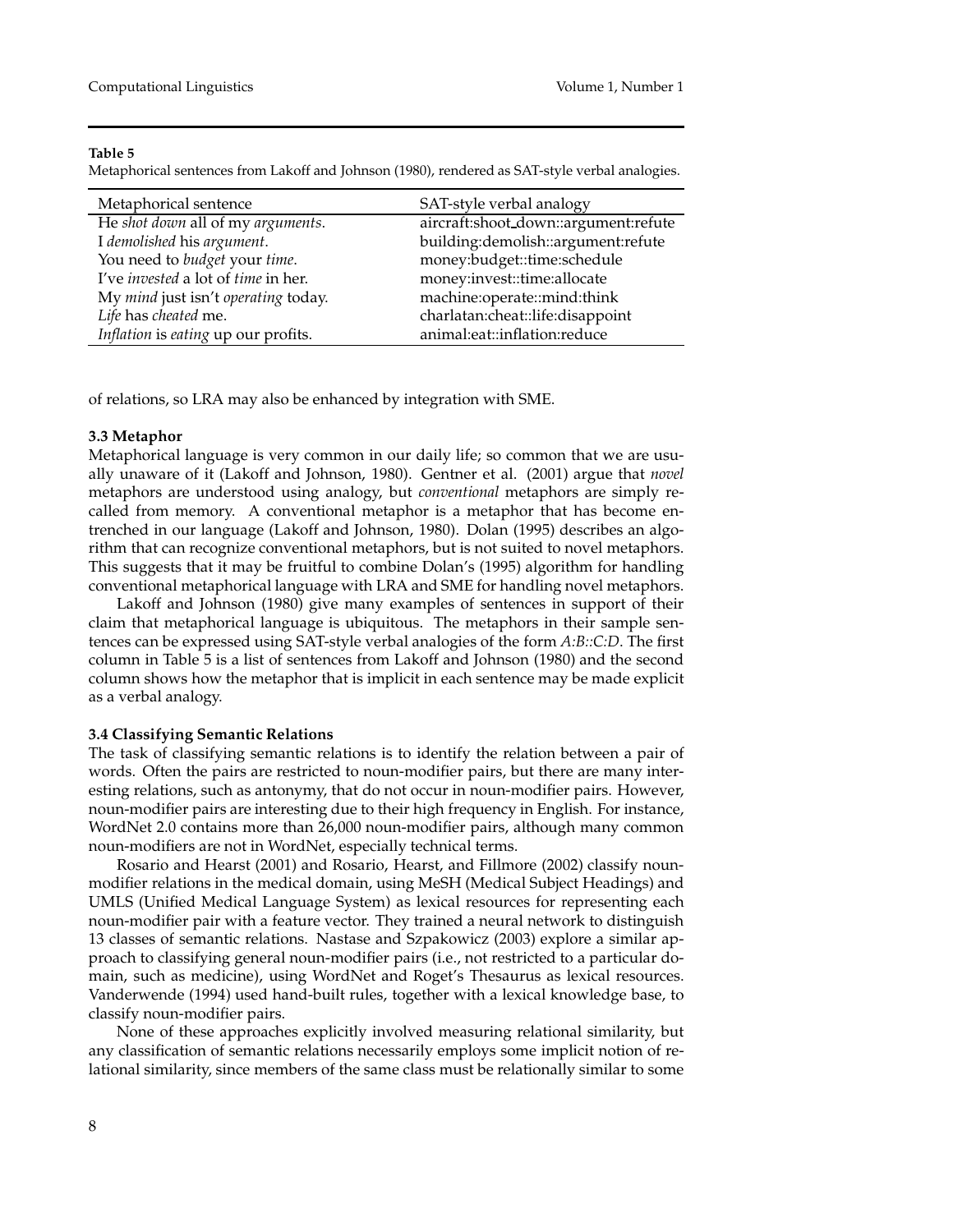Metaphorical sentences from Lakoff and Johnson (1980), rendered as SAT-style verbal analogies.

| Metaphorical sentence               | SAT-style verbal analogy             |
|-------------------------------------|--------------------------------------|
| He shot down all of my arguments.   | aircraft:shoot_down::argument:refute |
| I demolished his argument.          | building:demolish::argument:refute   |
| You need to budget your time.       | money:budget::time:schedule          |
| I've invested a lot of time in her. | money:invest::time:allocate          |
| My mind just isn't operating today. | machine:operate::mind:think          |
| Life has cheated me.                | charlatan:cheat::life:disappoint     |
| Inflation is eating up our profits. | animal:eat::inflation:reduce         |

of relations, so LRA may also be enhanced by integration with SME.

#### 3.3 Metaphor

Metaphorical language is very common in our daily life; so common that we are usually unaware of it (Lakoff and Johnson, 1980). Gentner et al. (2001) argue that novel metaphors are understood using analogy, but *conventional* metaphors are simply recalled from memory. A conventional metaphor is a metaphor that has become entrenched in our language (Lakoff and Johnson, 1980). Dolan (1995) describes an algorithm that can recognize conventional metaphors, but is not suited to novel metaphors. This suggests that it may be fruitful to combine Dolan's (1995) algorithm for handling conventional metaphorical language with LRA and SME for handling novel metaphors.

Lakoff and Johnson (1980) give many examples of sentences in support of their claim that metaphorical language is ubiquitous. The metaphors in their sample sentences can be expressed using SAT-style verbal analogies of the form A:B::C:D. The first column in Table 5 is a list of sentences from Lakoff and Johnson (1980) and the second column shows how the metaphor that is implicit in each sentence may be made explicit as a verbal analogy.

# 3.4 Classifying Semantic Relations

The task of classifying semantic relations is to identify the relation between a pair of words. Often the pairs are restricted to noun-modifier pairs, but there are many interesting relations, such as antonymy, that do not occur in noun-modifier pairs. However, noun-modifier pairs are interesting due to their high frequency in English. For instance, WordNet 2.0 contains more than 26,000 noun-modifier pairs, although many common noun-modifiers are not in WordNet, especially technical terms.

Rosario and Hearst (2001) and Rosario, Hearst, and Fillmore (2002) classify nounmodifier relations in the medical domain, using MeSH (Medical Subject Headings) and UMLS (Unified Medical Language System) as lexical resources for representing each noun-modifier pair with a feature vector. They trained a neural network to distinguish 13 classes of semantic relations. Nastase and Szpakowicz (2003) explore a similar approach to classifying general noun-modifier pairs (i.e., not restricted to a particular domain, such as medicine), using WordNet and Roget's Thesaurus as lexical resources. Vanderwende (1994) used hand-built rules, together with a lexical knowledge base, to classify noun-modifier pairs.

None of these approaches explicitly involved measuring relational similarity, but any classification of semantic relations necessarily employs some implicit notion of relational similarity, since members of the same class must be relationally similar to some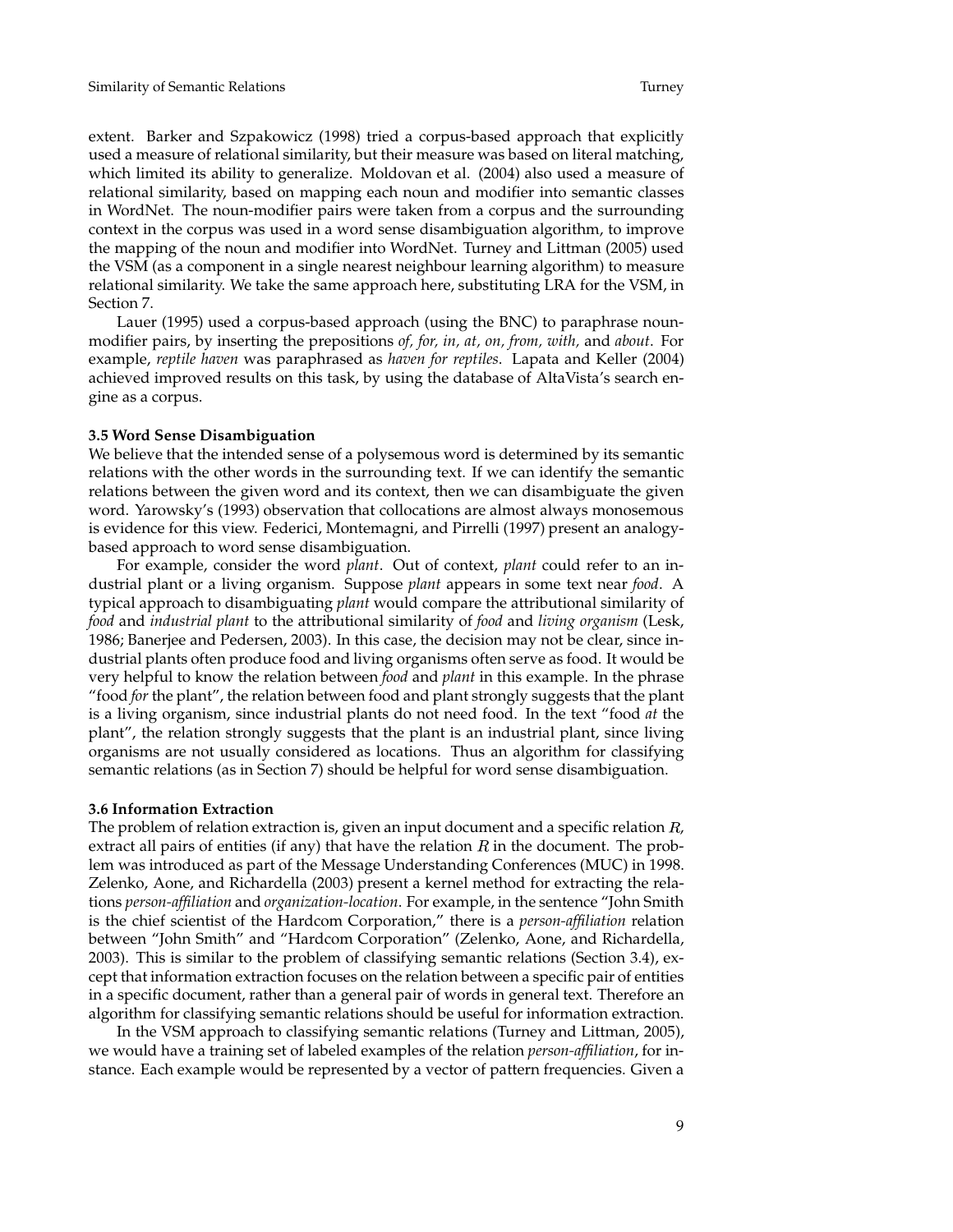extent. Barker and Szpakowicz (1998) tried a corpus-based approach that explicitly used a measure of relational similarity, but their measure was based on literal matching, which limited its ability to generalize. Moldovan et al. (2004) also used a measure of relational similarity, based on mapping each noun and modifier into semantic classes in WordNet. The noun-modifier pairs were taken from a corpus and the surrounding context in the corpus was used in a word sense disambiguation algorithm, to improve the mapping of the noun and modifier into WordNet. Turney and Littman (2005) used the VSM (as a component in a single nearest neighbour learning algorithm) to measure relational similarity. We take the same approach here, substituting LRA for the VSM, in Section 7.

Lauer (1995) used a corpus-based approach (using the BNC) to paraphrase nounmodifier pairs, by inserting the prepositions of, for, in, at, on, from, with, and about. For example, reptile haven was paraphrased as haven for reptiles. Lapata and Keller (2004) achieved improved results on this task, by using the database of AltaVista's search engine as a corpus.

# 3.5 Word Sense Disambiguation

We believe that the intended sense of a polysemous word is determined by its semantic relations with the other words in the surrounding text. If we can identify the semantic relations between the given word and its context, then we can disambiguate the given word. Yarowsky's (1993) observation that collocations are almost always monosemous is evidence for this view. Federici, Montemagni, and Pirrelli (1997) present an analogybased approach to word sense disambiguation.

For example, consider the word *plant*. Out of context, *plant* could refer to an industrial plant or a living organism. Suppose *plant* appears in some text near *food*. A typical approach to disambiguating *plant* would compare the attributional similarity of food and industrial plant to the attributional similarity of food and living organism (Lesk, 1986; Banerjee and Pedersen, 2003). In this case, the decision may not be clear, since industrial plants often produce food and living organisms often serve as food. It would be very helpful to know the relation between *food* and *plant* in this example. In the phrase "food for the plant", the relation between food and plant strongly suggests that the plant is a living organism, since industrial plants do not need food. In the text "food at the plant", the relation strongly suggests that the plant is an industrial plant, since living organisms are not usually considered as locations. Thus an algorithm for classifying semantic relations (as in Section 7) should be helpful for word sense disambiguation.

#### 3.6 Information Extraction

The problem of relation extraction is, given an input document and a specific relation  $R$ , extract all pairs of entities (if any) that have the relation  $R$  in the document. The problem was introduced as part of the Message Understanding Conferences (MUC) in 1998. Zelenko, Aone, and Richardella (2003) present a kernel method for extracting the relations person-affiliation and organization-location. For example, in the sentence "John Smith is the chief scientist of the Hardcom Corporation," there is a *person-affiliation* relation between "John Smith" and "Hardcom Corporation" (Zelenko, Aone, and Richardella, 2003). This is similar to the problem of classifying semantic relations (Section 3.4), except that information extraction focuses on the relation between a specific pair of entities in a specific document, rather than a general pair of words in general text. Therefore an algorithm for classifying semantic relations should be useful for information extraction.

In the VSM approach to classifying semantic relations (Turney and Littman, 2005), we would have a training set of labeled examples of the relation *person-affiliation*, for instance. Each example would be represented by a vector of pattern frequencies. Given a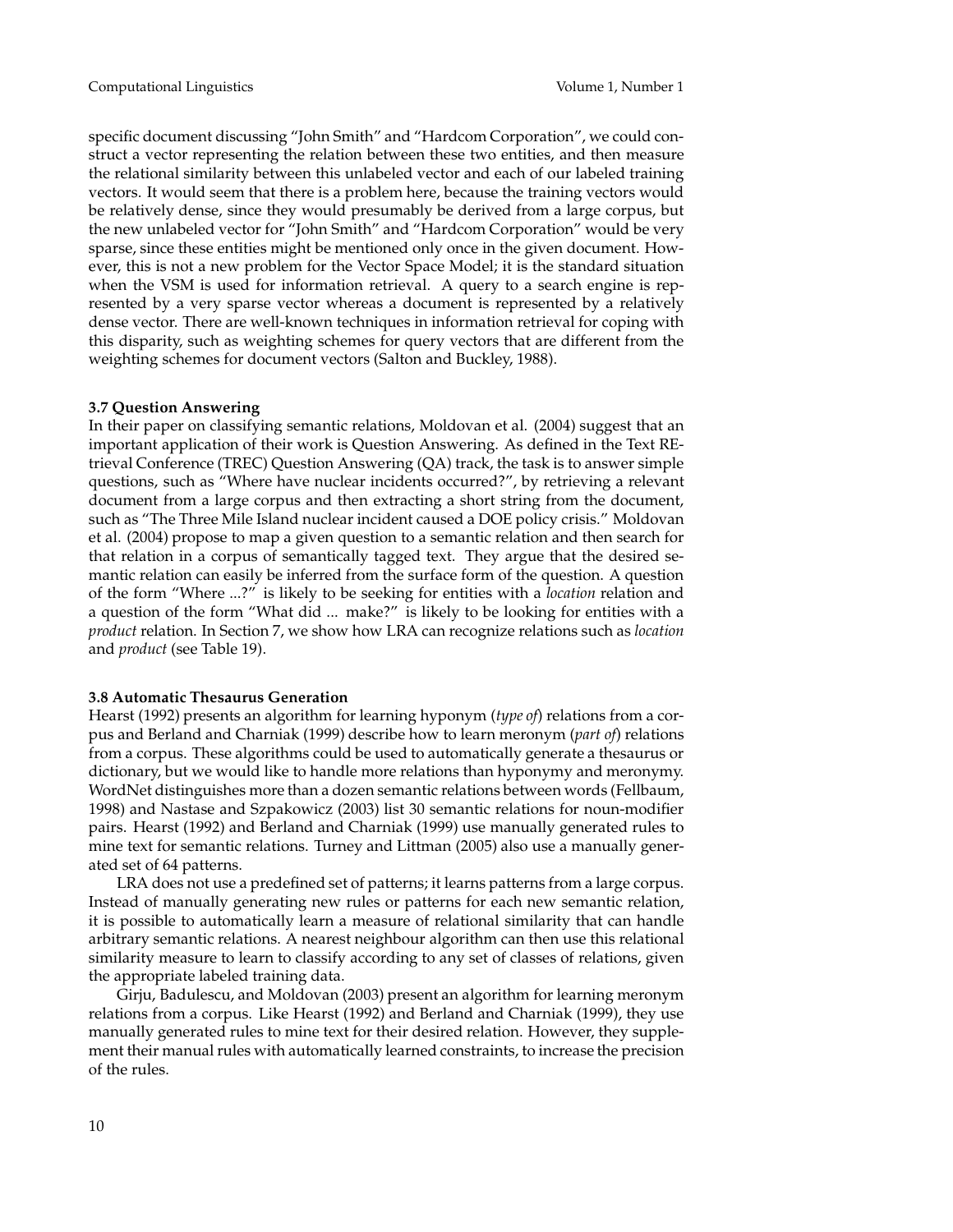specific document discussing "John Smith" and "Hardcom Corporation", we could construct a vector representing the relation between these two entities, and then measure the relational similarity between this unlabeled vector and each of our labeled training vectors. It would seem that there is a problem here, because the training vectors would be relatively dense, since they would presumably be derived from a large corpus, but the new unlabeled vector for "John Smith" and "Hardcom Corporation" would be very sparse, since these entities might be mentioned only once in the given document. However, this is not a new problem for the Vector Space Model; it is the standard situation when the VSM is used for information retrieval. A query to a search engine is represented by a very sparse vector whereas a document is represented by a relatively dense vector. There are well-known techniques in information retrieval for coping with this disparity, such as weighting schemes for query vectors that are different from the weighting schemes for document vectors (Salton and Buckley, 1988).

# 3.7 Question Answering

In their paper on classifying semantic relations, Moldovan et al. (2004) suggest that an important application of their work is Question Answering. As defined in the Text REtrieval Conference (TREC) Question Answering (QA) track, the task is to answer simple questions, such as "Where have nuclear incidents occurred?", by retrieving a relevant document from a large corpus and then extracting a short string from the document, such as "The Three Mile Island nuclear incident caused a DOE policy crisis." Moldovan et al. (2004) propose to map a given question to a semantic relation and then search for that relation in a corpus of semantically tagged text. They argue that the desired semantic relation can easily be inferred from the surface form of the question. A question of the form "Where ...?" is likely to be seeking for entities with a location relation and a question of the form "What did ... make?" is likely to be looking for entities with a product relation. In Section 7, we show how LRA can recognize relations such as location and *product* (see Table 19).

#### 3.8 Automatic Thesaurus Generation

Hearst (1992) presents an algorithm for learning hyponym (type of) relations from a corpus and Berland and Charniak (1999) describe how to learn meronym (part of) relations from a corpus. These algorithms could be used to automatically generate a thesaurus or dictionary, but we would like to handle more relations than hyponymy and meronymy. WordNet distinguishes more than a dozen semantic relations between words (Fellbaum, 1998) and Nastase and Szpakowicz (2003) list 30 semantic relations for noun-modifier pairs. Hearst (1992) and Berland and Charniak (1999) use manually generated rules to mine text for semantic relations. Turney and Littman (2005) also use a manually generated set of 64 patterns.

LRA does not use a predefined set of patterns; it learns patterns from a large corpus. Instead of manually generating new rules or patterns for each new semantic relation, it is possible to automatically learn a measure of relational similarity that can handle arbitrary semantic relations. A nearest neighbour algorithm can then use this relational similarity measure to learn to classify according to any set of classes of relations, given the appropriate labeled training data.

Girju, Badulescu, and Moldovan (2003) present an algorithm for learning meronym relations from a corpus. Like Hearst (1992) and Berland and Charniak (1999), they use manually generated rules to mine text for their desired relation. However, they supplement their manual rules with automatically learned constraints, to increase the precision of the rules.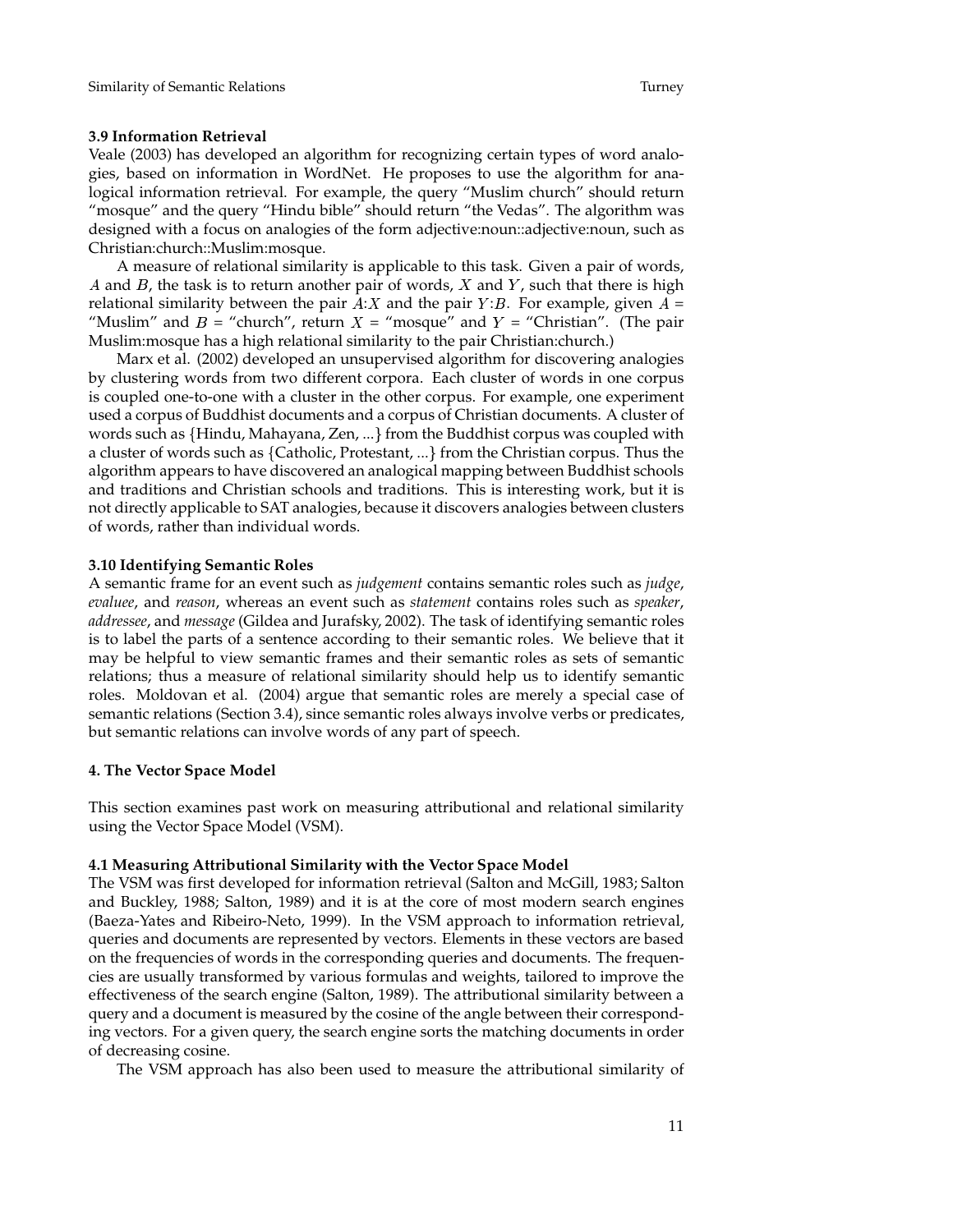# 3.9 Information Retrieval

Veale (2003) has developed an algorithm for recognizing certain types of word analogies, based on information in WordNet. He proposes to use the algorithm for analogical information retrieval. For example, the query "Muslim church" should return "mosque" and the query "Hindu bible" should return "the Vedas". The algorithm was designed with a focus on analogies of the form adjective:noun::adjective:noun, such as Christian:church::Muslim:mosque.

A measure of relational similarity is applicable to this task. Given a pair of words, A and B, the task is to return another pair of words, X and Y, such that there is high relational similarity between the pair  $A:X$  and the pair  $Y:B$ . For example, given  $A=$ "Muslim" and  $B$  = "church", return  $X$  = "mosque" and  $Y$  = "Christian". (The pair Muslim:mosque has a high relational similarity to the pair Christian:church.)

Marx et al. (2002) developed an unsupervised algorithm for discovering analogies by clustering words from two different corpora. Each cluster of words in one corpus is coupled one-to-one with a cluster in the other corpus. For example, one experiment used a corpus of Buddhist documents and a corpus of Christian documents. A cluster of words such as Hindu, Mahayana, Zen, ... from the Buddhist corpus was coupled with a cluster of words such as {Catholic, Protestant, ...} from the Christian corpus. Thus the algorithm appears to have discovered an analogical mapping between Buddhist schools and traditions and Christian schools and traditions. This is interesting work, but it is not directly applicable to SAT analogies, because it discovers analogies between clusters of words, rather than individual words.

#### 3.10 Identifying Semantic Roles

A semantic frame for an event such as *judgement* contains semantic roles such as *judge*, evaluee, and reason, whereas an event such as statement contains roles such as speaker, addressee, and message (Gildea and Jurafsky, 2002). The task of identifying semantic roles is to label the parts of a sentence according to their semantic roles. We believe that it may be helpful to view semantic frames and their semantic roles as sets of semantic relations; thus a measure of relational similarity should help us to identify semantic roles. Moldovan et al. (2004) argue that semantic roles are merely a special case of semantic relations (Section 3.4), since semantic roles always involve verbs or predicates, but semantic relations can involve words of any part of speech.

#### 4. The Vector Space Model

This section examines past work on measuring attributional and relational similarity using the Vector Space Model (VSM).

#### 4.1 Measuring Attributional Similarity with the Vector Space Model

The VSM was first developed for information retrieval (Salton and McGill, 1983; Salton and Buckley, 1988; Salton, 1989) and it is at the core of most modern search engines (Baeza-Yates and Ribeiro-Neto, 1999). In the VSM approach to information retrieval, queries and documents are represented by vectors. Elements in these vectors are based on the frequencies of words in the corresponding queries and documents. The frequencies are usually transformed by various formulas and weights, tailored to improve the effectiveness of the search engine (Salton, 1989). The attributional similarity between a query and a document is measured by the cosine of the angle between their corresponding vectors. For a given query, the search engine sorts the matching documents in order of decreasing cosine.

The VSM approach has also been used to measure the attributional similarity of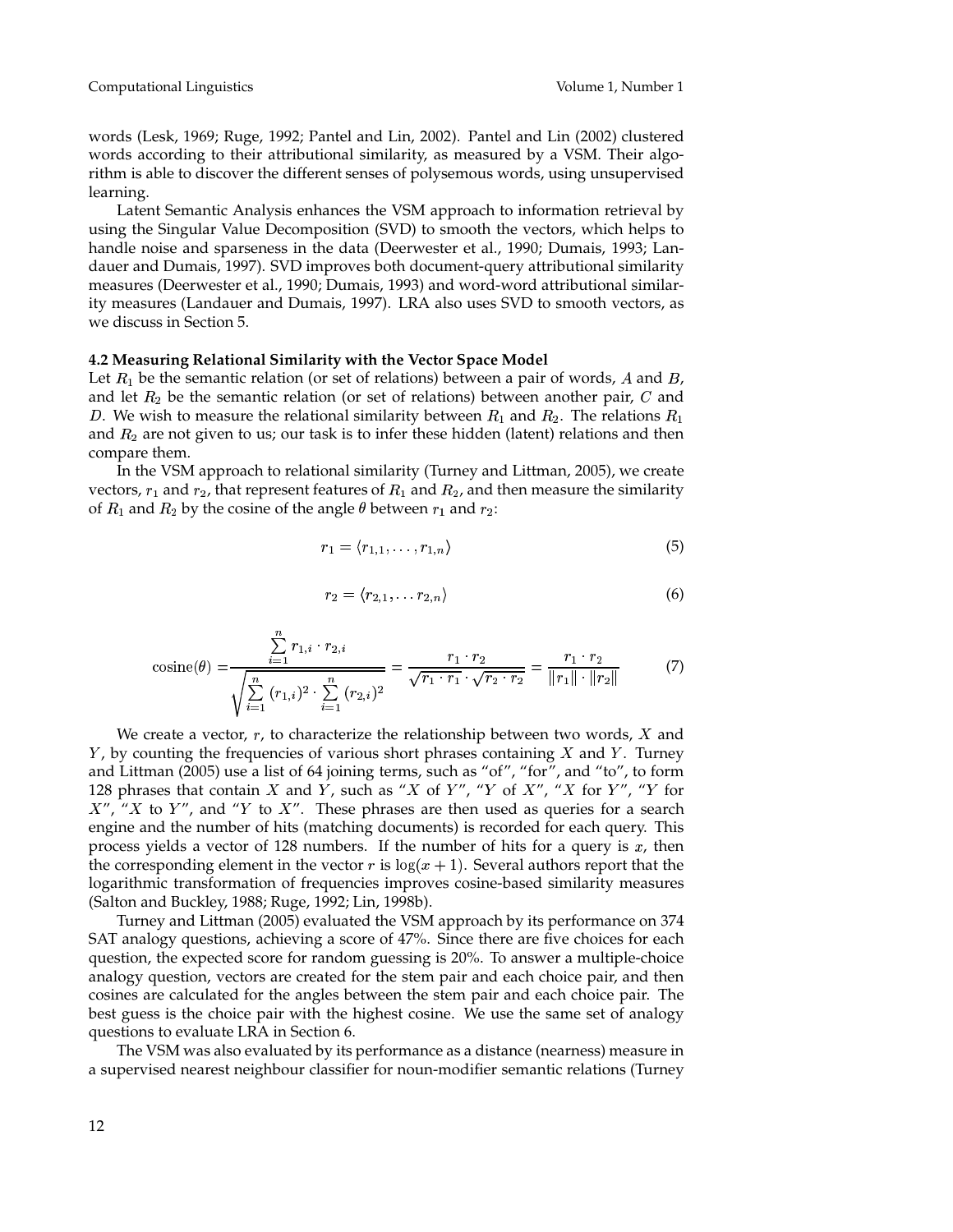# Computational Linguistics Volume 1, Number 1

words (Lesk, 1969; Ruge, 1992; Pantel and Lin, 2002). Pantel and Lin (2002) clustered words according to their attributional similarity, as measured by a VSM. Their algorithm is able to discover the different senses of polysemous words, using unsupervised learning.

Latent Semantic Analysis enhances the VSM approach to information retrieval by using the Singular Value Decomposition (SVD) to smooth the vectors, which helps to handle noise and sparseness in the data (Deerwester et al., 1990; Dumais, 1993; Landauer and Dumais, 1997). SVD improves both document-query attributional similarity measures (Deerwester et al., 1990; Dumais, 1993) and word-word attributional similarity measures (Landauer and Dumais, 1997). LRA also uses SVD to smooth vectors, as we discuss in Section 5.

#### 4.2 Measuring Relational Similarity with the Vector Space Model

Let  $R_1$  be the semantic relation (or set of relations) between a pair of words, A and B, and let  $R_2$  be the semantic relation (or set of relations) between another pair,  $C$  and D. We wish to measure the relational similarity between  $R_1$  and  $R_2$ . The relations  $R_1$ and  $R_2$  are not given to us; our task is to infer these hidden (latent) relations and then compare them.

In the VSM approach to relational similarity (Turney and Littman, 2005), we create vectors,  $r_1$  and  $r_2$ , that represent features of  $R_1$  and  $R_2$ , and then measure the similarity of  $R_1$  and  $R_2$  by the cosine of the angle  $\theta$  between  $r_1$  and  $r_2$ :

$$
r_1 = \langle r_{1,1}, \dots, r_{1,n} \rangle \tag{5}
$$

$$
r_2 = \langle r_{2,1}, \dots r_{2,n} \rangle \tag{6}
$$

$$
\text{cosine}(\theta) = \frac{\sum_{i=1}^{n} r_{1,i} \cdot r_{2,i}}{\sqrt{\sum_{i=1}^{n} (r_{1,i})^2 \cdot \sum_{i=1}^{n} (r_{2,i})^2}} = \frac{r_1 \cdot r_2}{\sqrt{r_1 \cdot r_1} \cdot \sqrt{r_2 \cdot r_2}} = \frac{r_1 \cdot r_2}{\|r_1\| \cdot \|r_2\|}
$$
(7)

We create a vector,  $r$ , to characterize the relationship between two words,  $X$  and  $Y$ , by counting the frequencies of various short phrases containing  $X$  and  $Y$ . Turney and Littman (2005) use a list of 64 joining terms, such as "of", "for", and "to", to form 128 phrases that contain X and Y, such as "X of Y", "Y of X", "X for Y", "Y for  $X''$ , "X to Y", and "Y to X". These phrases are then used as queries for a search engine and the number of hits (matching documents) is recorded for each query. This process yields a vector of 128 numbers. If the number of hits for a query is  $x$ , then the corresponding element in the vector  $r$  is  $\log(x + 1)$ . Several authors report that the logarithmic transformation of frequencies improves cosine-based similarity measures (Salton and Buckley, 1988; Ruge, 1992; Lin, 1998b).

Turney and Littman (2005) evaluated the VSM approach by its performance on 374 SAT analogy questions, achieving a score of 47%. Since there are five choices for each question, the expected score for random guessing is 20%. To answer a multiple-choice analogy question, vectors are created for the stem pair and each choice pair, and then cosines are calculated for the angles between the stem pair and each choice pair. The best guess is the choice pair with the highest cosine. We use the same set of analogy questions to evaluate LRA in Section 6.

The VSM was also evaluated by its performance as a distance (nearness) measure in a supervised nearest neighbour classifier for noun-modifier semantic relations (Turney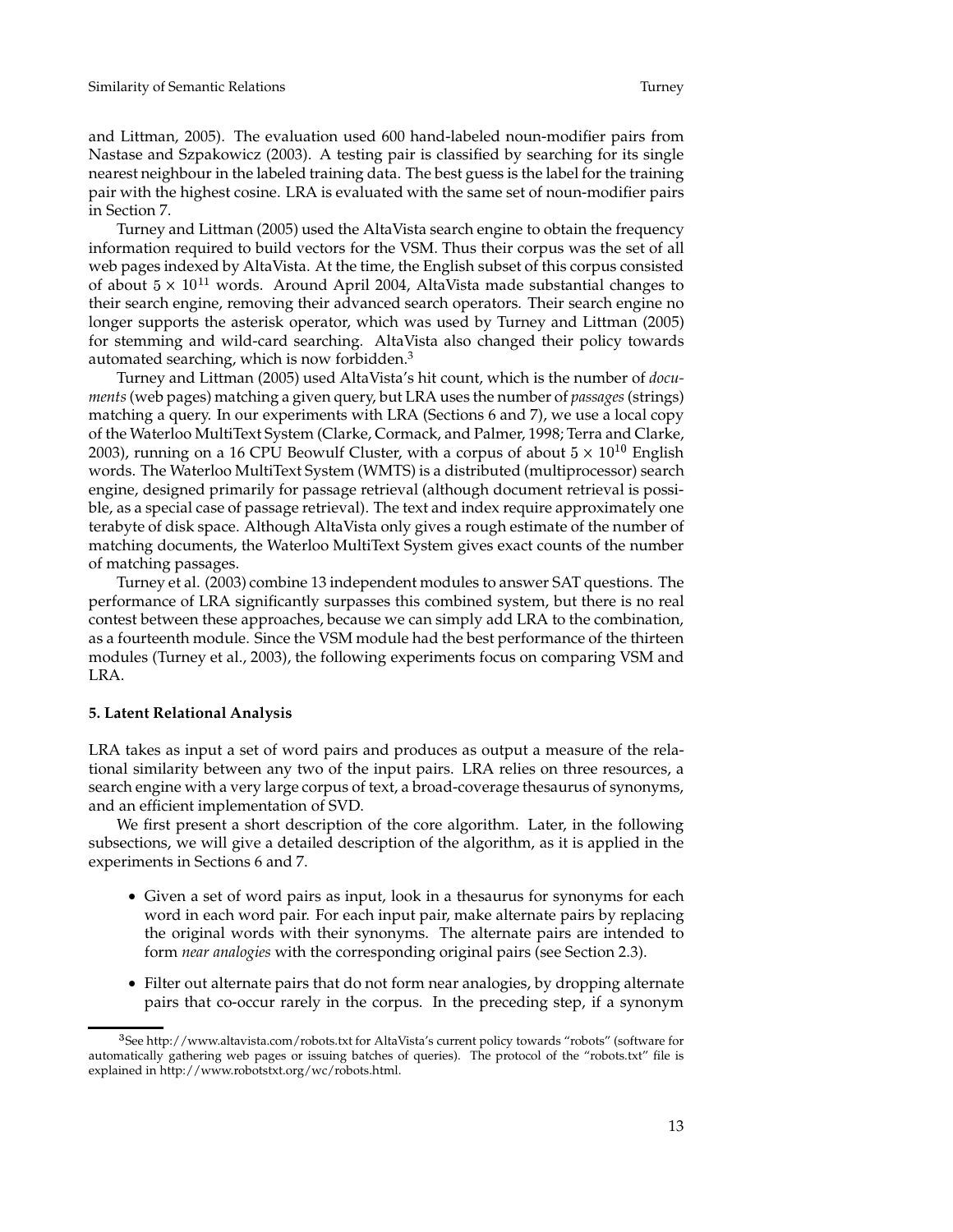and Littman, 2005). The evaluation used 600 hand-labeled noun-modifier pairs from Nastase and Szpakowicz (2003). A testing pair is classified by searching for its single nearest neighbour in the labeled training data. The best guess is the label for the training pair with the highest cosine. LRA is evaluated with the same set of noun-modifier pairs in Section 7.

Turney and Littman (2005) used the AltaVista search engine to obtain the frequency information required to build vectors for the VSM. Thus their corpus was the set of all web pages indexed by AltaVista. At the time, the English subset of this corpus consisted of about  $5 \times 10^{11}$  words. Around April 2004, AltaVista made substantial changes to their search engine, removing their advanced search operators. Their search engine no longer supports the asterisk operator, which was used by Turney and Littman (2005) for stemming and wild-card searching. AltaVista also changed their policy towards automated searching, which is now forbidden.<sup>3</sup>

Turney and Littman (2005) used AltaVista's hit count, which is the number of documents (web pages) matching a given query, but LRA uses the number of *passages* (strings) matching a query. In our experiments with LRA (Sections 6 and 7), we use a local copy of the Waterloo MultiText System (Clarke, Cormack, and Palmer, 1998; Terra and Clarke, 2003), running on a 16 CPU Beowulf Cluster, with a corpus of about  $5\times10^{10}$  English words. The Waterloo MultiText System (WMTS) is a distributed (multiprocessor) search engine, designed primarily for passage retrieval (although document retrieval is possible, as a special case of passage retrieval). The text and index require approximately one terabyte of disk space. Although AltaVista only gives a rough estimate of the number of matching documents, the Waterloo MultiText System gives exact counts of the number of matching passages.

Turney et al. (2003) combine 13 independent modules to answer SAT questions. The performance of LRA significantly surpasses this combined system, but there is no real contest between these approaches, because we can simply add LRA to the combination, as a fourteenth module. Since the VSM module had the best performance of the thirteen modules (Turney et al., 2003), the following experiments focus on comparing VSM and LRA.

#### 5. Latent Relational Analysis

LRA takes as input a set of word pairs and produces as output a measure of the relational similarity between any two of the input pairs. LRA relies on three resources, a search engine with a very large corpus of text, a broad-coverage thesaurus of synonyms, and an efficient implementation of SVD.

We first present a short description of the core algorithm. Later, in the following subsections, we will give a detailed description of the algorithm, as it is applied in the experiments in Sections 6 and 7.

- Given a set of word pairs as input, look in a thesaurus for synonyms for each word in each word pair. For each input pair, make alternate pairs by replacing the original words with their synonyms. The alternate pairs are intended to form near analogies with the corresponding original pairs (see Section 2.3).
- Filter out alternate pairs that do not form near analogies, by dropping alternate pairs that co-occur rarely in the corpus. In the preceding step, if a synonym

See http://www.altavista.com/robots.txt for AltaVista's current policy towards "robots" (software for automatically gathering web pages or issuing batches of queries). The protocol of the "robots.txt" file is explained in http://www.robotstxt.org/wc/robots.html.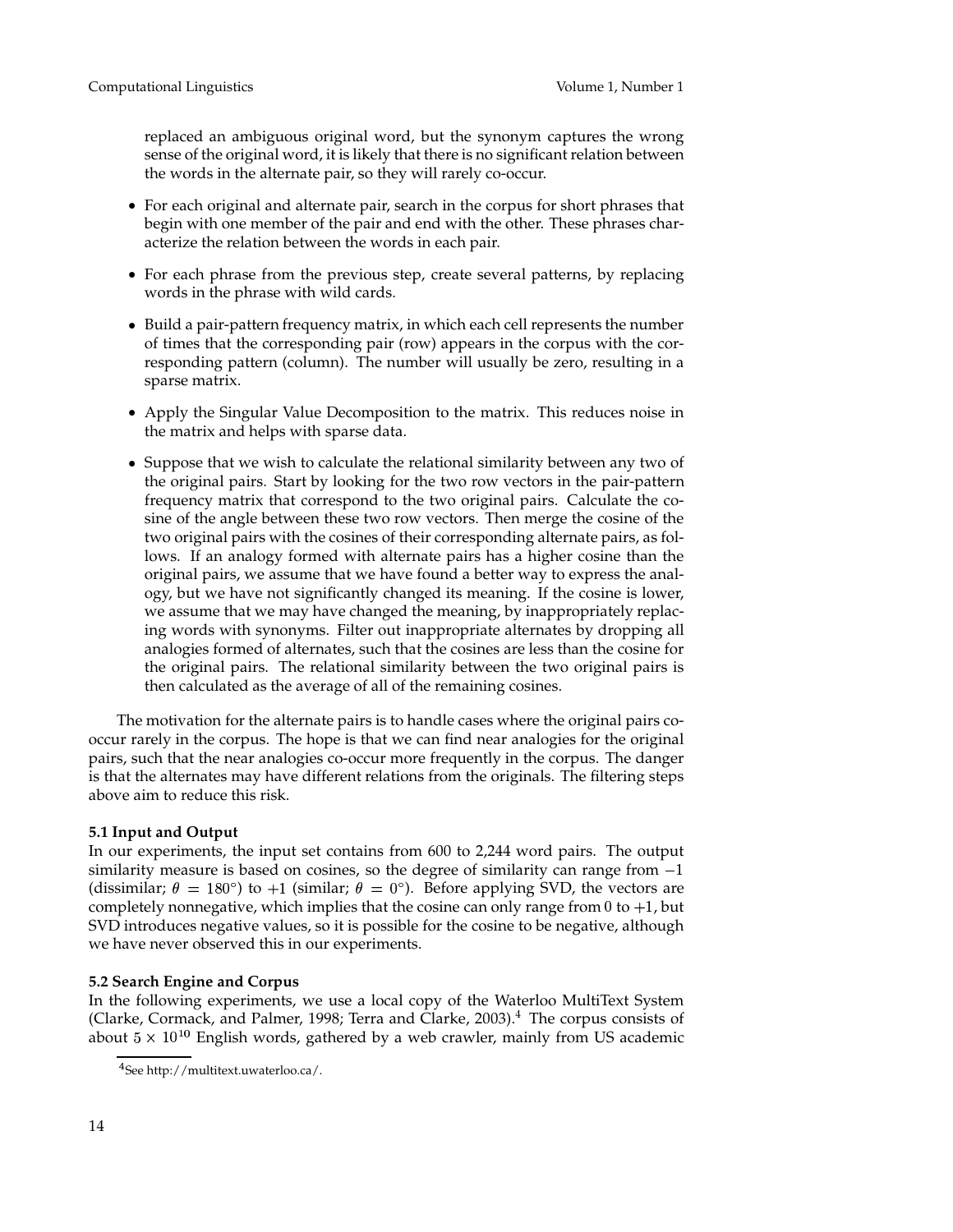replaced an ambiguous original word, but the synonym captures the wrong sense of the original word, it is likely that there is no significant relation between the words in the alternate pair, so they will rarely co-occur.

- For each original and alternate pair, search in the corpus for short phrases that begin with one member of the pair and end with the other. These phrases characterize the relation between the words in each pair.
- For each phrase from the previous step, create several patterns, by replacing words in the phrase with wild cards.
- Build a pair-pattern frequency matrix, in which each cell represents the number of times that the corresponding pair (row) appears in the corpus with the corresponding pattern (column). The number will usually be zero, resulting in a sparse matrix.
- Apply the Singular Value Decomposition to the matrix. This reduces noise in the matrix and helps with sparse data.
- Suppose that we wish to calculate the relational similarity between any two of the original pairs. Start by looking for the two row vectors in the pair-pattern frequency matrix that correspond to the two original pairs. Calculate the cosine of the angle between these two row vectors. Then merge the cosine of the two original pairs with the cosines of their corresponding alternate pairs, as follows. If an analogy formed with alternate pairs has a higher cosine than the original pairs, we assume that we have found a better way to express the analogy, but we have not significantly changed its meaning. If the cosine is lower, we assume that we may have changed the meaning, by inappropriately replacing words with synonyms. Filter out inappropriate alternates by dropping all analogies formed of alternates, such that the cosines are less than the cosine for the original pairs. The relational similarity between the two original pairs is then calculated as the average of all of the remaining cosines.

The motivation for the alternate pairs is to handle cases where the original pairs cooccur rarely in the corpus. The hope is that we can find near analogies for the original pairs, such that the near analogies co-occur more frequently in the corpus. The danger is that the alternates may have different relations from the originals. The filtering steps above aim to reduce this risk.

# 5.1 Input and Output

In our experiments, the input set contains from 600 to 2,244 word pairs. The output similarity measure is based on cosines, so the degree of similarity can range from  $-1$ (dissimilar;  $\theta = 180^{\circ}$ ) to +1 (similar;  $\theta = 0^{\circ}$ ). Before applying SVD, the vectors are completely nonnegative, which implies that the cosine can only range from  $0$  to  $+1$ , but SVD introduces negative values, so it is possible for the cosine to be negative, although we have never observed this in our experiments.

# 5.2 Search Engine and Corpus

In the following experiments, we use a local copy of the Waterloo MultiText System (Clarke, Cormack, and Palmer, 1998; Terra and Clarke, 2003). <sup>4</sup> The corpus consists of about  $5 \times 10^{10}$  English words, gathered by a web crawler, mainly from US academic

<sup>&</sup>lt;sup>4</sup>See http://multitext.uwaterloo.ca/.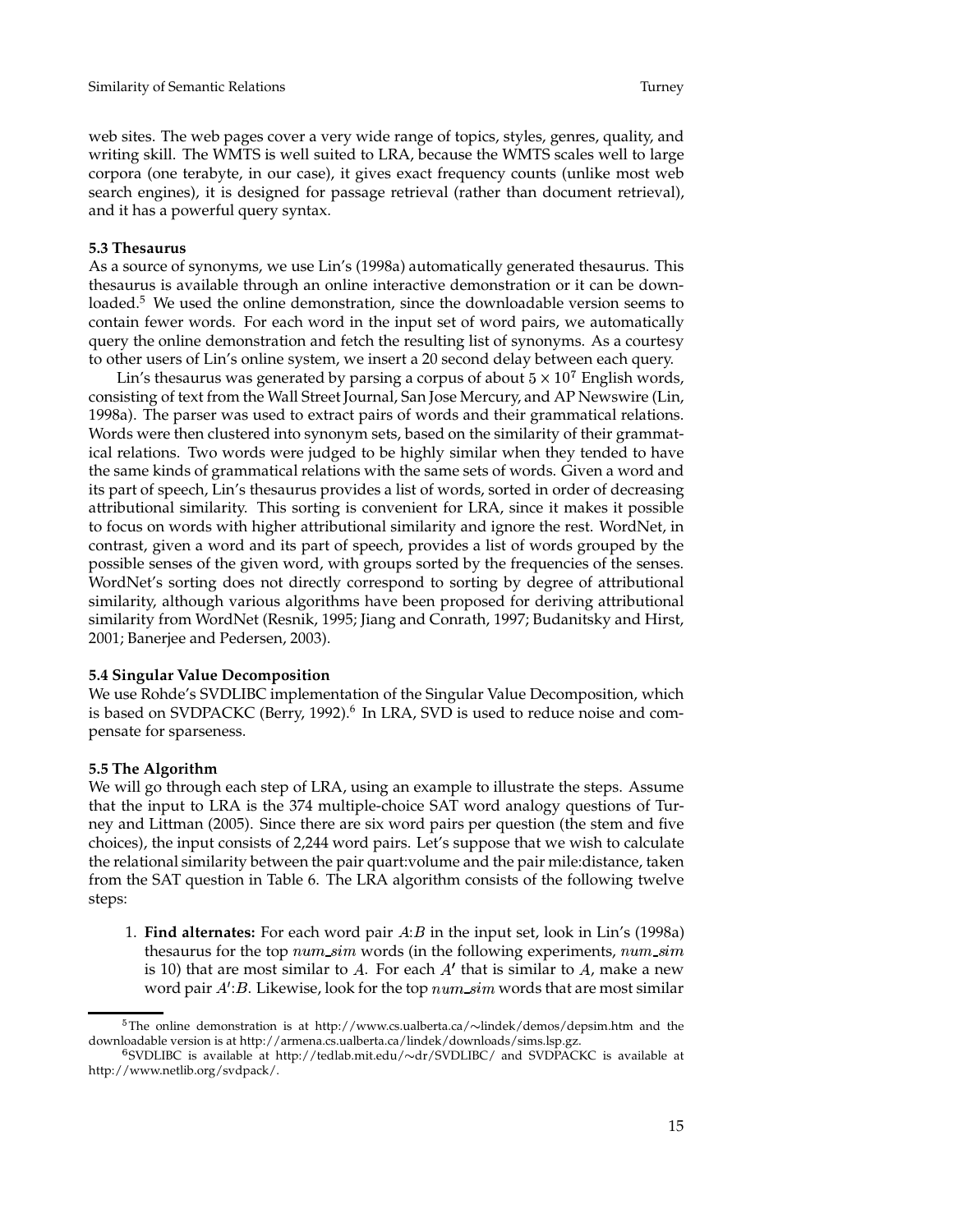web sites. The web pages cover a very wide range of topics, styles, genres, quality, and writing skill. The WMTS is well suited to LRA, because the WMTS scales well to large corpora (one terabyte, in our case), it gives exact frequency counts (unlike most web search engines), it is designed for passage retrieval (rather than document retrieval), and it has a powerful query syntax.

# 5.3 Thesaurus

As a source of synonyms, we use Lin's (1998a) automatically generated thesaurus. This thesaurus is available through an online interactive demonstration or it can be downloaded.<sup>5</sup> We used the online demonstration, since the downloadable version seems to contain fewer words. For each word in the input set of word pairs, we automatically query the online demonstration and fetch the resulting list of synonyms. As a courtesy to other users of Lin's online system, we insert a 20 second delay between each query.

Lin's thesaurus was generated by parsing a corpus of about  $5\times10^7$  English words, consisting of text from the Wall Street Journal, San Jose Mercury, and AP Newswire (Lin, 1998a). The parser was used to extract pairs of words and their grammatical relations. Words were then clustered into synonym sets, based on the similarity of their grammatical relations. Two words were judged to be highly similar when they tended to have the same kinds of grammatical relations with the same sets of words. Given a word and its part of speech, Lin's thesaurus provides a list of words, sorted in order of decreasing attributional similarity. This sorting is convenient for LRA, since it makes it possible to focus on words with higher attributional similarity and ignore the rest. WordNet, in contrast, given a word and its part of speech, provides a list of words grouped by the possible senses of the given word, with groups sorted by the frequencies of the senses. WordNet's sorting does not directly correspond to sorting by degree of attributional similarity, although various algorithms have been proposed for deriving attributional similarity from WordNet (Resnik, 1995; Jiang and Conrath, 1997; Budanitsky and Hirst, 2001; Banerjee and Pedersen, 2003).

# 5.4 Singular Value Decomposition

We use Rohde's SVDLIBC implementation of the Singular Value Decomposition, which is based on SVDPACKC (Berry, 1992).<sup>6</sup> In LRA, SVD is used to reduce noise and compensate for sparseness.

# 5.5 The Algorithm

We will go through each step of LRA, using an example to illustrate the steps. Assume that the input to LRA is the 374 multiple-choice SAT word analogy questions of Turney and Littman (2005). Since there are six word pairs per question (the stem and five choices), the input consists of 2,244 word pairs. Let's suppose that we wish to calculate the relational similarity between the pair quart:volume and the pair mile:distance, taken from the SAT question in Table 6. The LRA algorithm consists of the following twelve steps:

1. Find alternates: For each word pair  $A:B$  in the input set, look in Lin's (1998a) thesaurus for the top  $num\_sim$  words (in the following experiments,  $num\_sim$ is 10) that are most similar to  $A$ . For each  $A'$  that is similar to  $A$ , make a new word pair  $A'$ : $B$ . Likewise, look for the top  $num\_sim$  words that are most similar

 $^{5}$ The online demonstration is at http://www.cs.ualberta.ca/ $\sim$ lindek/demos/depsim.htm and the downloadable version is at http://armena.cs.ualberta.ca/lindek/downloads/sims.lsp.gz.

 $^6$ SVDLIBC is available at http://tedlab.mit.edu/ $\sim$ dr/SVDLIBC/ and SVDPACKC is available at http://www.netlib.org/svdpack/.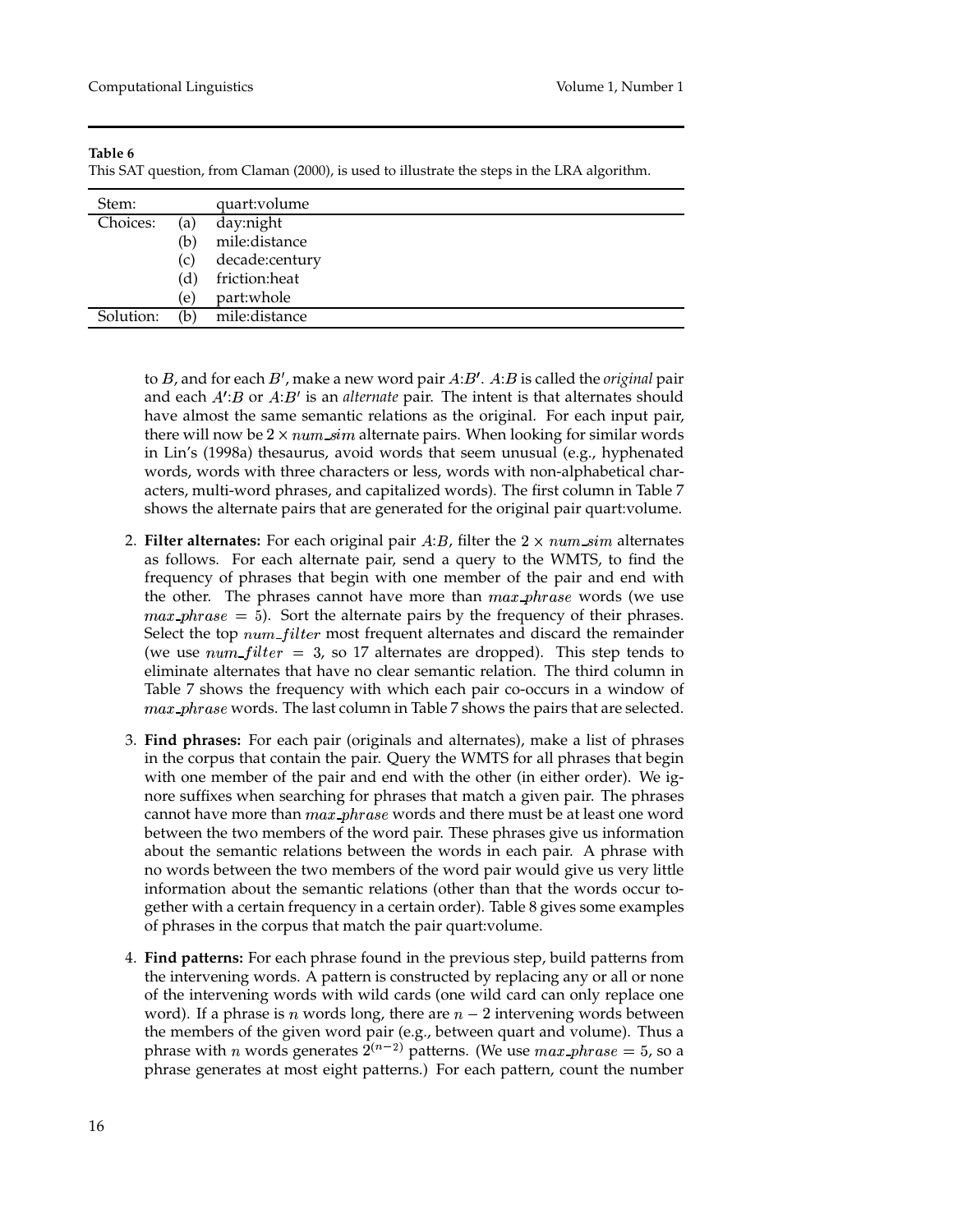| Stem:     |                   | quart:volume   |
|-----------|-------------------|----------------|
| Choices:  | (a)               | day:night      |
|           | (b)               | mile:distance  |
|           | $\left( c\right)$ | decade:century |
|           | (d)               | friction:heat  |
|           | (e)               | part:whole     |
| Solution: | b)                | mile:distance  |

# Table 6 This SAT question, from Claman (2000), is used to illustrate the steps in the LRA algorithm.

to  $B$ , and for each  $B'$ , make a new word pair  $A:B'$ .  $A:B$  is called the *original* pair and each  $A':B$  or  $A:B'$  is an *alternate* pair. The intent is that alternates should have almost the same semantic relations as the original. For each input pair, there will now be  $2 \times num\_sim$  alternate pairs. When looking for similar words in Lin's (1998a) thesaurus, avoid words that seem unusual (e.g., hyphenated words, words with three characters or less, words with non-alphabetical characters, multi-word phrases, and capitalized words). The first column in Table 7 shows the alternate pairs that are generated for the original pair quart:volume.

- 2. Filter alternates: For each original pair  $A:B$ , filter the  $2 \times num\_sim$  alternates as follows. For each alternate pair, send a query to the WMTS, to find the frequency of phrases that begin with one member of the pair and end with the other. The phrases cannot have more than  $max\_phrase$  words (we use  $max\_phrase = 5$ ). Sort the alternate pairs by the frequency of their phrases. Select the top  $\it{num\_filter}$  most frequent alternates and discard the remainder (we use  $num\_filter = 3$ , so 17 alternates are dropped). This step tends to eliminate alternates that have no clear semantic relation. The third column in Table 7 shows the frequency with which each pair co-occurs in a window of  $max\_phrase$  words. The last column in Table 7 shows the pairs that are selected.
- 3. Find phrases: For each pair (originals and alternates), make a list of phrases in the corpus that contain the pair. Query the WMTS for all phrases that begin with one member of the pair and end with the other (in either order). We ignore suffixes when searching for phrases that match a given pair. The phrases cannot have more than  $max\_phrase$  words and there must be at least one word between the two members of the word pair. These phrases give us information about the semantic relations between the words in each pair. A phrase with no words between the two members of the word pair would give us very little information about the semantic relations (other than that the words occur together with a certain frequency in a certain order). Table 8 gives some examples of phrases in the corpus that match the pair quart:volume.
- 4. Find patterns: For each phrase found in the previous step, build patterns from the intervening words. A pattern is constructed by replacing any or all or none of the intervening words with wild cards (one wild card can only replace one word). If a phrase is  $n$  words long, there are  $n-2$  intervening words between the members of the given word pair (e.g., between quart and volume). Thus a phrase with *n* words generates  $2^{(n-2)}$  patterns. (We use  $max\_phrase = 5$ , so a phrase generates at most eight patterns.) For each pattern, count the number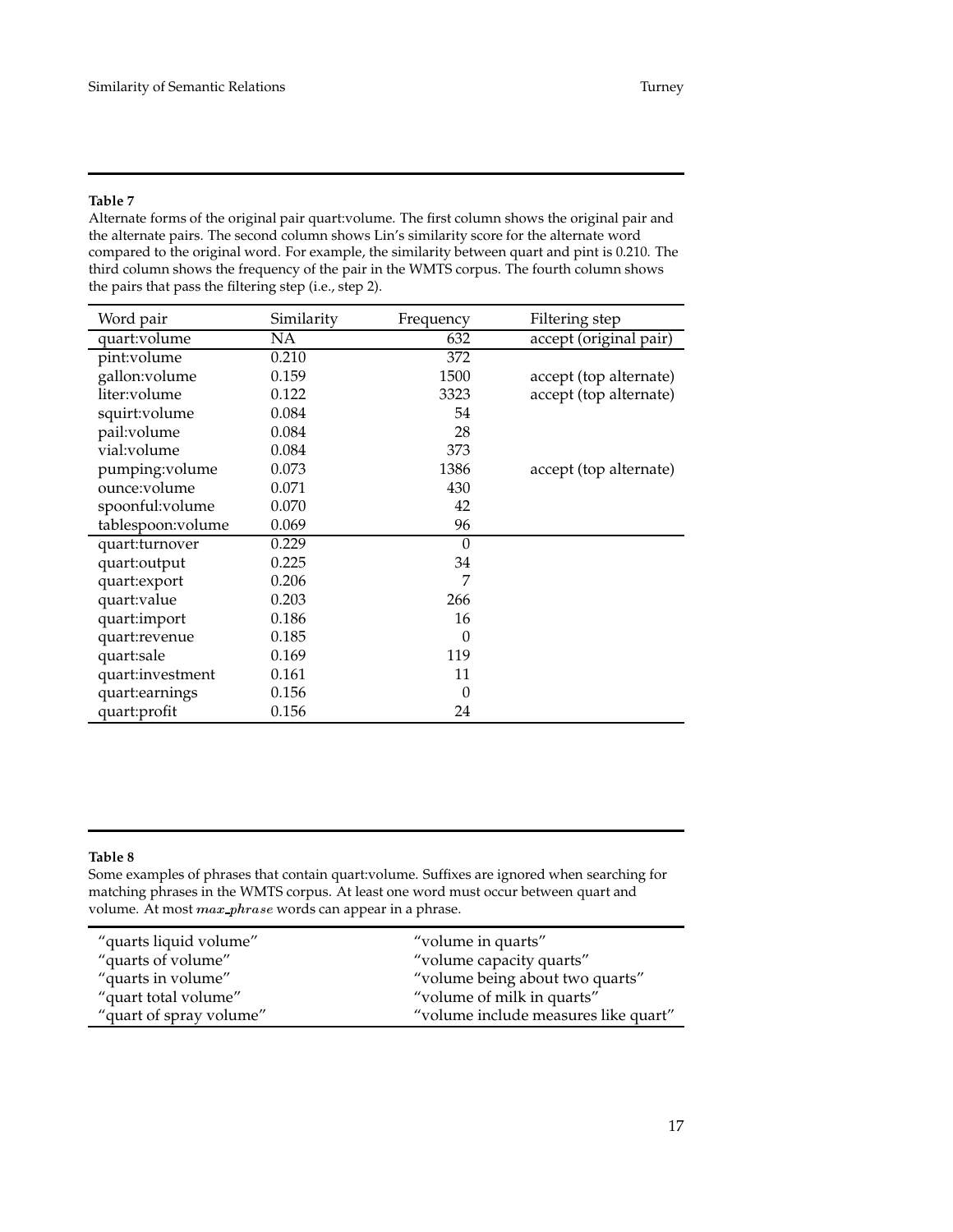Alternate forms of the original pair quart:volume. The first column shows the original pair and the alternate pairs. The second column shows Lin's similarity score for the alternate word compared to the original word. For example, the similarity between quart and pint is 0.210. The third column shows the frequency of the pair in the WMTS corpus. The fourth column shows the pairs that pass the filtering step (i.e., step 2).

| Word pair         | Similarity | Frequency | Filtering step         |
|-------------------|------------|-----------|------------------------|
| quart:volume      | NA         | 632       | accept (original pair) |
| pint:volume       | 0.210      | 372       |                        |
| gallon:volume     | 0.159      | 1500      | accept (top alternate) |
| liter:volume      | 0.122      | 3323      | accept (top alternate) |
| squirt:volume     | 0.084      | 54        |                        |
| pail:volume       | 0.084      | 28        |                        |
| vial:volume       | 0.084      | 373       |                        |
| pumping:volume    | 0.073      | 1386      | accept (top alternate) |
| ounce:volume      | 0.071      | 430       |                        |
| spoonful:volume   | 0.070      | 42        |                        |
| tablespoon:volume | 0.069      | 96        |                        |
| quart:turnover    | 0.229      | $\theta$  |                        |
| quart:output      | 0.225      | 34        |                        |
| quart:export      | 0.206      | 7         |                        |
| quart:value       | 0.203      | 266       |                        |
| quart:import      | 0.186      | 16        |                        |
| quart:revenue     | 0.185      | $\Omega$  |                        |
| quart:sale        | 0.169      | 119       |                        |
| quart:investment  | 0.161      | 11        |                        |
| quart:earnings    | 0.156      | $\Omega$  |                        |
| quart:profit      | 0.156      | 24        |                        |

# Table 8

Some examples of phrases that contain quart:volume. Suffixes are ignored when searching for matching phrases in the WMTS corpus. At least one word must occur between quart and volume. At most  $max\_phrase$  words can appear in a phrase.

| "quarts liquid volume"  | "volume in quarts"                   |
|-------------------------|--------------------------------------|
| "quarts of volume"      | "volume capacity quarts"             |
| "quarts in volume"      | "volume being about two quarts"      |
| "quart total volume"    | "volume of milk in quarts"           |
| "quart of spray volume" | "volume include measures like quart" |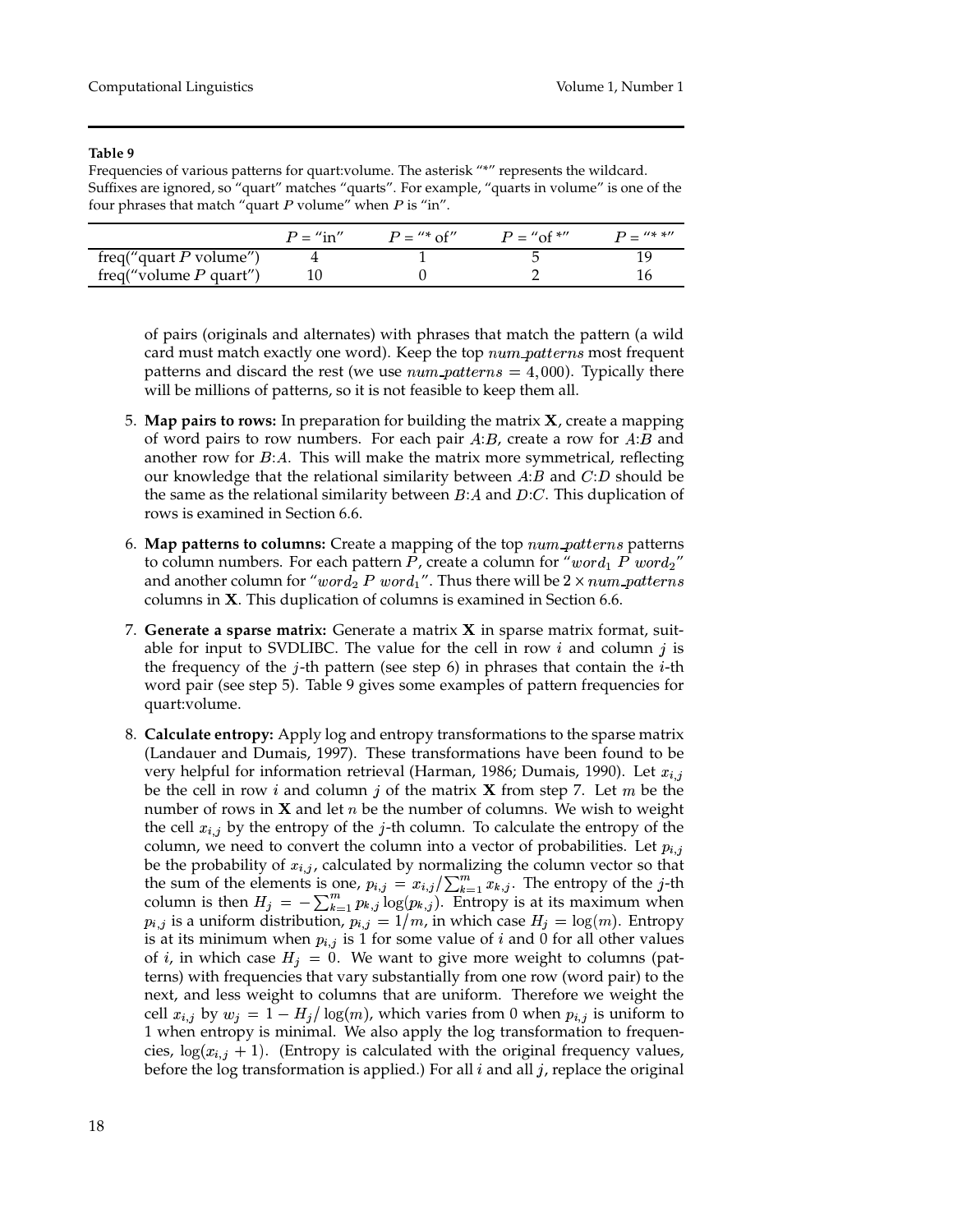Frequencies of various patterns for quart:volume. The asterisk "\*" represents the wildcard. Suffixes are ignored, so "quart" matches "quarts". For example, "quarts in volume" is one of the four phrases that match "quart  $P$  volume" when  $P$  is "in".

|                          | $P =$ "in" | $P =$ "* of" | $P = "of **"$ | $P =$ "* *" |
|--------------------------|------------|--------------|---------------|-------------|
| freq("quart $P$ volume") |            |              |               |             |
| freq("volume $P$ quart") |            |              |               |             |

of pairs (originals and alternates) with phrases that match the pattern (a wild card must match exactly one word). Keep the top  $num\_patterns$  most frequent patterns and discard the rest (we use  $num\_patterns = 4,000$ ). Typically there will be millions of patterns, so it is not feasible to keep them all.

- 5. **Map pairs to rows:** In preparation for building the matrix **X**, create a mapping of word pairs to row numbers. For each pair  $A:B$ , create a row for  $A:B$  and another row for  $B:A$ . This will make the matrix more symmetrical, reflecting our knowledge that the relational similarity between  $A:B$  and  $C:D$  should be the same as the relational similarity between  $B:A$  and  $D:C$ . This duplication of rows is examined in Section 6.6.
- 6. Map patterns to columns: Create a mapping of the top  $num\_patterns$  patterns to column numbers. For each pattern  $P$ , create a column for " $word_1$   $P$   $word_2$ " and another column for " $word_2$   $P$   $word_1$ ". Thus there will be 2  $\times$   $num\_patterns$ columns in **X**. This duplication of columns is examined in Section 6.6.
- 7. Generate a sparse matrix: Generate a matrix  $X$  in sparse matrix format, suitable for input to SVDLIBC. The value for the cell in row  $i$  and column  $j$  is the frequency of the *j*-th pattern (see step 6) in phrases that contain the *i*-th word pair (see step 5). Table 9 gives some examples of pattern frequencies for quart:volume.
- 8. Calculate entropy: Apply log and entropy transformations to the sparse matrix (Landauer and Dumais, 1997). These transformations have been found to be very helpful for information retrieval (Harman, 1986; Dumais, 1990). Let  $x_{i,j}$ be the cell in row *i* and column *j* of the matrix **X** from step 7. Let *m* be the number of rows in **X** and let *n* be the number of columns. We wish to weight the cell  $x_{i,j}$  by the entropy of the *j*-th column. To calculate the entropy of the column, we need to convert the column into a vector of probabilities. Let  $p_{i,j}$ be the probability of  $x_{i,j}$ , calculated by normalizing the column vector so that the sum of the elements is one,  $p_{i,j} = x_{i,j}/\sum_{k=1}^{m} x_{k,j}$ . The entropy of the j-th column is then  $H_j = -\sum_{k=1}^m p_{k,j} \log(p_{k,j})$ . Entropy is at its maximum when  $p_{i,j}$  is a uniform distribution,  $p_{i,j} = 1/m$ , in which case  $H_j = \log(m)$ . Entropy is at its minimum when  $p_{i,j}$  is 1 for some value of i and 0 for all other values of *i*, in which case  $H_j = 0$ . We want to give more weight to columns (patterns) with frequencies that vary substantially from one row (word pair) to the next, and less weight to columns that are uniform. Therefore we weight the cell  $x_{i,j}$  by  $w_j = 1 - H_j / \log(m)$ , which varies from 0 when  $p_{i,j}$  is uniform to 1 when entropy is minimal. We also apply the log transformation to frequencies,  $log(x_{i,j} + 1)$ . (Entropy is calculated with the original frequency values, before the log transformation is applied.) For all  $i$  and all  $j$ , replace the original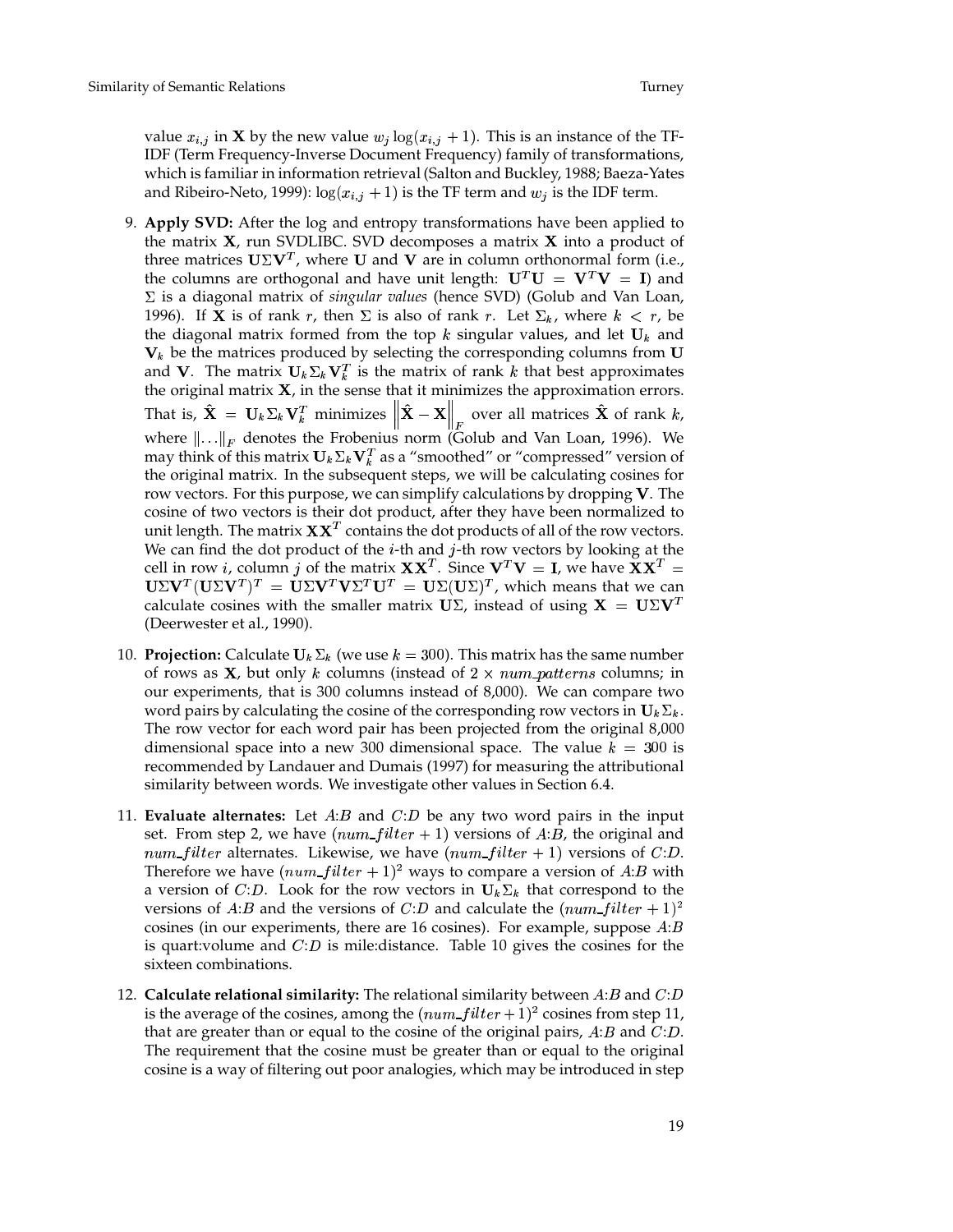value  $x_{i,j}$  in **X** by the new value  $w_j \log(x_{i,j} + 1)$ . This is an instance of the TF-IDF (Term Frequency-Inverse Document Frequency) family of transformations, which is familiar in information retrieval (Salton and Buckley, 1988; Baeza-Yates and Ribeiro-Neto, 1999):  $\log(x_{i,j}+1)$  is the TF term and  $w_j$  is the IDF term.

- 9. Apply SVD: After the log and entropy transformations have been applied to the matrix  $X$ , run SVDLIBC. SVD decomposes a matrix  $X$  into a product of three matrices  $U\Sigma V^{\scriptscriptstyle T}$ , where U and V are in column orthonormal form (i.e., the columns are orthogonal and have unit length:  $\mathbf{U}^T\mathbf{U} = \mathbf{V}^T\mathbf{V} = \mathbf{I}$ ) and  $\Sigma$  is a diagonal matrix of singular values (hence SVD) (Golub and Van Loan, 1996). If **X** is of rank r, then  $\Sigma$  is also of rank r. Let  $\Sigma_k$ , where  $k < r$ , be the diagonal matrix formed from the top  $k$  singular values, and let  $\mathbf{U}_k$  and  $\mathbf{V}_k$  be the matrices produced by selecting the corresponding columns from  $\mathbf{U}$ and V. The matrix  $\mathbf{U}_k \Sigma_k \mathbf{V}_k^T$  is the matrix of rank k that best approximates the original matrix  $X$ , in the sense that it minimizes the approximation errors. That is,  $\mathbf{\hat{X}} \ = \ \mathbf{U}_k \Sigma_k \mathbf{V}_k^T \ \text{minimizes} \ \left\| \mathbf{\hat{X}}-\mathbf{X} \right\|_- \ \text{over all} \ \text{m}$  $\|$  \_ over all matrices  $\mathbf{\hat{X}}$  of rank k, where  $\left\| \ldots \right\|_F$  denotes the Frobenius norm (Golub and Van Loan, 1996). We may think of this matrix  $\mathbf{U}_k \Sigma_k \mathbf{V}_k^T$  as a "smoothed" or "compressed" version of the original matrix. In the subsequent steps, we will be calculating cosines for row vectors. For this purpose, we can simplify calculations by dropping  ${\bf V}.$  The cosine of two vectors is their dot product, after they have been normalized to unit length. The matrix  $\mathbf{X} \mathbf{X}^T$  contains the dot products of all of the row vectors. We can find the dot product of the *i*-th and *j*-th row vectors by looking at the cell in row *i*, column *j* of the matrix  $\mathbf{X} \mathbf{X}^T$ . Since  $\mathbf{V}^T \mathbf{V} = \mathbf{I}$ , we have  $\mathbf{X} \mathbf{X}^T =$  $U\Sigma V^T (U\Sigma V^T)^T = U\Sigma V^T V \Sigma^T U^T = U\Sigma (U\Sigma)^T$ , which means that we can calculate cosines with the smaller matrix  $U\Sigma$ , instead of using  $\mathbf{X}~=~\mathbf{U}\Sigma\mathbf{V}^T$ (Deerwester et al., 1990).
- 10. Projection: Calculate  $\mathbf{U}_k \Sigma_k$  (we use  $k=300$ ). This matrix has the same number of rows as **X**, but only k columns (instead of  $2 \times num{\text{-}patterns}$  columns; in our experiments, that is 300 columns instead of 8,000). We can compare two word pairs by calculating the cosine of the corresponding row vectors in  $\mathbf{U}_k \Sigma_k.$ The row vector for each word pair has been projected from the original 8,000 dimensional space into a new 300 dimensional space. The value  $k~=~300$  is recommended by Landauer and Dumais (1997) for measuring the attributional similarity between words. We investigate other values in Section 6.4.
- 11. **Evaluate alternates:** Let  $A:B$  and  $C:D$  be any two word pairs in the input set. From step 2, we have  $(num\_filter + 1)$  versions of A:B, the original and  $num\_filter$  alternates. Likewise, we have  $(num\_filter + 1)$  versions of  $C.D.$ Therefore we have  $(num\_filter + 1)^2$  ways to compare a version of A:B with a version of  $C.D.$  Look for the row vectors in  $\mathbf{U}_k \Sigma_k$  that correspond to the versions of A:B and the versions of C:D and calculate the  $(num\_filter + 1)^2$ cosines (in our experiments, there are 16 cosines). For example, suppose  $A:B$ is quart: volume and  $C: D$  is mile: distance. Table 10 gives the cosines for the sixteen combinations.
- 12. Calculate relational similarity: The relational similarity between  $A:B$  and  $C:D$ is the average of the cosines, among the  $(num\_filter + 1)^2$  cosines from step 11, that are greater than or equal to the cosine of the original pairs,  $A:B$  and  $C:D$ . The requirement that the cosine must be greater than or equal to the original cosine is a way of filtering out poor analogies, which may be introduced in step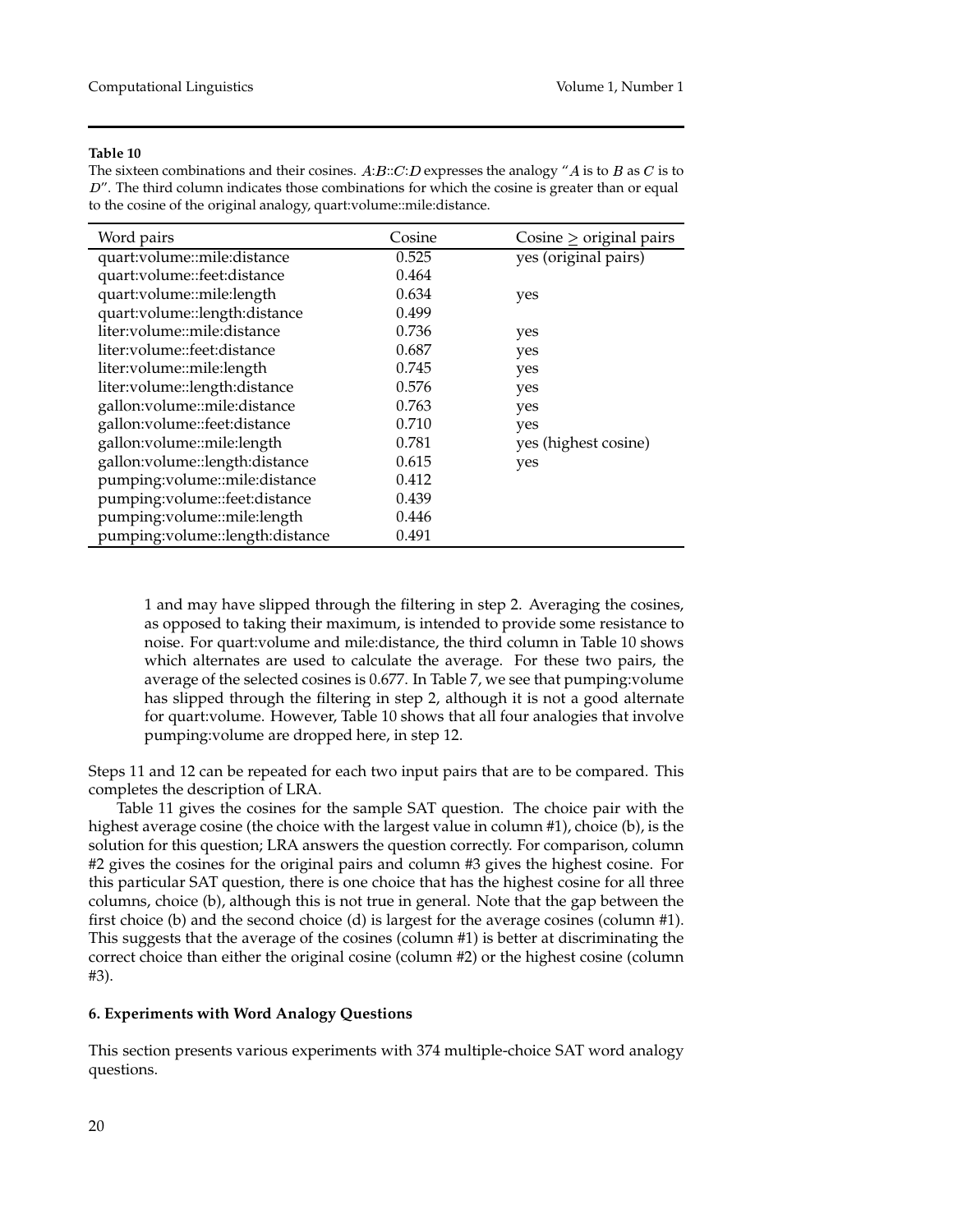The sixteen combinations and their cosines.  $A:B::C:D$  expresses the analogy "A is to B as C is to  $D''$ . The third column indicates those combinations for which the cosine is greater than or equal to the cosine of the original analogy, quart:volume::mile:distance.

| Word pairs                      | Cosine | Cosine $\geq$ original pairs |
|---------------------------------|--------|------------------------------|
| quart:volume::mile:distance     | 0.525  | yes (original pairs)         |
| quart:volume::feet:distance     | 0.464  |                              |
| quart:volume::mile:length       | 0.634  | yes                          |
| quart:volume::length:distance   | 0.499  |                              |
| liter:volume::mile:distance     | 0.736  | yes                          |
| liter:volume::feet:distance     | 0.687  | yes                          |
| liter:volume::mile:length       | 0.745  | yes                          |
| liter:volume::length:distance   | 0.576  | yes                          |
| gallon:volume::mile:distance    | 0.763  | yes                          |
| gallon:volume::feet:distance    | 0.710  | yes                          |
| gallon:volume::mile:length      | 0.781  | yes (highest cosine)         |
| gallon:volume::length:distance  | 0.615  | yes                          |
| pumping:volume::mile:distance   | 0.412  |                              |
| pumping:volume::feet:distance   | 0.439  |                              |
| pumping:volume::mile:length     | 0.446  |                              |
| pumping:volume::length:distance | 0.491  |                              |

1 and may have slipped through the filtering in step 2. Averaging the cosines, as opposed to taking their maximum, is intended to provide some resistance to noise. For quart:volume and mile:distance, the third column in Table 10 shows which alternates are used to calculate the average. For these two pairs, the average of the selected cosines is 0.677. In Table 7, we see that pumping:volume has slipped through the filtering in step 2, although it is not a good alternate for quart:volume. However, Table 10 shows that all four analogies that involve pumping:volume are dropped here, in step 12.

Steps 11 and 12 can be repeated for each two input pairs that are to be compared. This completes the description of LRA.

Table 11 gives the cosines for the sample SAT question. The choice pair with the highest average cosine (the choice with the largest value in column #1), choice (b), is the solution for this question; LRA answers the question correctly. For comparison, column #2 gives the cosines for the original pairs and column #3 gives the highest cosine. For this particular SAT question, there is one choice that has the highest cosine for all three columns, choice (b), although this is not true in general. Note that the gap between the first choice (b) and the second choice (d) is largest for the average cosines (column #1). This suggests that the average of the cosines (column #1) is better at discriminating the correct choice than either the original cosine (column #2) or the highest cosine (column #3).

# 6. Experiments with Word Analogy Questions

This section presents various experiments with 374 multiple-choice SAT word analogy questions.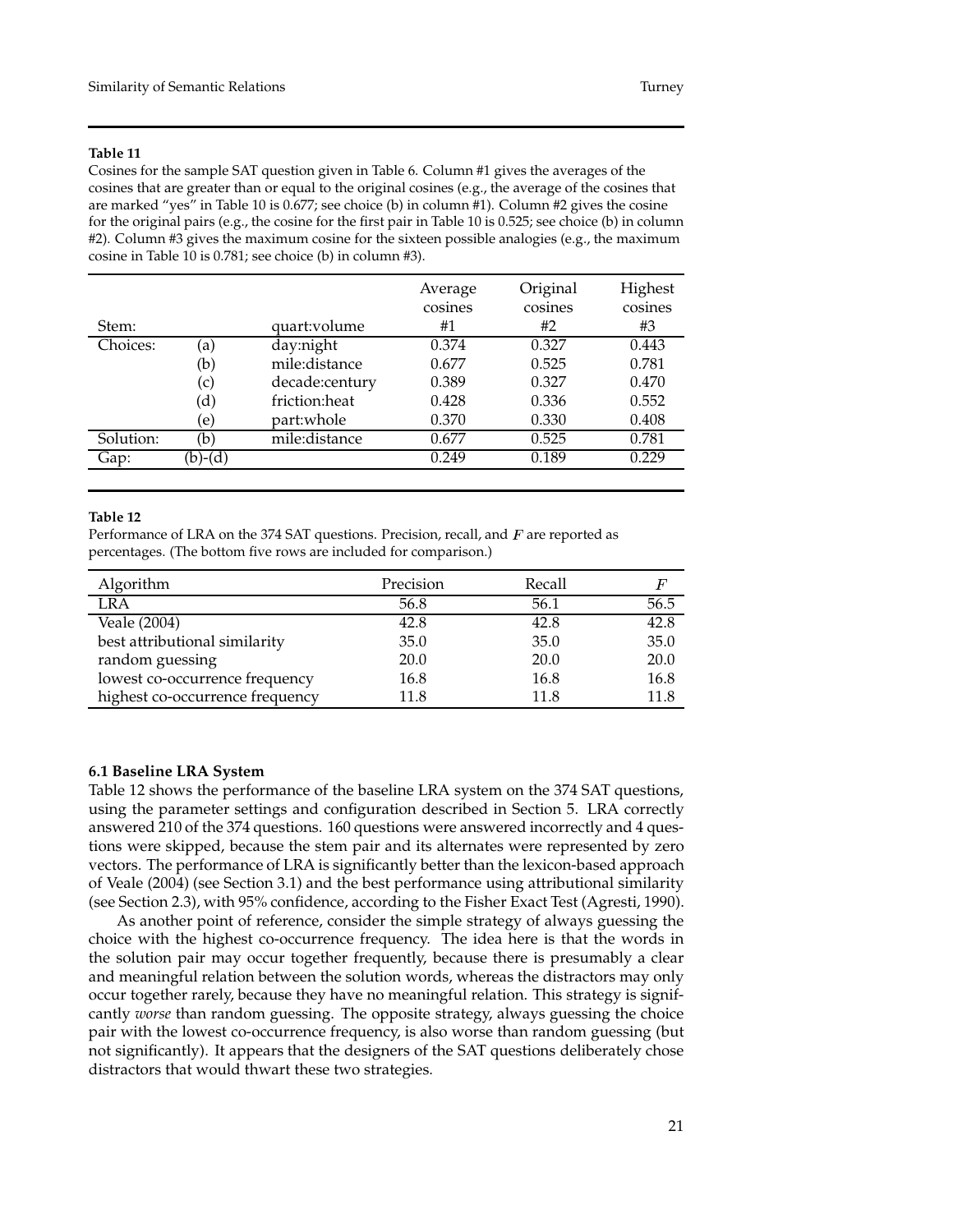Cosines for the sample SAT question given in Table 6. Column #1 gives the averages of the cosines that are greater than or equal to the original cosines (e.g., the average of the cosines that are marked "yes" in Table 10 is 0.677; see choice (b) in column #1). Column #2 gives the cosine for the original pairs (e.g., the cosine for the first pair in Table 10 is 0.525; see choice (b) in column #2). Column #3 gives the maximum cosine for the sixteen possible analogies (e.g., the maximum cosine in Table 10 is 0.781; see choice (b) in column #3).

|           |           |                | Average<br>cosines | Original<br>cosines | Highest<br>cosines |
|-----------|-----------|----------------|--------------------|---------------------|--------------------|
| Stem:     |           | quart:volume   | #1                 | #2                  | #3                 |
| Choices:  | (a)       | day:night      | 0.374              | 0.327               | 0.443              |
|           | (b)       | mile:distance  | 0.677              | 0.525               | 0.781              |
|           | (c)       | decade:century | 0.389              | 0.327               | 0.470              |
|           | (d)       | friction:heat  | 0.428              | 0.336               | 0.552              |
|           | (e)       | part:whole     | 0.370              | 0.330               | 0.408              |
| Solution: | (b)       | mile:distance  | 0.677              | 0.525               | 0.781              |
| Gap:      | $(b)-(d)$ |                | 0.249              | 0.189               | 0.229              |
|           |           |                |                    |                     |                    |

#### Table 12

Performance of LRA on the 374 SAT questions. Precision, recall, and  $F$  are reported as percentages. (The bottom five rows are included for comparison.)

| Algorithm                       | Precision | Recall |      |
|---------------------------------|-----------|--------|------|
| LRA                             | 56.8      | 56.1   | 56.5 |
| Veale (2004)                    | 42.8      | 42.8   | 42.8 |
| best attributional similarity   | 35.0      | 35.0   | 35.0 |
| random guessing                 | 20.0      | 20.0   | 20.0 |
| lowest co-occurrence frequency  | 16.8      | 16.8   | 16.8 |
| highest co-occurrence frequency | 11.8      | 11.8   | 11.8 |

#### 6.1 Baseline LRA System

Table 12 shows the performance of the baseline LRA system on the 374 SAT questions, using the parameter settings and configuration described in Section 5. LRA correctly answered 210 of the 374 questions. 160 questions were answered incorrectly and 4 questions were skipped, because the stem pair and its alternates were represented by zero vectors. The performance of LRA is significantly better than the lexicon-based approach of Veale (2004) (see Section 3.1) and the best performance using attributional similarity (see Section 2.3), with 95% confidence, according to the Fisher Exact Test (Agresti, 1990).

As another point of reference, consider the simple strategy of always guessing the choice with the highest co-occurrence frequency. The idea here is that the words in the solution pair may occur together frequently, because there is presumably a clear and meaningful relation between the solution words, whereas the distractors may only occur together rarely, because they have no meaningful relation. This strategy is signifcantly *worse* than random guessing. The opposite strategy, always guessing the choice pair with the lowest co-occurrence frequency, is also worse than random guessing (but not significantly). It appears that the designers of the SAT questions deliberately chose distractors that would thwart these two strategies.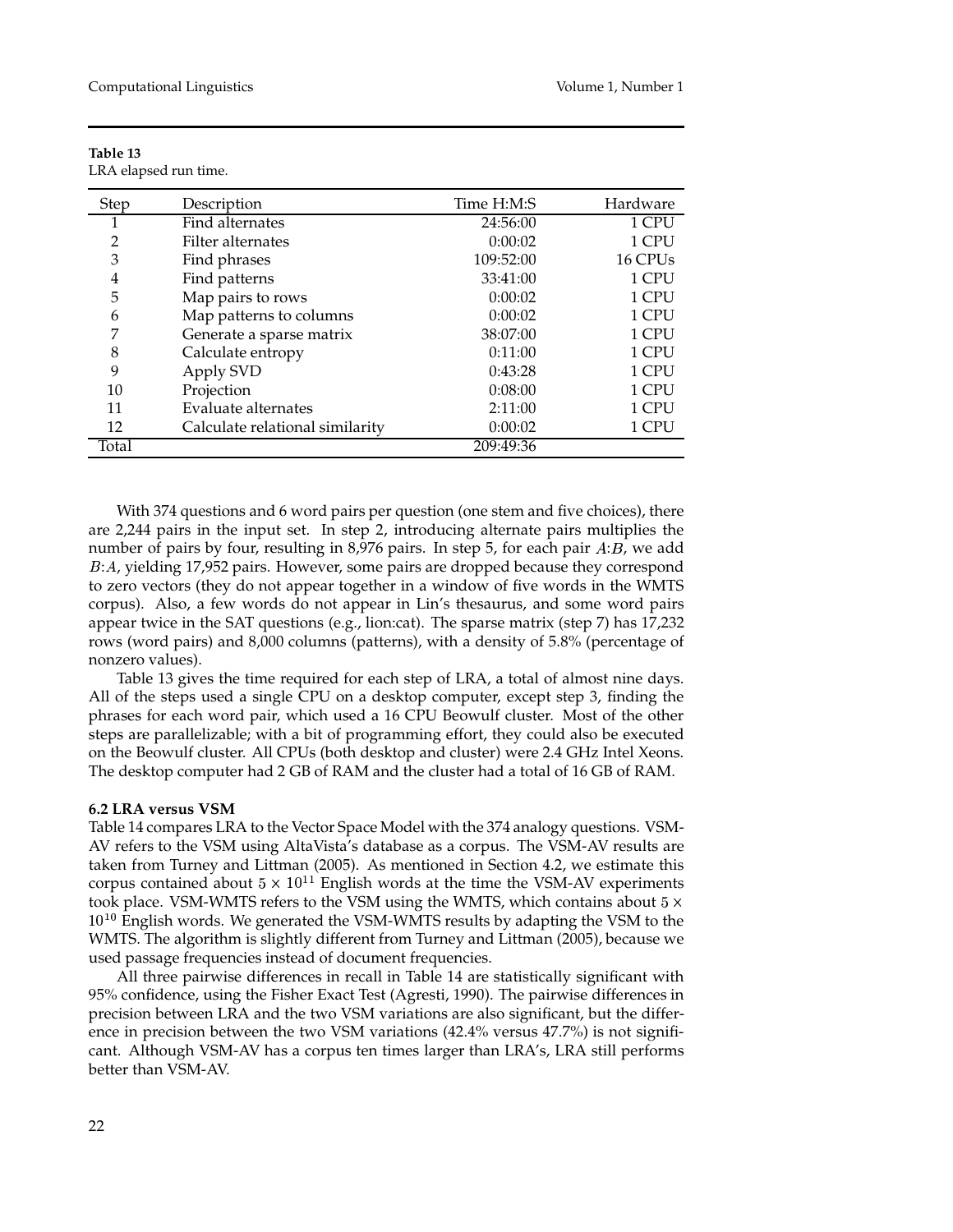| Step  | Description                     | Time H:M:S | Hardware            |
|-------|---------------------------------|------------|---------------------|
|       | Find alternates                 | 24:56:00   | 1 CPU               |
| 2     | Filter alternates               | 0:00:02    | 1 CPU               |
| 3     | Find phrases                    | 109:52:00  | 16 CPU <sub>s</sub> |
| 4     | Find patterns                   | 33:41:00   | 1 CPU               |
| 5     | Map pairs to rows               | 0:00:02    | 1 CPU               |
| 6     | Map patterns to columns         | 0:00:02    | 1 CPU               |
| 7     | Generate a sparse matrix        | 38:07:00   | 1 CPU               |
| 8     | Calculate entropy               | 0:11:00    | 1 CPU               |
| 9     | Apply SVD                       | 0:43:28    | 1 CPU               |
| 10    | Projection                      | 0:08:00    | 1 CPU               |
| 11    | Evaluate alternates             | 2:11:00    | 1 CPU               |
| 12    | Calculate relational similarity | 0:00:02    | 1 CPU               |
| Total |                                 | 209:49:36  |                     |

# Table 13 LRA elapsed run time.

With 374 questions and 6 word pairs per question (one stem and five choices), there are 2,244 pairs in the input set. In step 2, introducing alternate pairs multiplies the number of pairs by four, resulting in 8,976 pairs. In step 5, for each pair  $A:B$ , we add B:A, yielding 17,952 pairs. However, some pairs are dropped because they correspond to zero vectors (they do not appear together in a window of five words in the WMTS corpus). Also, a few words do not appear in Lin's thesaurus, and some word pairs appear twice in the SAT questions (e.g., lion:cat). The sparse matrix (step 7) has 17,232 rows (word pairs) and 8,000 columns (patterns), with a density of 5.8% (percentage of nonzero values).

Table 13 gives the time required for each step of LRA, a total of almost nine days. All of the steps used a single CPU on a desktop computer, except step 3, finding the phrases for each word pair, which used a 16 CPU Beowulf cluster. Most of the other steps are parallelizable; with a bit of programming effort, they could also be executed on the Beowulf cluster. All CPUs (both desktop and cluster) were 2.4 GHz Intel Xeons. The desktop computer had 2 GB of RAM and the cluster had a total of 16 GB of RAM.

#### 6.2 LRA versus VSM

Table 14 compares LRA to the Vector Space Model with the 374 analogy questions. VSM-AV refers to the VSM using AltaVista's database as a corpus. The VSM-AV results are taken from Turney and Littman (2005). As mentioned in Section 4.2, we estimate this corpus contained about  $5 \times 10^{11}$  English words at the time the VSM-AV experiments took place. VSM-WMTS refers to the VSM using the WMTS, which contains about  $5 \times$  $10^{10}$  English words. We generated the VSM-WMTS results by adapting the VSM to the WMTS. The algorithm is slightly different from Turney and Littman (2005), because we used passage frequencies instead of document frequencies.

All three pairwise differences in recall in Table 14 are statistically significant with 95% confidence, using the Fisher Exact Test (Agresti, 1990). The pairwise differences in precision between LRA and the two VSM variations are also significant, but the difference in precision between the two VSM variations (42.4% versus 47.7%) is not significant. Although VSM-AV has a corpus ten times larger than LRA's, LRA still performs better than VSM-AV.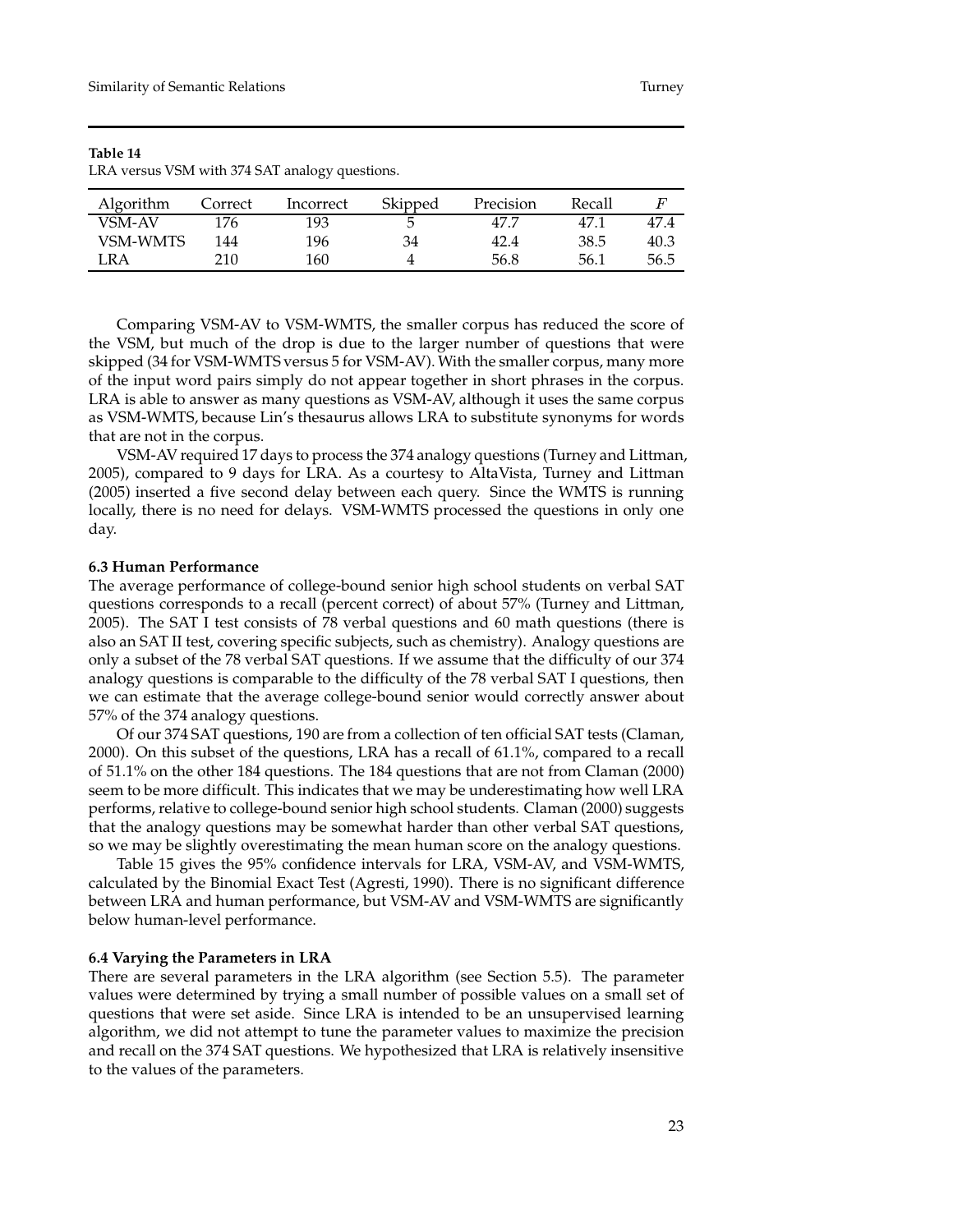| Algorithm     | Correct | Incorrect | Skipped | Precision | Recall |      |
|---------------|---------|-----------|---------|-----------|--------|------|
| <b>VSM-AV</b> | 176     | 193       |         | 47.7      | 47.1   | 47.4 |
| VSM-WMTS      | 144     | 196       | 34      | 42.4      | 38.5   | 40.3 |
| LRA           | 210     | 160       |         | 56.8      | 56.1   | 56.5 |

Table 14 LRA versus VSM with 374 SAT analogy questions.

Comparing VSM-AV to VSM-WMTS, the smaller corpus has reduced the score of the VSM, but much of the drop is due to the larger number of questions that were skipped (34 for VSM-WMTS versus 5 for VSM-AV). With the smaller corpus, many more of the input word pairs simply do not appear together in short phrases in the corpus. LRA is able to answer as many questions as VSM-AV, although it uses the same corpus as VSM-WMTS, because Lin's thesaurus allows LRA to substitute synonyms for words that are not in the corpus.

VSM-AV required 17 days to process the 374 analogy questions (Turney and Littman, 2005), compared to 9 days for LRA. As a courtesy to AltaVista, Turney and Littman (2005) inserted a five second delay between each query. Since the WMTS is running locally, there is no need for delays. VSM-WMTS processed the questions in only one day.

# 6.3 Human Performance

The average performance of college-bound senior high school students on verbal SAT questions corresponds to a recall (percent correct) of about 57% (Turney and Littman, 2005). The SAT I test consists of 78 verbal questions and 60 math questions (there is also an SAT II test, covering specific subjects, such as chemistry). Analogy questions are only a subset of the 78 verbal SAT questions. If we assume that the difficulty of our 374 analogy questions is comparable to the difficulty of the 78 verbal SAT I questions, then we can estimate that the average college-bound senior would correctly answer about 57% of the 374 analogy questions.

Of our 374 SAT questions, 190 are from a collection of ten official SAT tests (Claman, 2000). On this subset of the questions, LRA has a recall of 61.1%, compared to a recall of 51.1% on the other 184 questions. The 184 questions that are not from Claman (2000) seem to be more difficult. This indicates that we may be underestimating how well LRA performs, relative to college-bound senior high school students. Claman (2000) suggests that the analogy questions may be somewhat harder than other verbal SAT questions, so we may be slightly overestimating the mean human score on the analogy questions.

Table 15 gives the 95% confidence intervals for LRA, VSM-AV, and VSM-WMTS, calculated by the Binomial Exact Test (Agresti, 1990). There is no significant difference between LRA and human performance, but VSM-AV and VSM-WMTS are significantly below human-level performance.

# 6.4 Varying the Parameters in LRA

There are several parameters in the LRA algorithm (see Section 5.5). The parameter values were determined by trying a small number of possible values on a small set of questions that were set aside. Since LRA is intended to be an unsupervised learning algorithm, we did not attempt to tune the parameter values to maximize the precision and recall on the 374 SAT questions. We hypothesized that LRA is relatively insensitive to the values of the parameters.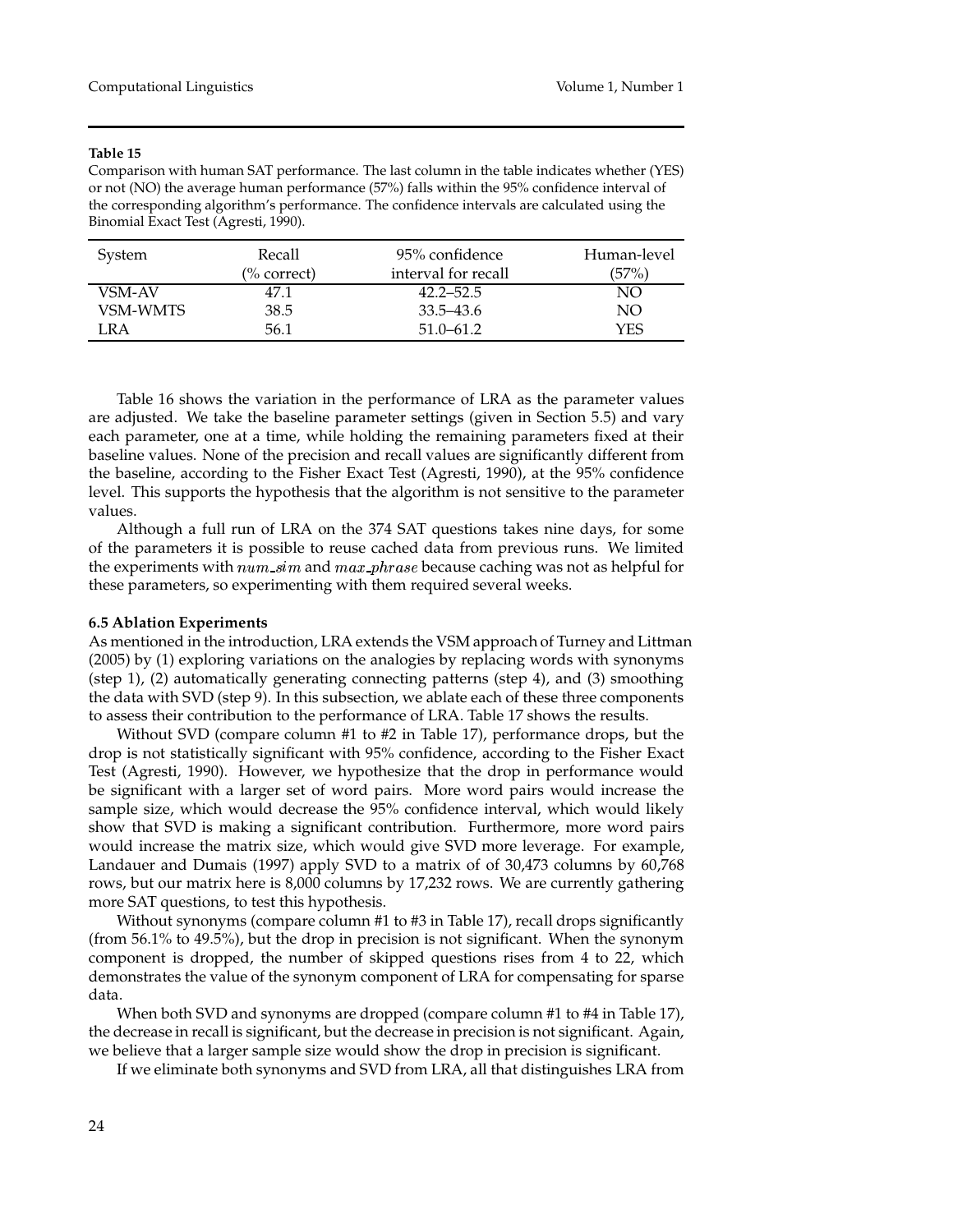Comparison with human SAT performance. The last column in the table indicates whether (YES) or not (NO) the average human performance (57%) falls within the 95% confidence interval of the corresponding algorithm's performance. The confidence intervals are calculated using the Binomial Exact Test (Agresti, 1990).

| System   | Recall      | 95% confidence      | Human-level |
|----------|-------------|---------------------|-------------|
|          | (% correct) | interval for recall | (57%)       |
| VSM-AV   |             | $42.2 - 52.5$       | NO          |
| VSM-WMTS | 38.5        | 33.5–43.6           | NO          |
| I R A    | 56.1        | $51.0 - 61.2$       | YES         |

Table 16 shows the variation in the performance of LRA as the parameter values are adjusted. We take the baseline parameter settings (given in Section 5.5) and vary each parameter, one at a time, while holding the remaining parameters fixed at their baseline values. None of the precision and recall values are significantly different from the baseline, according to the Fisher Exact Test (Agresti, 1990), at the 95% confidence level. This supports the hypothesis that the algorithm is not sensitive to the parameter values.

Although a full run of LRA on the 374 SAT questions takes nine days, for some of the parameters it is possible to reuse cached data from previous runs. We limited the experiments with  $num\_sim$  and  $max\_phrase$  because caching was not as helpful for these parameters, so experimenting with them required several weeks.

# 6.5 Ablation Experiments

As mentioned in the introduction, LRA extends the VSM approach of Turney and Littman (2005) by (1) exploring variations on the analogies by replacing words with synonyms (step 1), (2) automatically generating connecting patterns (step 4), and (3) smoothing the data with SVD (step 9). In this subsection, we ablate each of these three components to assess their contribution to the performance of LRA. Table 17 shows the results.

Without SVD (compare column #1 to #2 in Table 17), performance drops, but the drop is not statistically significant with 95% confidence, according to the Fisher Exact Test (Agresti, 1990). However, we hypothesize that the drop in performance would be significant with a larger set of word pairs. More word pairs would increase the sample size, which would decrease the 95% confidence interval, which would likely show that SVD is making a significant contribution. Furthermore, more word pairs would increase the matrix size, which would give SVD more leverage. For example, Landauer and Dumais (1997) apply SVD to a matrix of of 30,473 columns by 60,768 rows, but our matrix here is 8,000 columns by 17,232 rows. We are currently gathering more SAT questions, to test this hypothesis.

Without synonyms (compare column #1 to #3 in Table 17), recall drops significantly (from 56.1% to 49.5%), but the drop in precision is not significant. When the synonym component is dropped, the number of skipped questions rises from 4 to 22, which demonstrates the value of the synonym component of LRA for compensating for sparse data.

When both SVD and synonyms are dropped (compare column #1 to #4 in Table 17), the decrease in recall is significant, but the decrease in precision is not significant. Again, we believe that a larger sample size would show the drop in precision is significant.

If we eliminate both synonyms and SVD from LRA, all that distinguishes LRA from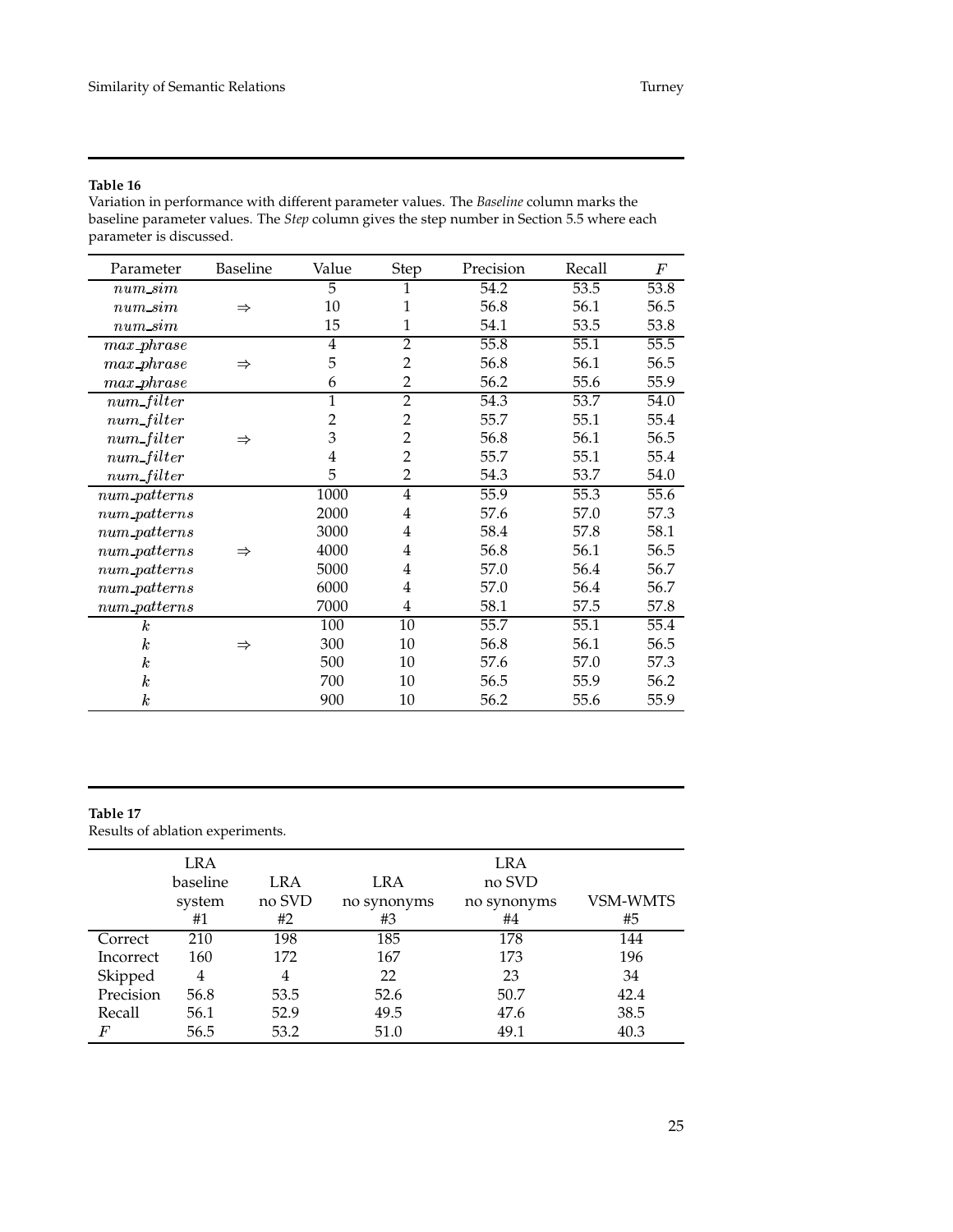Variation in performance with different parameter values. The Baseline column marks the baseline parameter values. The Step column gives the step number in Section 5.5 where each parameter is discussed.

| Parameter             | Baseline      | Value          | Step           | Precision | Recall | $\boldsymbol{F}$ |
|-----------------------|---------------|----------------|----------------|-----------|--------|------------------|
| $num \, \mathit{sim}$ |               | 5              | 1              | 54.2      | 53.5   | 53.8             |
| $num \, \mathit{sim}$ | $\Rightarrow$ | 10             | 1              | 56.8      | 56.1   | 56.5             |
| $num\_sim$            |               | 15             | 1              | 54.1      | 53.5   | 53.8             |
| $max\_phrase$         |               | 4              | $\overline{2}$ | 55.8      | 55.1   | 55.5             |
| $max\_phrase$         | $\Rightarrow$ | 5              | $\overline{2}$ | 56.8      | 56.1   | 56.5             |
| $max\_phrase$         |               | 6              | 2              | 56.2      | 55.6   | 55.9             |
| $num\_filter$         |               | $\mathbf{1}$   | $\overline{2}$ | 54.3      | 53.7   | 54.0             |
| $num\_filter$         |               | $\overline{2}$ | $\overline{2}$ | 55.7      | 55.1   | 55.4             |
| $num\_filter$         | $\Rightarrow$ | 3              | $\overline{2}$ | 56.8      | 56.1   | 56.5             |
| $num\_filter$         |               | 4              | $\overline{2}$ | 55.7      | 55.1   | 55.4             |
| $num\_filter$         |               | 5              | $\overline{2}$ | 54.3      | 53.7   | 54.0             |
| $num\_patterns$       |               | 1000           | $\overline{4}$ | 55.9      | 55.3   | 55.6             |
| $num\_patterns$       |               | 2000           | $\overline{4}$ | 57.6      | 57.0   | 57.3             |
| $num\_patterns$       |               | 3000           | 4              | 58.4      | 57.8   | 58.1             |
| $num\_patterns$       | $\Rightarrow$ | 4000           | $\overline{4}$ | 56.8      | 56.1   | 56.5             |
| $num\_patterns$       |               | 5000           | 4              | 57.0      | 56.4   | 56.7             |
| $num\_patterns$       |               | 6000           | $\overline{4}$ | 57.0      | 56.4   | 56.7             |
| $num\_patterns$       |               | 7000           | $\overline{4}$ | 58.1      | 57.5   | 57.8             |
| $\boldsymbol{k}$      |               | 100            | 10             | 55.7      | 55.1   | 55.4             |
| $\boldsymbol{k}$      | $\Rightarrow$ | 300            | 10             | 56.8      | 56.1   | 56.5             |
| $\boldsymbol{k}$      |               | 500            | 10             | 57.6      | 57.0   | 57.3             |
| $\boldsymbol{k}$      |               | 700            | 10             | 56.5      | 55.9   | 56.2             |
| $\boldsymbol{k}$      |               | 900            | 10             | 56.2      | 55.6   | 55.9             |

# Table 17

Results of ablation experiments.

|           | LRA<br>baseline | <b>LRA</b> | LRA         | <b>LRA</b><br>no SVD |          |
|-----------|-----------------|------------|-------------|----------------------|----------|
|           | system          | no SVD     | no synonyms | no synonyms          | VSM-WMTS |
|           | #1              | #2         | #3          | #4                   | #5       |
| Correct   | 210             | 198        | 185         | 178                  | 144      |
| Incorrect | 160             | 172        | 167         | 173                  | 196      |
| Skipped   | 4               | 4          | 22          | 23                   | 34       |
| Precision | 56.8            | 53.5       | 52.6        | 50.7                 | 42.4     |
| Recall    | 56.1            | 52.9       | 49.5        | 47.6                 | 38.5     |
| F         | 56.5            | 53.2       | 51.0        | 49.1                 | 40.3     |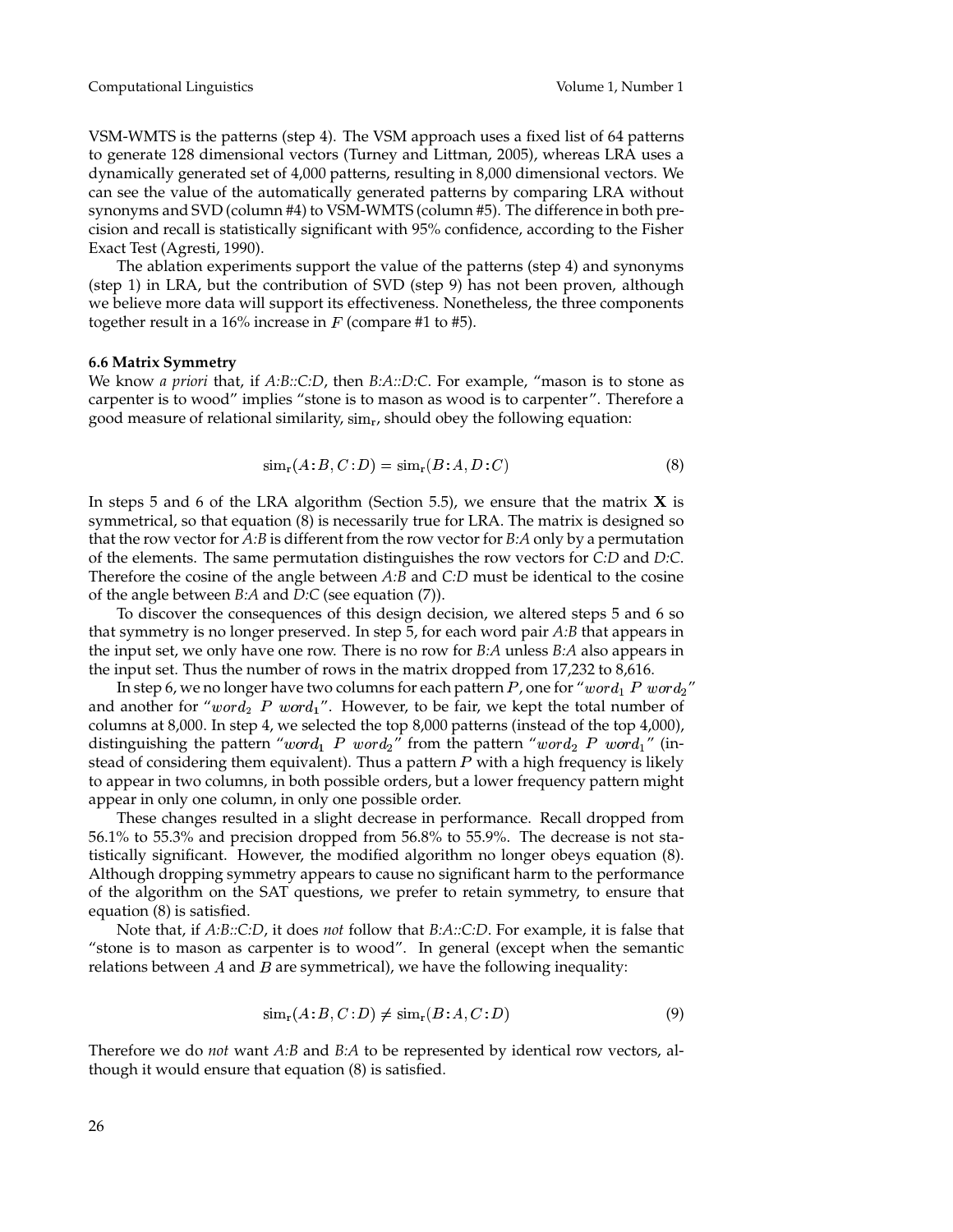VSM-WMTS is the patterns (step 4). The VSM approach uses a fixed list of 64 patterns to generate 128 dimensional vectors (Turney and Littman, 2005), whereas LRA uses a dynamically generated set of 4,000 patterns, resulting in 8,000 dimensional vectors. We can see the value of the automatically generated patterns by comparing LRA without synonyms and SVD (column #4) to VSM-WMTS (column #5). The difference in both precision and recall is statistically significant with 95% confidence, according to the Fisher Exact Test (Agresti, 1990).

The ablation experiments support the value of the patterns (step 4) and synonyms (step 1) in LRA, but the contribution of SVD (step 9) has not been proven, although we believe more data will support its effectiveness. Nonetheless, the three components together result in a 16% increase in  $F$  (compare #1 to #5).

#### 6.6 Matrix Symmetry

We know a priori that, if A:B::C:D, then B:A::D:C. For example, "mason is to stone as carpenter is to wood" implies "stone is to mason as wood is to carpenter". Therefore a good measure of relational similarity,  $\sin_{r}$ , should obey the following equation:

$$
\operatorname{sim}_{\mathbf{r}}(A:B,C:D) = \operatorname{sim}_{\mathbf{r}}(B:A,D:C) \tag{8}
$$

In steps 5 and 6 of the LRA algorithm (Section 5.5), we ensure that the matrix  $\boldsymbol{\mathrm{X}}$  is symmetrical, so that equation (8) is necessarily true for LRA. The matrix is designed so that the row vector for  $A:B$  is different from the row vector for  $B:A$  only by a permutation of the elements. The same permutation distinguishes the row vectors for C:D and D:C. Therefore the cosine of the angle between A:B and C:D must be identical to the cosine of the angle between  $B:A$  and  $D:C$  (see equation  $(7)$ ).

To discover the consequences of this design decision, we altered steps 5 and 6 so that symmetry is no longer preserved. In step  $5$ , for each word pair  $A:B$  that appears in the input set, we only have one row. There is no row for B:A unless B:A also appears in the input set. Thus the number of rows in the matrix dropped from 17,232 to 8,616.

In step 6, we no longer have two columns for each pattern  $P$ , one for " $word_1 \; P \; word_2$ " and another for " $word_2$  P  $word_1$ ". However, to be fair, we kept the total number of columns at 8,000. In step 4, we selected the top 8,000 patterns (instead of the top 4,000), distinguishing the pattern " $word_1$  P  $word_2$ " from the pattern " $word_2$  P  $word_1$ " (instead of considering them equivalent). Thus a pattern  $P$  with a high frequency is likely to appear in two columns, in both possible orders, but a lower frequency pattern might appear in only one column, in only one possible order.

These changes resulted in a slight decrease in performance. Recall dropped from 56.1% to 55.3% and precision dropped from 56.8% to 55.9%. The decrease is not statistically significant. However, the modified algorithm no longer obeys equation (8). Although dropping symmetry appears to cause no significant harm to the performance of the algorithm on the SAT questions, we prefer to retain symmetry, to ensure that equation (8) is satisfied.

Note that, if A:B::C:D, it does not follow that B:A::C:D. For example, it is false that "stone is to mason as carpenter is to wood". In general (except when the semantic relations between  $A$  and  $B$  are symmetrical), we have the following inequality:

$$
\operatorname{sim}_{\mathbf{r}}(A:B,C:D) \neq \operatorname{sim}_{\mathbf{r}}(B:A,C:D) \tag{9}
$$

Therefore we do *not* want  $A:B$  and  $B:A$  to be represented by identical row vectors, although it would ensure that equation (8) is satisfied.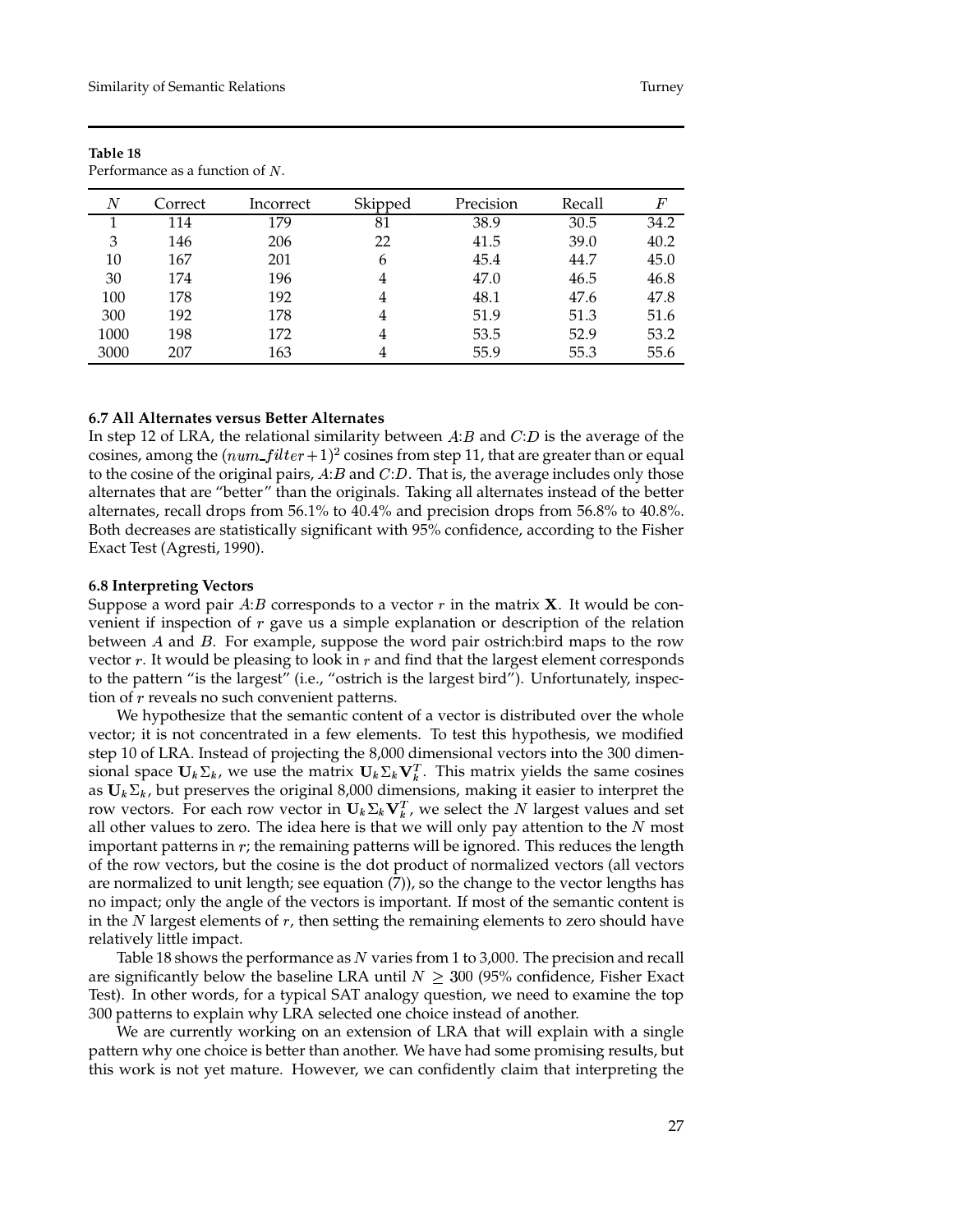| N    | Correct | Incorrect | Skipped | Precision | Recall | $_{F}$ |
|------|---------|-----------|---------|-----------|--------|--------|
|      | 114     | 179       | 81      | 38.9      | 30.5   | 34.2   |
| 3    | 146     | 206       | 22      | 41.5      | 39.0   | 40.2   |
| 10   | 167     | 201       | 6       | 45.4      | 44.7   | 45.0   |
| 30   | 174     | 196       | 4       | 47.0      | 46.5   | 46.8   |
| 100  | 178     | 192       | 4       | 48.1      | 47.6   | 47.8   |
| 300  | 192     | 178       | 4       | 51.9      | 51.3   | 51.6   |
| 1000 | 198     | 172       | 4       | 53.5      | 52.9   | 53.2   |
| 3000 | 207     | 163       | 4       | 55.9      | 55.3   | 55.6   |

Table 18 Performance as a function of  $N$ .

# 6.7 All Alternates versus Better Alternates

In step 12 of LRA, the relational similarity between  $A:B$  and  $C:D$  is the average of the cosines, among the  $(num\_filter + 1)^2$  cosines from step 11, that are greater than or equal to the cosine of the original pairs,  $A:B$  and  $C:D$ . That is, the average includes only those alternates that are "better" than the originals. Taking all alternates instead of the better alternates, recall drops from 56.1% to 40.4% and precision drops from 56.8% to 40.8%. Both decreases are statistically significant with 95% confidence, according to the Fisher Exact Test (Agresti, 1990).

#### 6.8 Interpreting Vectors

Suppose a word pair A:B corresponds to a vector  $r$  in the matrix **X**. It would be convenient if inspection of  $r$  gave us a simple explanation or description of the relation between  $A$  and  $B$ . For example, suppose the word pair ostrich:bird maps to the row vector  $r.$  It would be pleasing to look in  $r$  and find that the largest element corresponds to the pattern "is the largest" (i.e., "ostrich is the largest bird"). Unfortunately, inspection of  $r$  reveals no such convenient patterns.

We hypothesize that the semantic content of a vector is distributed over the whole vector; it is not concentrated in a few elements. To test this hypothesis, we modified step 10 of LRA. Instead of projecting the 8,000 dimensional vectors into the 300 dimensional space  $\mathbf{U}_k\Sigma_k$ , we use the matrix  $\mathbf{U}_k\Sigma_k\mathbf{V}_k^T$ . This matrix yields the same cosines as  $\mathbf{U}_k \Sigma_k$ , but preserves the original 8,000 dimensions, making it easier to interpret the row vectors. For each row vector in  $\mathbf{U}_k \Sigma_k \mathbf{V}_k^T$ , we select the N largest values and set all other values to zero. The idea here is that we will only pay attention to the  $N$  most important patterns in  $r$ ; the remaining patterns will be ignored. This reduces the length of the row vectors, but the cosine is the dot product of normalized vectors (all vectors are normalized to unit length; see equation (7)), so the change to the vector lengths has no impact; only the angle of the vectors is important. If most of the semantic content is in the  $N$  largest elements of  $r$ , then setting the remaining elements to zero should have relatively little impact.

Table 18 shows the performance as  $N$  varies from 1 to 3,000. The precision and recall are significantly below the baseline LRA until  $N \geq 300$  (95% confidence, Fisher Exact Test). In other words, for a typical SAT analogy question, we need to examine the top 300 patterns to explain why LRA selected one choice instead of another.

We are currently working on an extension of LRA that will explain with a single pattern why one choice is better than another. We have had some promising results, but this work is not yet mature. However, we can confidently claim that interpreting the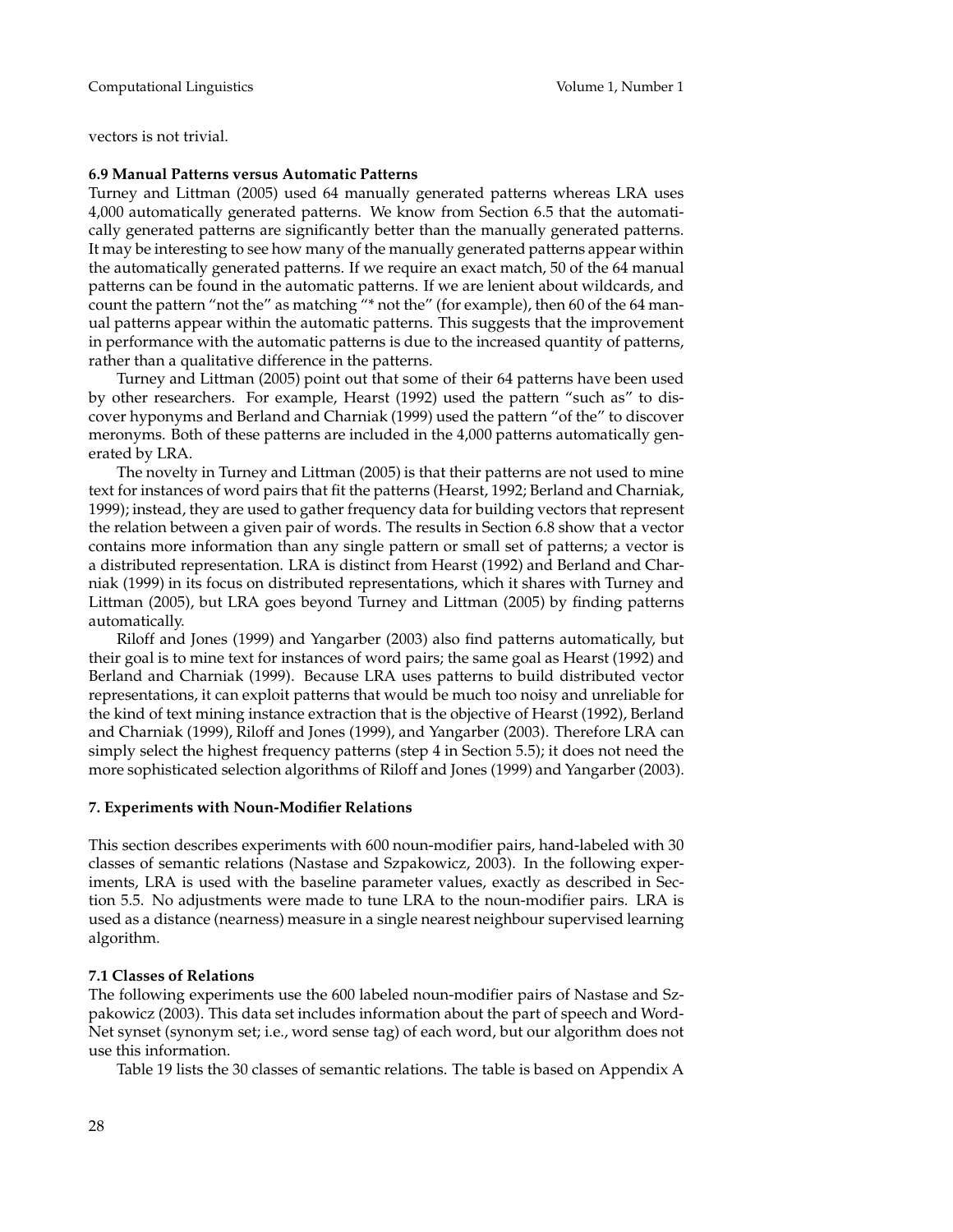vectors is not trivial.

#### 6.9 Manual Patterns versus Automatic Patterns

Turney and Littman (2005) used 64 manually generated patterns whereas LRA uses 4,000 automatically generated patterns. We know from Section 6.5 that the automatically generated patterns are significantly better than the manually generated patterns. It may be interesting to see how many of the manually generated patterns appear within the automatically generated patterns. If we require an exact match, 50 of the 64 manual patterns can be found in the automatic patterns. If we are lenient about wildcards, and count the pattern "not the" as matching "\* not the" (for example), then 60 of the 64 manual patterns appear within the automatic patterns. This suggests that the improvement in performance with the automatic patterns is due to the increased quantity of patterns, rather than a qualitative difference in the patterns.

Turney and Littman (2005) point out that some of their 64 patterns have been used by other researchers. For example, Hearst (1992) used the pattern "such as" to discover hyponyms and Berland and Charniak (1999) used the pattern "of the" to discover meronyms. Both of these patterns are included in the 4,000 patterns automatically generated by LRA.

The novelty in Turney and Littman (2005) is that their patterns are not used to mine text for instances of word pairs that fit the patterns (Hearst, 1992; Berland and Charniak, 1999); instead, they are used to gather frequency data for building vectors that represent the relation between a given pair of words. The results in Section 6.8 show that a vector contains more information than any single pattern or small set of patterns; a vector is a distributed representation. LRA is distinct from Hearst (1992) and Berland and Charniak (1999) in its focus on distributed representations, which it shares with Turney and Littman (2005), but LRA goes beyond Turney and Littman (2005) by finding patterns automatically.

Riloff and Jones (1999) and Yangarber (2003) also find patterns automatically, but their goal is to mine text for instances of word pairs; the same goal as Hearst (1992) and Berland and Charniak (1999). Because LRA uses patterns to build distributed vector representations, it can exploit patterns that would be much too noisy and unreliable for the kind of text mining instance extraction that is the objective of Hearst (1992), Berland and Charniak (1999), Riloff and Jones (1999), and Yangarber (2003). Therefore LRA can simply select the highest frequency patterns (step 4 in Section 5.5); it does not need the more sophisticated selection algorithms of Riloff and Jones (1999) and Yangarber (2003).

#### 7. Experiments with Noun-Modifier Relations

This section describes experiments with 600 noun-modifier pairs, hand-labeled with 30 classes of semantic relations (Nastase and Szpakowicz, 2003). In the following experiments, LRA is used with the baseline parameter values, exactly as described in Section 5.5. No adjustments were made to tune LRA to the noun-modifier pairs. LRA is used as a distance (nearness) measure in a single nearest neighbour supervised learning algorithm.

#### 7.1 Classes of Relations

The following experiments use the 600 labeled noun-modifier pairs of Nastase and Szpakowicz (2003). This data set includes information about the part of speech and Word-Net synset (synonym set; i.e., word sense tag) of each word, but our algorithm does not use this information.

Table 19 lists the 30 classes of semantic relations. The table is based on Appendix A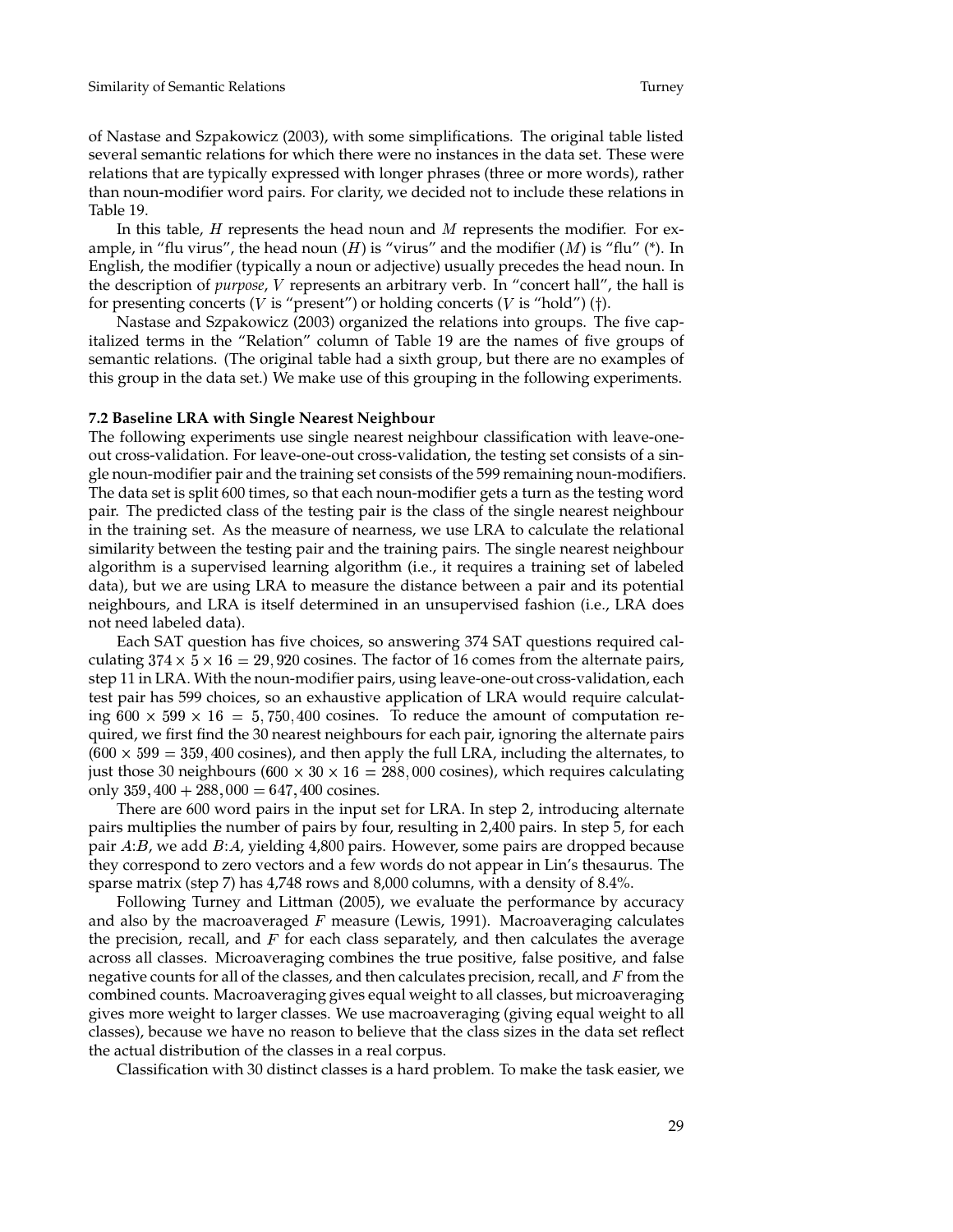of Nastase and Szpakowicz (2003), with some simplifications. The original table listed several semantic relations for which there were no instances in the data set. These were relations that are typically expressed with longer phrases (three or more words), rather than noun-modifier word pairs. For clarity, we decided not to include these relations in Table 19.

In this table,  $H$  represents the head noun and  $M$  represents the modifier. For example, in "flu virus", the head noun  $(H)$  is "virus" and the modifier  $(M)$  is "flu" (\*). In English, the modifier (typically a noun or adjective) usually precedes the head noun. In the description of *purpose, V* represents an arbitrary verb. In "concert hall", the hall is for presenting concerts (V is "present") or holding concerts (V is "hold") (†).

Nastase and Szpakowicz (2003) organized the relations into groups. The five capitalized terms in the "Relation" column of Table 19 are the names of five groups of semantic relations. (The original table had a sixth group, but there are no examples of this group in the data set.) We make use of this grouping in the following experiments.

#### 7.2 Baseline LRA with Single Nearest Neighbour

The following experiments use single nearest neighbour classification with leave-oneout cross-validation. For leave-one-out cross-validation, the testing set consists of a single noun-modifier pair and the training set consists of the 599 remaining noun-modifiers. The data set is split 600 times, so that each noun-modifier gets a turn as the testing word pair. The predicted class of the testing pair is the class of the single nearest neighbour in the training set. As the measure of nearness, we use LRA to calculate the relational similarity between the testing pair and the training pairs. The single nearest neighbour algorithm is a supervised learning algorithm (i.e., it requires a training set of labeled data), but we are using LRA to measure the distance between a pair and its potential neighbours, and LRA is itself determined in an unsupervised fashion (i.e., LRA does not need labeled data).

Each SAT question has five choices, so answering 374 SAT questions required calculating 374  $\times$  5  $\times$  16  $=$  29, 920 cosines. The factor of 16 comes from the alternate pairs, step 11 in LRA. With the noun-modifier pairs, using leave-one-out cross-validation, each test pair has 599 choices, so an exhaustive application of LRA would require calculating  $600 \times 599 \times 16 = 5,750,400$  cosines. To reduce the amount of computation required, we first find the 30 nearest neighbours for each pair, ignoring the alternate pairs  $(600 \times 599 = 359, 400 \text{ cosines})$ , and then apply the full LRA, including the alternates, to just those 30 neighbours ( $600 \times 30 \times 16 = 288,000$  cosines), which requires calculating only  $359,400 + 288,000 = 647,400$  cosines.

There are 600 word pairs in the input set for LRA. In step 2, introducing alternate pairs multiplies the number of pairs by four, resulting in 2,400 pairs. In step 5, for each pair A:B, we add B:A, yielding 4,800 pairs. However, some pairs are dropped because they correspond to zero vectors and a few words do not appear in Lin's thesaurus. The sparse matrix (step 7) has 4,748 rows and 8,000 columns, with a density of 8.4%.

Following Turney and Littman (2005), we evaluate the performance by accuracy and also by the macroaveraged  $F$  measure (Lewis, 1991). Macroaveraging calculates the precision, recall, and  $F$  for each class separately, and then calculates the average across all classes. Microaveraging combines the true positive, false positive, and false negative counts for all of the classes, and then calculates precision, recall, and  $F$  from the combined counts. Macroaveraging gives equal weight to all classes, but microaveraging gives more weight to larger classes. We use macroaveraging (giving equal weight to all classes), because we have no reason to believe that the class sizes in the data set reflect the actual distribution of the classes in a real corpus.

Classification with 30 distinct classes is a hard problem. To make the task easier, we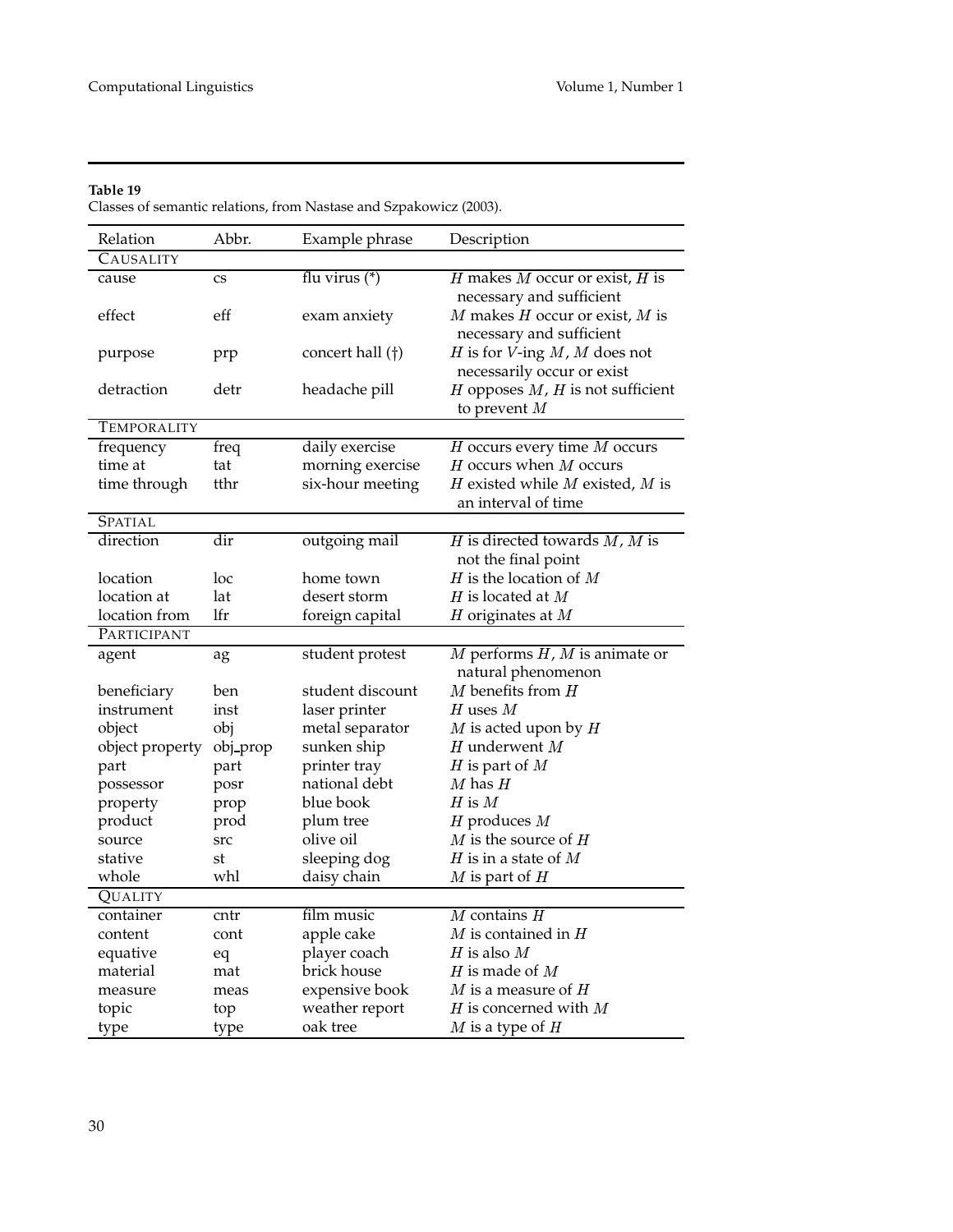# Table 19 Classes of semantic relations, from Nastase and Szpakowicz (2003).

| Relation        | Abbr.                  | Example phrase   | Description                                                          |
|-----------------|------------------------|------------------|----------------------------------------------------------------------|
| CAUSALITY       |                        |                  |                                                                      |
| cause           | $\mathbf{c}\mathbf{s}$ | flu virus $(*)$  | $H$ makes $M$ occur or exist, $H$ is<br>necessary and sufficient     |
| effect          | eff                    | exam anxiety     | $M$ makes $H$ occur or exist, $M$ is<br>necessary and sufficient     |
| purpose         | prp                    | concert hall (†) | $H$ is for $V$ -ing $M$ , $M$ does not<br>necessarily occur or exist |
| detraction      | detr                   | headache pill    | $H$ opposes $M$ , $H$ is not sufficient<br>to prevent $M$            |
| TEMPORALITY     |                        |                  |                                                                      |
| frequency       | freq                   | daily exercise   | $H$ occurs every time $M$ occurs                                     |
| time at         | tat                    | morning exercise | H occurs when M occurs                                               |
| time through    | tthr                   | six-hour meeting | $H$ existed while $M$ existed, $M$ is<br>an interval of time         |
| Spatial         |                        |                  |                                                                      |
| direction       | dir                    | outgoing mail    | $H$ is directed towards $M$ , $M$ is                                 |
|                 |                        |                  | not the final point                                                  |
| location        | loc                    | home town        | H is the location of $M$                                             |
| location at     | lat                    | desert storm     | H is located at $M$                                                  |
| location from   | lfr                    | foreign capital  | $H$ originates at $M$                                                |
| PARTICIPANT     |                        |                  |                                                                      |
| agent           | ag                     | student protest  | $M$ performs $H$ , $M$ is animate or<br>natural phenomenon           |
| beneficiary     | ben                    | student discount | $M$ benefits from $H$                                                |
| instrument      | inst                   | laser printer    | H uses $M$                                                           |
| object          | obj                    | metal separator  | $M$ is acted upon by $H$                                             |
| object property | obj_prop               | sunken ship      | $H$ underwent $M$                                                    |
| part            | part                   | printer tray     | $H$ is part of $M$                                                   |
| possessor       | posr                   | national debt    | $M$ has $H$                                                          |
| property        | prop                   | blue book        | $H$ is $M$                                                           |
| product         | prod                   | plum tree        | $H$ produces $M$                                                     |
| source          | src                    | olive oil        | $M$ is the source of $H$                                             |
| stative         | st                     | sleeping dog     | H is in a state of $M$                                               |
| whole           | whl                    | daisy chain      | $M$ is part of $H$                                                   |
| QUALITY         |                        |                  |                                                                      |
| container       | cntr                   | film music       | $M$ contains $H$                                                     |
| content         | cont                   | apple cake       | $M$ is contained in $H$                                              |
| equative        | eq                     | player coach     | $H$ is also $M$                                                      |
| material        | mat                    | brick house      | H is made of $M$                                                     |
| measure         | meas                   | expensive book   | $M$ is a measure of $H$                                              |
| topic           | top                    | weather report   | $H$ is concerned with $M$                                            |
| type            | type                   | oak tree         | M is a type of $H$                                                   |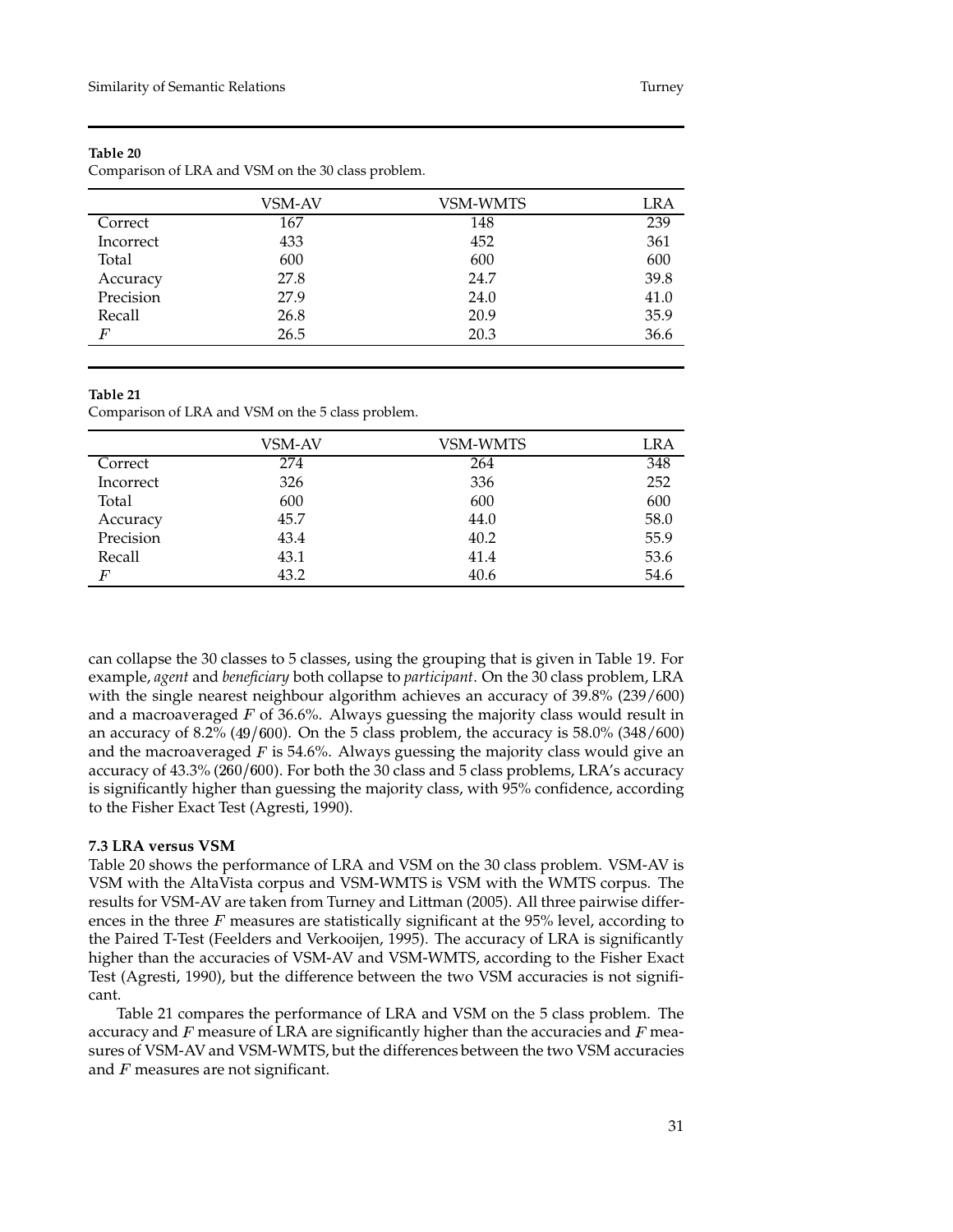|           | VSM-AV | VSM-WMTS | LRA  |
|-----------|--------|----------|------|
| Correct   | 167    | 148      | 239  |
| Incorrect | 433    | 452      | 361  |
| Total     | 600    | 600      | 600  |
| Accuracy  | 27.8   | 24.7     | 39.8 |
| Precision | 27.9   | 24.0     | 41.0 |
| Recall    | 26.8   | 20.9     | 35.9 |
| $\,F$     | 26.5   | 20.3     | 36.6 |
|           |        |          |      |

Comparison of LRA and VSM on the 30 class problem.

#### Table 21

Comparison of LRA and VSM on the 5 class problem.

|           | VSM-AV | VSM-WMTS | LRA  |
|-----------|--------|----------|------|
| Correct   | 274    | 264      | 348  |
| Incorrect | 326    | 336      | 252  |
| Total     | 600    | 600      | 600  |
| Accuracy  | 45.7   | 44.0     | 58.0 |
| Precision | 43.4   | 40.2     | 55.9 |
| Recall    | 43.1   | 41.4     | 53.6 |
| F         | 43.2   | 40.6     | 54.6 |

can collapse the 30 classes to 5 classes, using the grouping that is given in Table 19. For example, agent and beneficiary both collapse to participant. On the 30 class problem, LRA with the single nearest neighbour algorithm achieves an accuracy of 39.8% (239/600) and a macroaveraged  $F$  of 36.6%. Always guessing the majority class would result in an accuracy of  $8.2\%$  ( $49/600$ ). On the 5 class problem, the accuracy is  $58.0\%$  ( $348/600$ ) and the macroaveraged  $F$  is 54.6%. Always guessing the majority class would give an accuracy of  $43.3\%$  ( $260/600$ ). For both the 30 class and 5 class problems, LRA's accuracy is significantly higher than guessing the majority class, with 95% confidence, according to the Fisher Exact Test (Agresti, 1990).

# 7.3 LRA versus VSM

Table 20 shows the performance of LRA and VSM on the 30 class problem. VSM-AV is VSM with the AltaVista corpus and VSM-WMTS is VSM with the WMTS corpus. The results for VSM-AV are taken from Turney and Littman (2005). All three pairwise differences in the three  $F$  measures are statistically significant at the 95% level, according to the Paired T-Test (Feelders and Verkooijen, 1995). The accuracy of LRA is significantly higher than the accuracies of VSM-AV and VSM-WMTS, according to the Fisher Exact Test (Agresti, 1990), but the difference between the two VSM accuracies is not significant.

Table 21 compares the performance of LRA and VSM on the 5 class problem. The accuracy and  $F$  measure of LRA are significantly higher than the accuracies and  $F$  measures of VSM-AV and VSM-WMTS, but the differences between the two VSM accuracies and  $F$  measures are not significant.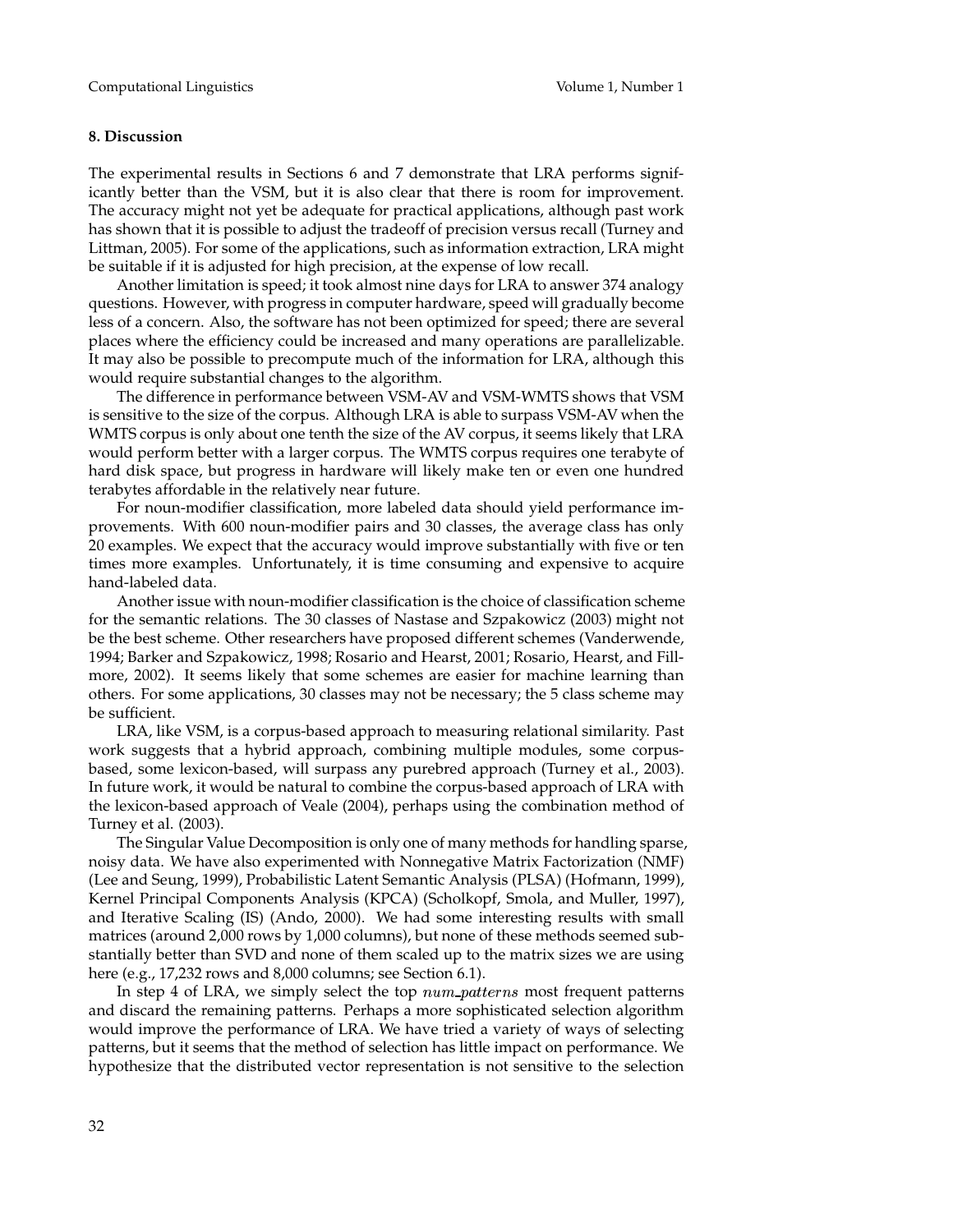# 8. Discussion

The experimental results in Sections 6 and 7 demonstrate that LRA performs significantly better than the VSM, but it is also clear that there is room for improvement. The accuracy might not yet be adequate for practical applications, although past work has shown that it is possible to adjust the tradeoff of precision versus recall (Turney and Littman, 2005). For some of the applications, such as information extraction, LRA might be suitable if it is adjusted for high precision, at the expense of low recall.

Another limitation is speed; it took almost nine days for LRA to answer 374 analogy questions. However, with progress in computer hardware, speed will gradually become less of a concern. Also, the software has not been optimized for speed; there are several places where the efficiency could be increased and many operations are parallelizable. It may also be possible to precompute much of the information for LRA, although this would require substantial changes to the algorithm.

The difference in performance between VSM-AV and VSM-WMTS shows that VSM is sensitive to the size of the corpus. Although LRA is able to surpass VSM-AV when the WMTS corpus is only about one tenth the size of the AV corpus, it seems likely that LRA would perform better with a larger corpus. The WMTS corpus requires one terabyte of hard disk space, but progress in hardware will likely make ten or even one hundred terabytes affordable in the relatively near future.

For noun-modifier classification, more labeled data should yield performance improvements. With 600 noun-modifier pairs and 30 classes, the average class has only 20 examples. We expect that the accuracy would improve substantially with five or ten times more examples. Unfortunately, it is time consuming and expensive to acquire hand-labeled data.

Another issue with noun-modifier classification is the choice of classification scheme for the semantic relations. The 30 classes of Nastase and Szpakowicz (2003) might not be the best scheme. Other researchers have proposed different schemes (Vanderwende, 1994; Barker and Szpakowicz, 1998; Rosario and Hearst, 2001; Rosario, Hearst, and Fillmore, 2002). It seems likely that some schemes are easier for machine learning than others. For some applications, 30 classes may not be necessary; the 5 class scheme may be sufficient.

LRA, like VSM, is a corpus-based approach to measuring relational similarity. Past work suggests that a hybrid approach, combining multiple modules, some corpusbased, some lexicon-based, will surpass any purebred approach (Turney et al., 2003). In future work, it would be natural to combine the corpus-based approach of LRA with the lexicon-based approach of Veale (2004), perhaps using the combination method of Turney et al. (2003).

The Singular Value Decomposition is only one of many methods for handling sparse, noisy data. We have also experimented with Nonnegative Matrix Factorization (NMF) (Lee and Seung, 1999), Probabilistic Latent Semantic Analysis (PLSA) (Hofmann, 1999), Kernel Principal Components Analysis (KPCA) (Scholkopf, Smola, and Muller, 1997), and Iterative Scaling (IS) (Ando, 2000). We had some interesting results with small matrices (around 2,000 rows by 1,000 columns), but none of these methods seemed substantially better than SVD and none of them scaled up to the matrix sizes we are using here (e.g., 17,232 rows and 8,000 columns; see Section 6.1).

In step 4 of LRA, we simply select the top  $\it{num\_patterns}$  most frequent patterns and discard the remaining patterns. Perhaps a more sophisticated selection algorithm would improve the performance of LRA. We have tried a variety of ways of selecting patterns, but it seems that the method of selection has little impact on performance. We hypothesize that the distributed vector representation is not sensitive to the selection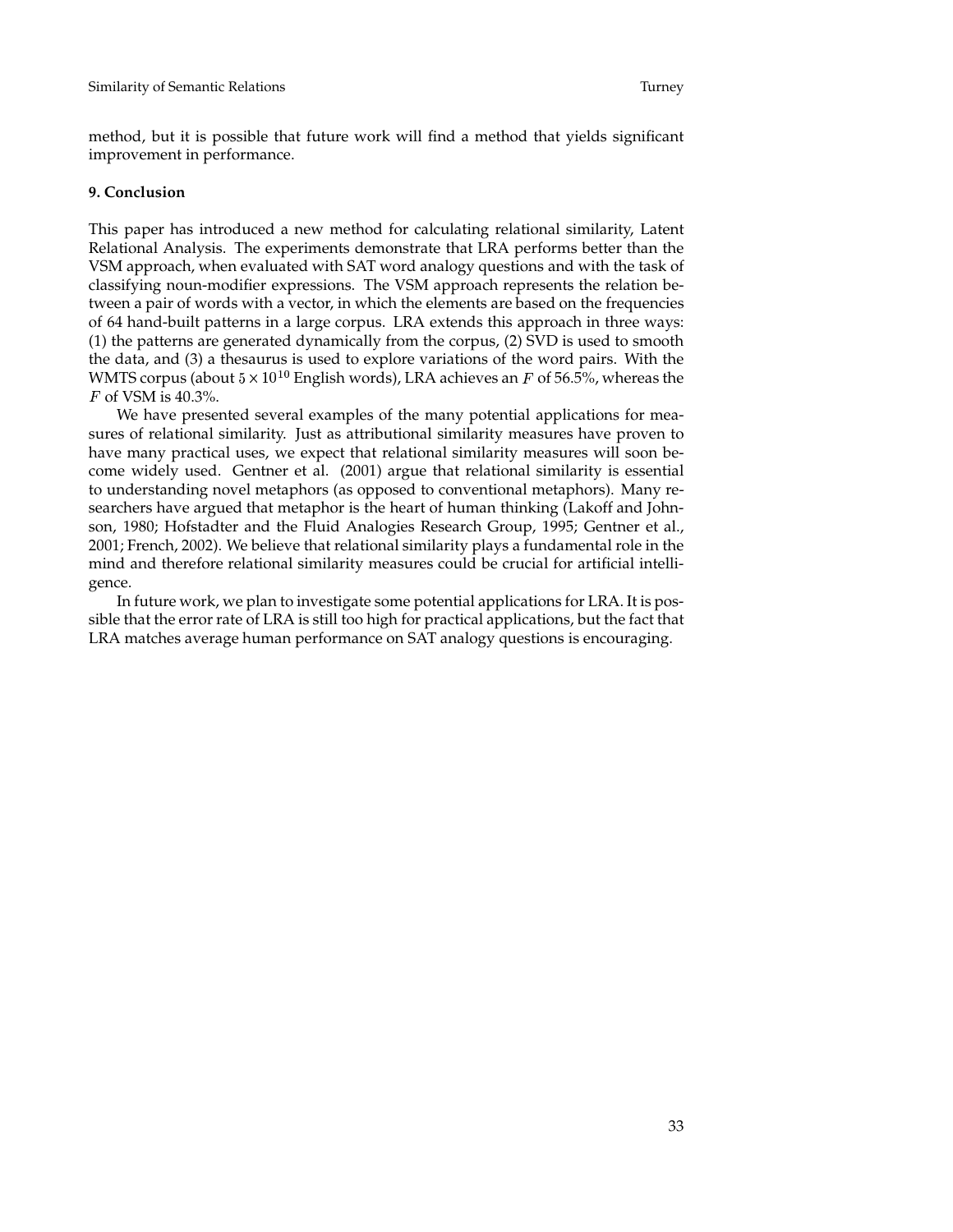method, but it is possible that future work will find a method that yields significant improvement in performance.

# 9. Conclusion

This paper has introduced a new method for calculating relational similarity, Latent Relational Analysis. The experiments demonstrate that LRA performs better than the VSM approach, when evaluated with SAT word analogy questions and with the task of classifying noun-modifier expressions. The VSM approach represents the relation between a pair of words with a vector, in which the elements are based on the frequencies of 64 hand-built patterns in a large corpus. LRA extends this approach in three ways: (1) the patterns are generated dynamically from the corpus, (2) SVD is used to smooth the data, and (3) a thesaurus is used to explore variations of the word pairs. With the WMTS corpus (about  $5\times 10^{10}$  English words), LRA achieves an  $F$  of 56.5%, whereas the  $F$  of VSM is 40.3%.

We have presented several examples of the many potential applications for measures of relational similarity. Just as attributional similarity measures have proven to have many practical uses, we expect that relational similarity measures will soon become widely used. Gentner et al. (2001) argue that relational similarity is essential to understanding novel metaphors (as opposed to conventional metaphors). Many researchers have argued that metaphor is the heart of human thinking (Lakoff and Johnson, 1980; Hofstadter and the Fluid Analogies Research Group, 1995; Gentner et al., 2001; French, 2002). We believe that relational similarity plays a fundamental role in the mind and therefore relational similarity measures could be crucial for artificial intelligence.

In future work, we plan to investigate some potential applications for LRA. It is possible that the error rate of LRA is still too high for practical applications, but the fact that LRA matches average human performance on SAT analogy questions is encouraging.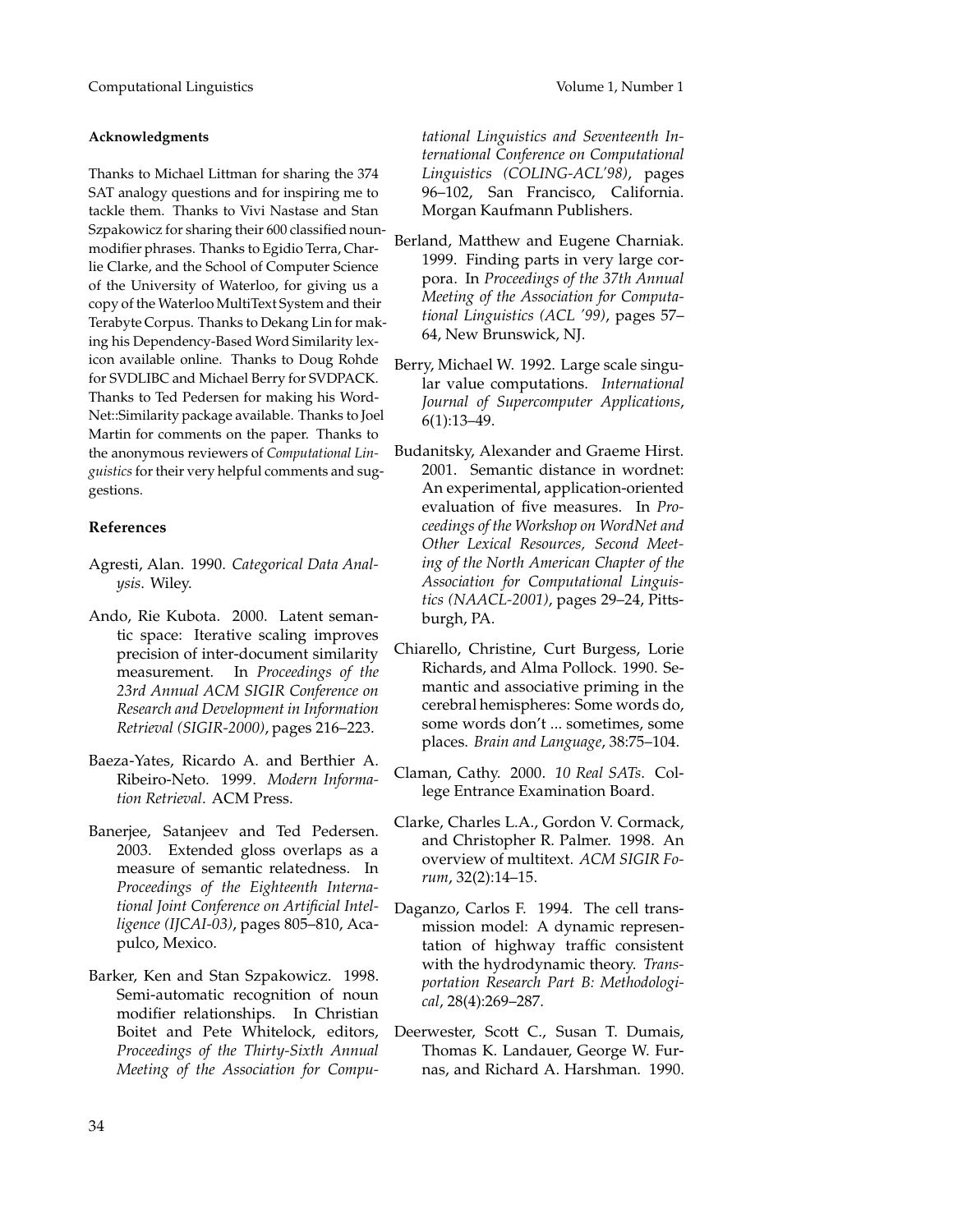#### Acknowledgments

Thanks to Michael Littman for sharing the 374 SAT analogy questions and for inspiring me to tackle them. Thanks to Vivi Nastase and Stan Szpakowicz for sharing their 600 classified nounmodifier phrases. Thanks to Egidio Terra, Charlie Clarke, and the School of Computer Science of the University of Waterloo, for giving us a copy of the Waterloo MultiText System and their Terabyte Corpus. Thanks to Dekang Lin for making his Dependency-Based Word Similarity lexicon available online. Thanks to Doug Rohde for SVDLIBC and Michael Berry for SVDPACK. Thanks to Ted Pedersen for making his Word-Net::Similarity package available. Thanks to Joel Martin for comments on the paper. Thanks to the anonymous reviewers of Computational Linguistics for their very helpful comments and suggestions.

# References

- Agresti, Alan. 1990. Categorical Data Analysis. Wiley.
- Ando, Rie Kubota. 2000. Latent semantic space: Iterative scaling improves precision of inter-document similarity measurement. In Proceedings of the 23rd Annual ACM SIGIR Conference on Research and Development in Information Retrieval (SIGIR-2000), pages 216–223.
- Baeza-Yates, Ricardo A. and Berthier A. Ribeiro-Neto. 1999. Modern Information Retrieval. ACM Press.
- Banerjee, Satanjeev and Ted Pedersen. 2003. Extended gloss overlaps as a measure of semantic relatedness. In Proceedings of the Eighteenth International Joint Conference on Artificial Intelligence (IJCAI-03), pages 805–810, Acapulco, Mexico.
- Barker, Ken and Stan Szpakowicz. 1998. Semi-automatic recognition of noun modifier relationships. In Christian Boitet and Pete Whitelock, editors, Proceedings of the Thirty-Sixth Annual Meeting of the Association for Compu-

tational Linguistics and Seventeenth International Conference on Computational Linguistics (COLING-ACL'98), pages 96–102, San Francisco, California. Morgan Kaufmann Publishers.

- Berland, Matthew and Eugene Charniak. 1999. Finding parts in very large corpora. In Proceedings of the 37th Annual Meeting of the Association for Computational Linguistics (ACL '99), pages 57– 64, New Brunswick, NJ.
- Berry, Michael W. 1992. Large scale singular value computations. International Journal of Supercomputer Applications, 6(1):13–49.
- Budanitsky, Alexander and Graeme Hirst. 2001. Semantic distance in wordnet: An experimental, application-oriented evaluation of five measures. In Proceedings of the Workshop on WordNet and Other Lexical Resources, Second Meeting of the North American Chapter of the Association for Computational Linguistics (NAACL-2001), pages 29–24, Pittsburgh, PA.
- Chiarello, Christine, Curt Burgess, Lorie Richards, and Alma Pollock. 1990. Semantic and associative priming in the cerebral hemispheres: Some words do, some words don't ... sometimes, some places. Brain and Language, 38:75–104.
- Claman, Cathy. 2000. 10 Real SATs. College Entrance Examination Board.
- Clarke, Charles L.A., Gordon V. Cormack, and Christopher R. Palmer. 1998. An overview of multitext. ACM SIGIR Forum, 32(2):14–15.
- Daganzo, Carlos F. 1994. The cell transmission model: A dynamic representation of highway traffic consistent with the hydrodynamic theory. Transportation Research Part B: Methodological, 28(4):269–287.
- Deerwester, Scott C., Susan T. Dumais, Thomas K. Landauer, George W. Furnas, and Richard A. Harshman. 1990.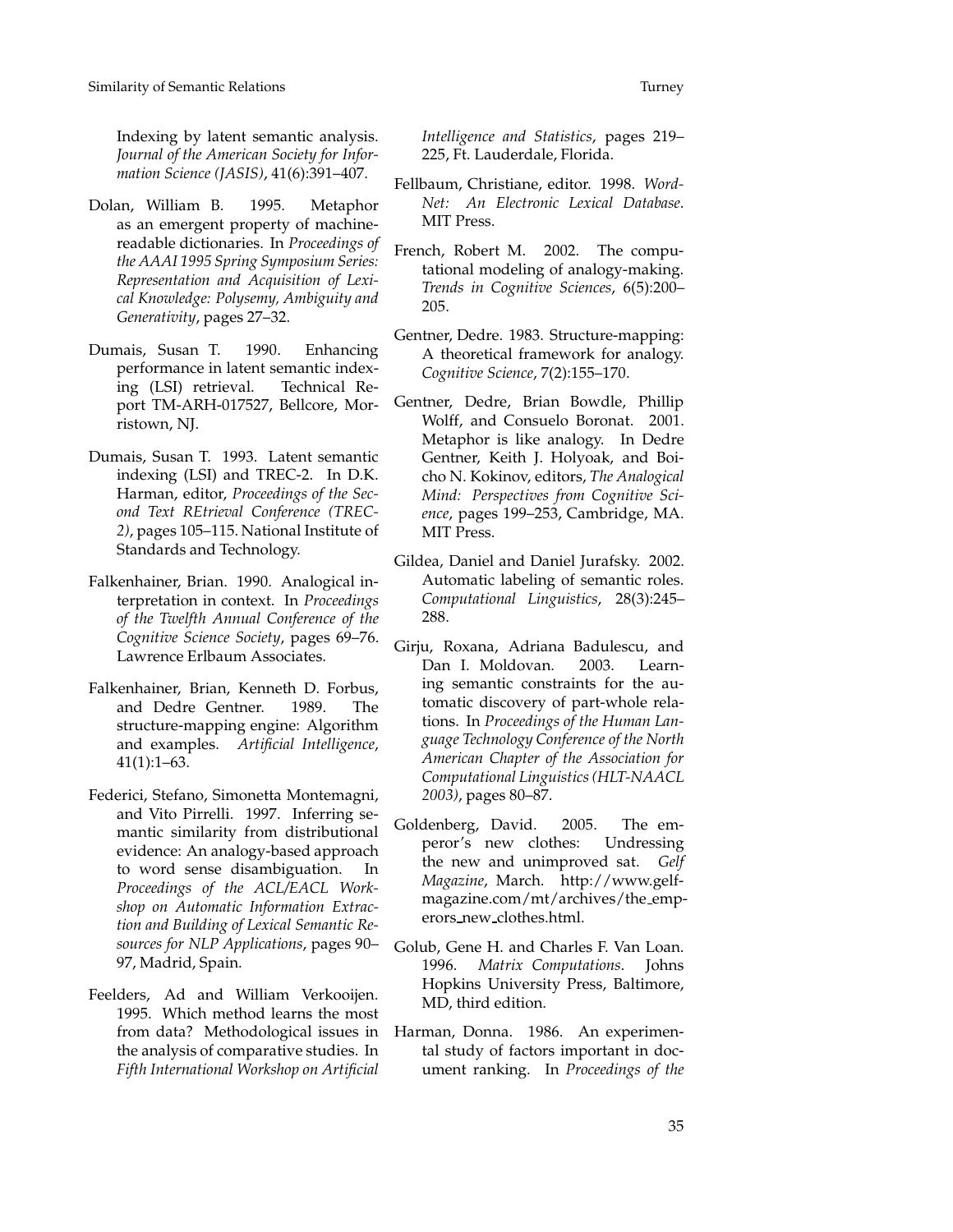Indexing by latent semantic analysis. Journal of the American Society for Information Science (JASIS), 41(6):391–407.

- Dolan, William B. 1995. Metaphor as an emergent property of machinereadable dictionaries. In Proceedings of the AAAI 1995 Spring Symposium Series: Representation and Acquisition of Lexical Knowledge: Polysemy, Ambiguity and Generativity, pages 27–32.
- Dumais, Susan T. 1990. Enhancing performance in latent semantic indexing (LSI) retrieval. Technical Report TM-ARH-017527, Bellcore, Morristown, NJ.
- Dumais, Susan T. 1993. Latent semantic indexing (LSI) and TREC-2. In D.K. Harman, editor, Proceedings of the Second Text REtrieval Conference (TREC-2), pages 105–115. National Institute of Standards and Technology.
- Falkenhainer, Brian. 1990. Analogical interpretation in context. In Proceedings of the Twelfth Annual Conference of the Cognitive Science Society, pages 69–76. Lawrence Erlbaum Associates.
- Falkenhainer, Brian, Kenneth D. Forbus, and Dedre Gentner. 1989. The structure-mapping engine: Algorithm and examples. Artificial Intelligence, 41(1):1–63.
- Federici, Stefano, Simonetta Montemagni, and Vito Pirrelli. 1997. Inferring semantic similarity from distributional evidence: An analogy-based approach to word sense disambiguation. In Proceedings of the ACL/EACL Workshop on Automatic Information Extraction and Building of Lexical Semantic Resources for NLP Applications, pages 90– 97, Madrid, Spain.
- Feelders, Ad and William Verkooijen. 1995. Which method learns the most from data? Methodological issues in the analysis of comparative studies. In Fifth International Workshop on Artificial

Intelligence and Statistics, pages 219– 225, Ft. Lauderdale, Florida.

- Fellbaum, Christiane, editor. 1998. Word-Net: An Electronic Lexical Database. MIT Press.
- French, Robert M. 2002. The computational modeling of analogy-making. Trends in Cognitive Sciences, 6(5):200– 205.
- Gentner, Dedre. 1983. Structure-mapping: A theoretical framework for analogy. Cognitive Science, 7(2):155–170.
- Gentner, Dedre, Brian Bowdle, Phillip Wolff, and Consuelo Boronat. 2001. Metaphor is like analogy. In Dedre Gentner, Keith J. Holyoak, and Boicho N. Kokinov, editors, The Analogical Mind: Perspectives from Cognitive Science, pages 199–253, Cambridge, MA. MIT Press.
- Gildea, Daniel and Daniel Jurafsky. 2002. Automatic labeling of semantic roles. Computational Linguistics, 28(3):245– 288.
- Girju, Roxana, Adriana Badulescu, and Dan I. Moldovan. 2003. Learning semantic constraints for the automatic discovery of part-whole relations. In Proceedings of the Human Language Technology Conference of the North American Chapter of the Association for Computational Linguistics (HLT-NAACL 2003), pages 80–87.
- Goldenberg, David. 2005. The emperor's new clothes: Undressing the new and unimproved sat. Gelf Magazine, March. http://www.gelfmagazine.com/mt/archives/the emperors new clothes.html.
- Golub, Gene H. and Charles F. Van Loan. 1996. Matrix Computations. Johns Hopkins University Press, Baltimore, MD, third edition.
- Harman, Donna. 1986. An experimental study of factors important in document ranking. In Proceedings of the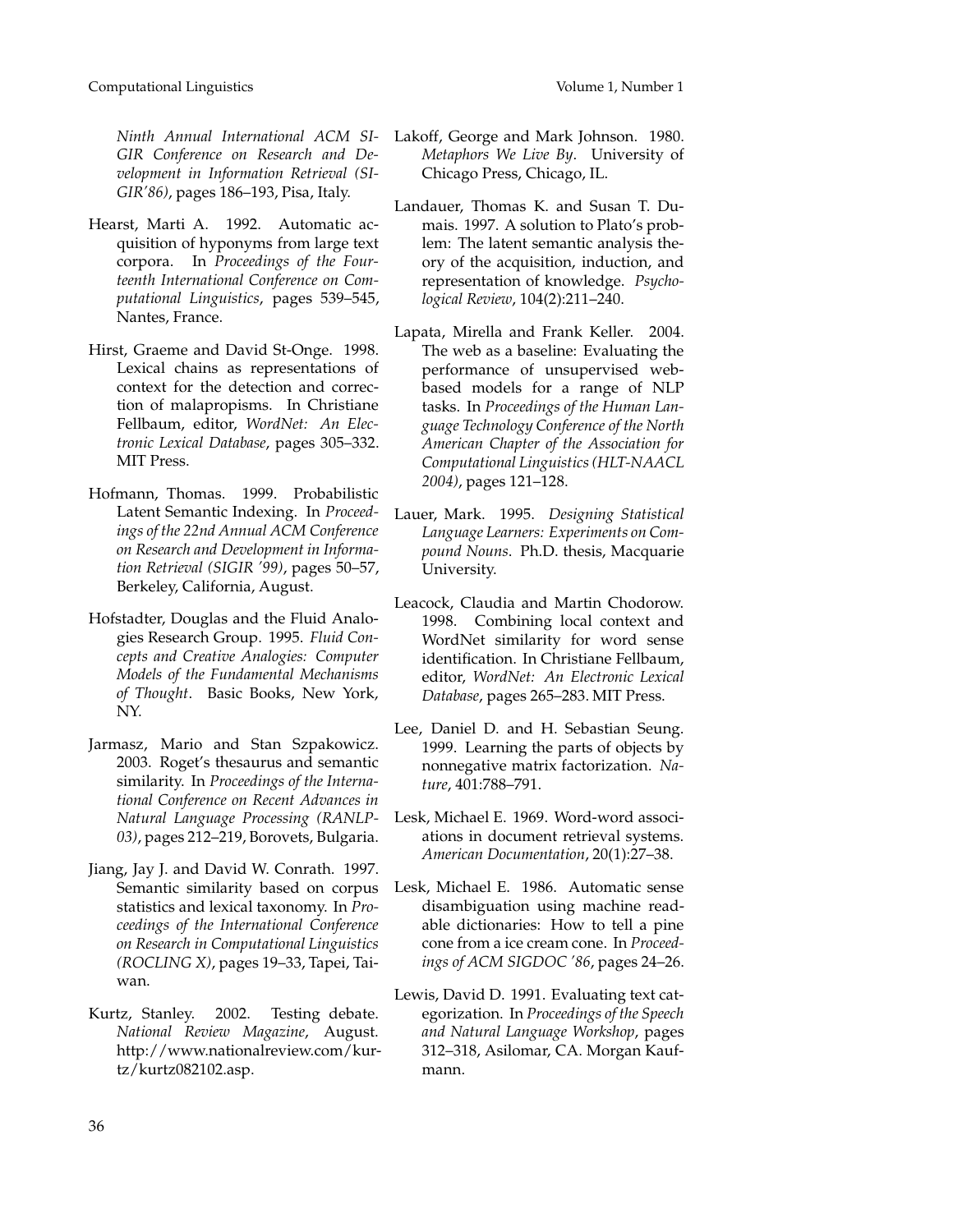Ninth Annual International ACM SI-GIR Conference on Research and Development in Information Retrieval (SI-GIR'86), pages 186–193, Pisa, Italy.

- Hearst, Marti A. 1992. Automatic acquisition of hyponyms from large text corpora. In Proceedings of the Fourteenth International Conference on Computational Linguistics, pages 539–545, Nantes, France.
- Hirst, Graeme and David St-Onge. 1998. Lexical chains as representations of context for the detection and correction of malapropisms. In Christiane Fellbaum, editor, WordNet: An Electronic Lexical Database, pages 305–332. MIT Press.
- Hofmann, Thomas. 1999. Probabilistic Latent Semantic Indexing. In Proceedings of the 22nd Annual ACM Conference on Research and Development in Information Retrieval (SIGIR '99), pages 50–57, Berkeley, California, August.
- Hofstadter, Douglas and the Fluid Analogies Research Group. 1995. Fluid Concepts and Creative Analogies: Computer Models of the Fundamental Mechanisms of Thought. Basic Books, New York, NY.
- Jarmasz, Mario and Stan Szpakowicz. 2003. Roget's thesaurus and semantic similarity. In Proceedings of the International Conference on Recent Advances in Natural Language Processing (RANLP-03), pages 212–219, Borovets, Bulgaria.
- Jiang, Jay J. and David W. Conrath. 1997. Semantic similarity based on corpus statistics and lexical taxonomy. In Proceedings of the International Conference on Research in Computational Linguistics (ROCLING X), pages 19–33, Tapei, Taiwan.
- Kurtz, Stanley. 2002. Testing debate. National Review Magazine, August. http://www.nationalreview.com/kurtz/kurtz082102.asp.
- Lakoff, George and Mark Johnson. 1980. Metaphors We Live By. University of Chicago Press, Chicago, IL.
- Landauer, Thomas K. and Susan T. Dumais. 1997. A solution to Plato's problem: The latent semantic analysis theory of the acquisition, induction, and representation of knowledge. Psychological Review, 104(2):211–240.
- Lapata, Mirella and Frank Keller. 2004. The web as a baseline: Evaluating the performance of unsupervised webbased models for a range of NLP tasks. In Proceedings of the Human Language Technology Conference of the North American Chapter of the Association for Computational Linguistics (HLT-NAACL 2004), pages 121–128.
- Lauer, Mark. 1995. Designing Statistical Language Learners: Experiments on Compound Nouns. Ph.D. thesis, Macquarie University.
- Leacock, Claudia and Martin Chodorow. 1998. Combining local context and WordNet similarity for word sense identification. In Christiane Fellbaum, editor, WordNet: An Electronic Lexical Database, pages 265–283. MIT Press.
- Lee, Daniel D. and H. Sebastian Seung. 1999. Learning the parts of objects by nonnegative matrix factorization. Nature, 401:788–791.
- Lesk, Michael E. 1969. Word-word associations in document retrieval systems. American Documentation, 20(1):27–38.
- Lesk, Michael E. 1986. Automatic sense disambiguation using machine readable dictionaries: How to tell a pine cone from a ice cream cone. In Proceedings of ACM SIGDOC '86, pages 24–26.
- Lewis, David D. 1991. Evaluating text categorization. In Proceedings of the Speech and Natural Language Workshop, pages 312–318, Asilomar, CA. Morgan Kaufmann.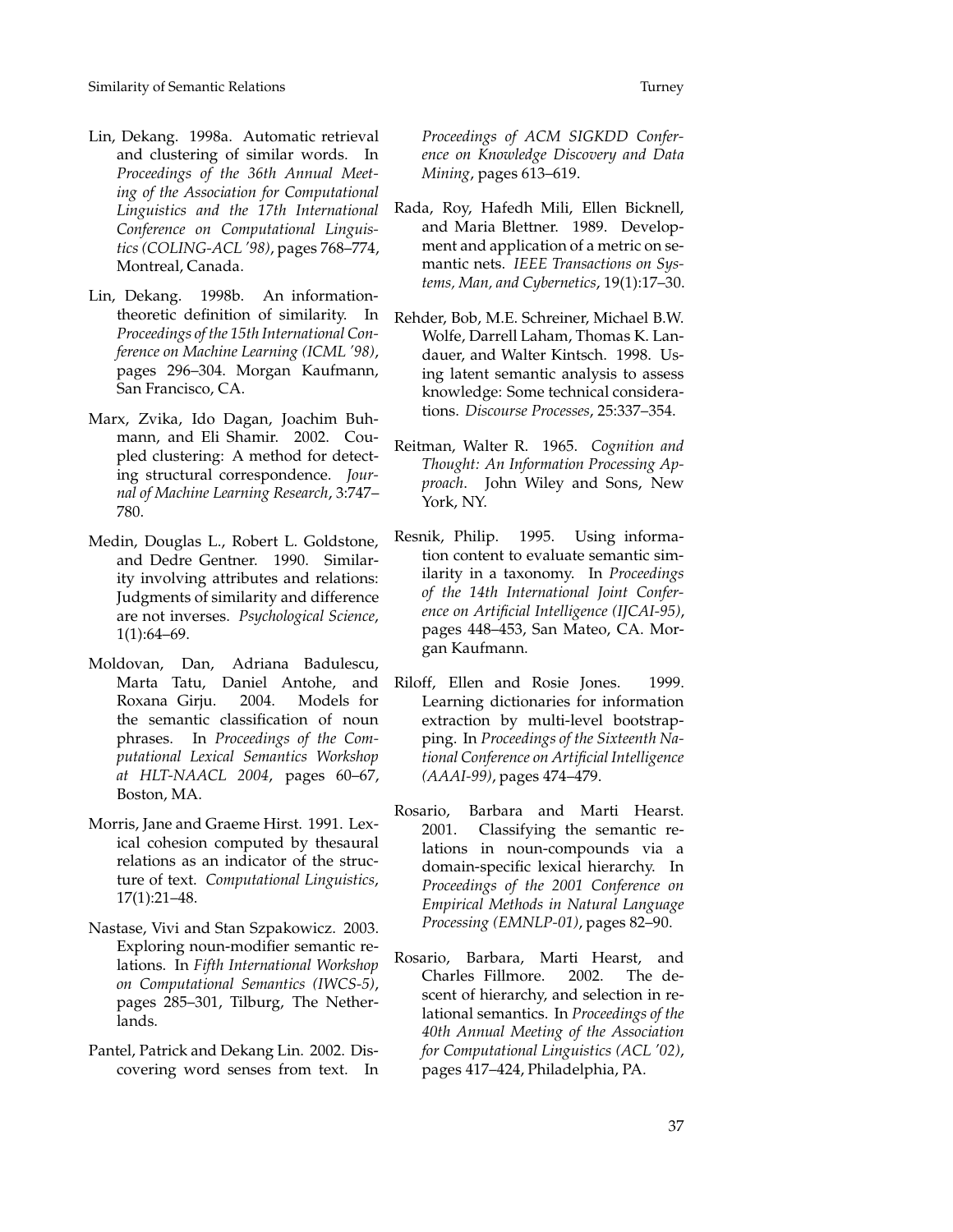- Lin, Dekang. 1998a. Automatic retrieval and clustering of similar words. In Proceedings of the 36th Annual Meeting of the Association for Computational Linguistics and the 17th International Conference on Computational Linguistics (COLING-ACL '98), pages 768–774, Montreal, Canada.
- Lin, Dekang. 1998b. An informationtheoretic definition of similarity. In Proceedings of the 15th International Conference on Machine Learning (ICML '98), pages 296–304. Morgan Kaufmann, San Francisco, CA.
- Marx, Zvika, Ido Dagan, Joachim Buhmann, and Eli Shamir. 2002. Coupled clustering: A method for detecting structural correspondence. Journal of Machine Learning Research, 3:747– 780.
- Medin, Douglas L., Robert L. Goldstone, and Dedre Gentner. 1990. Similarity involving attributes and relations: Judgments of similarity and difference are not inverses. Psychological Science, 1(1):64–69.
- Moldovan, Dan, Adriana Badulescu, Marta Tatu, Daniel Antohe, and Roxana Girju. 2004. Models for the semantic classification of noun phrases. In Proceedings of the Computational Lexical Semantics Workshop at HLT-NAACL 2004, pages 60–67, Boston, MA.
- Morris, Jane and Graeme Hirst. 1991. Lexical cohesion computed by thesaural relations as an indicator of the structure of text. Computational Linguistics, 17(1):21–48.
- Nastase, Vivi and Stan Szpakowicz. 2003. Exploring noun-modifier semantic relations. In Fifth International Workshop on Computational Semantics (IWCS-5), pages 285–301, Tilburg, The Netherlands.
- Pantel, Patrick and Dekang Lin. 2002. Discovering word senses from text. In

Proceedings of ACM SIGKDD Conference on Knowledge Discovery and Data Mining, pages 613–619.

- Rada, Roy, Hafedh Mili, Ellen Bicknell, and Maria Blettner. 1989. Development and application of a metric on semantic nets. IEEE Transactions on Systems, Man, and Cybernetics, 19(1):17–30.
- Rehder, Bob, M.E. Schreiner, Michael B.W. Wolfe, Darrell Laham, Thomas K. Landauer, and Walter Kintsch. 1998. Using latent semantic analysis to assess knowledge: Some technical considerations. Discourse Processes, 25:337–354.
- Reitman, Walter R. 1965. Cognition and Thought: An Information Processing Approach. John Wiley and Sons, New York, NY.
- Resnik, Philip. 1995. Using information content to evaluate semantic similarity in a taxonomy. In Proceedings of the 14th International Joint Conference on Artificial Intelligence (IJCAI-95), pages 448–453, San Mateo, CA. Morgan Kaufmann.
- Riloff, Ellen and Rosie Jones. 1999. Learning dictionaries for information extraction by multi-level bootstrapping. In Proceedings of the Sixteenth National Conference on Artificial Intelligence (AAAI-99), pages 474–479.
- Rosario, Barbara and Marti Hearst. 2001. Classifying the semantic relations in noun-compounds via a domain-specific lexical hierarchy. In Proceedings of the 2001 Conference on Empirical Methods in Natural Language Processing (EMNLP-01), pages 82–90.
- Rosario, Barbara, Marti Hearst, and Charles Fillmore. 2002. The descent of hierarchy, and selection in relational semantics. In Proceedings of the 40th Annual Meeting of the Association for Computational Linguistics (ACL '02), pages 417–424, Philadelphia, PA.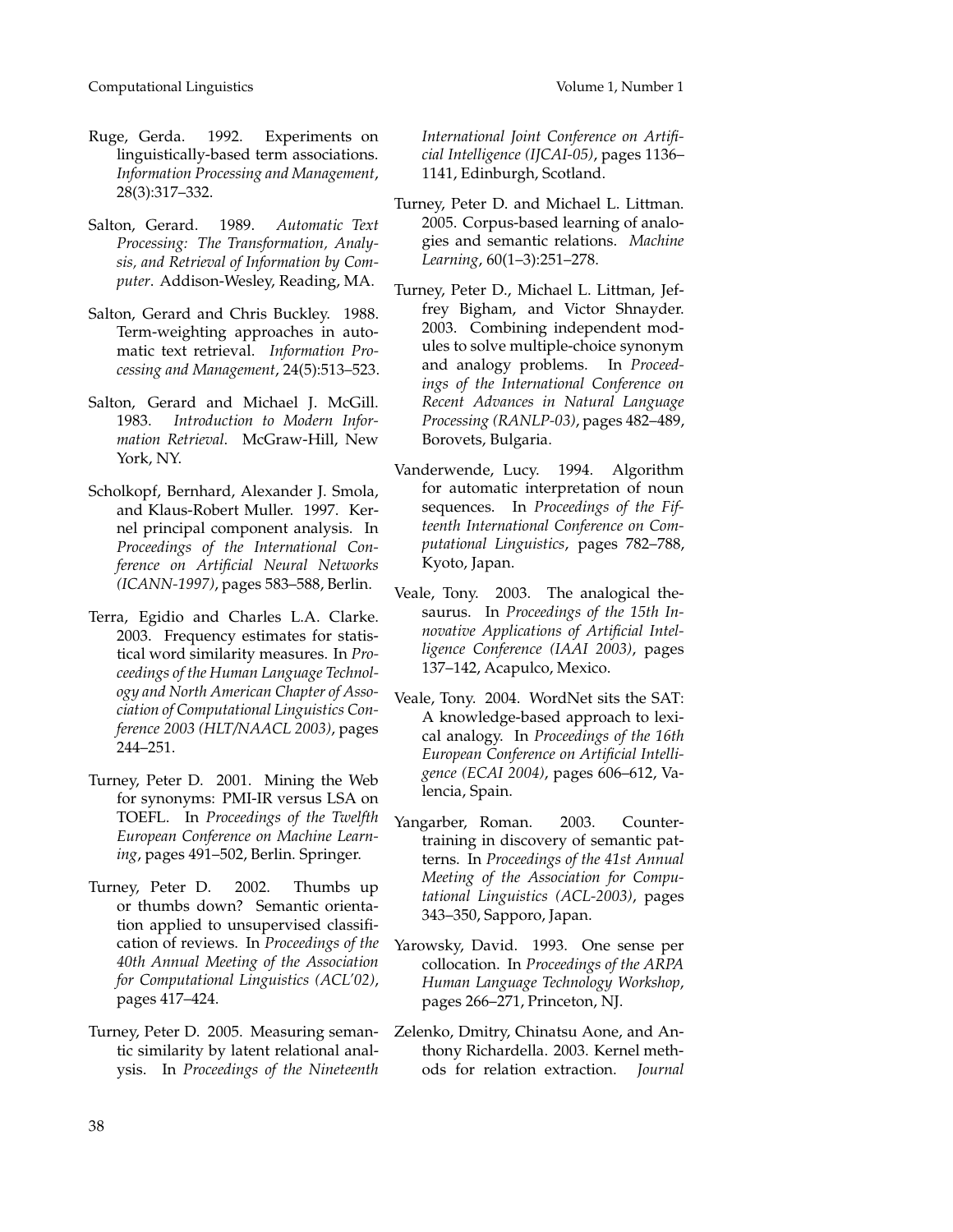- Ruge, Gerda. 1992. Experiments on linguistically-based term associations. Information Processing and Management, 28(3):317–332.
- Salton, Gerard. 1989. Automatic Text Processing: The Transformation, Analysis, and Retrieval of Information by Computer. Addison-Wesley, Reading, MA.
- Salton, Gerard and Chris Buckley. 1988. Term-weighting approaches in automatic text retrieval. Information Processing and Management, 24(5):513–523.
- Salton, Gerard and Michael J. McGill. 1983. Introduction to Modern Information Retrieval. McGraw-Hill, New York, NY.
- Scholkopf, Bernhard, Alexander J. Smola, and Klaus-Robert Muller. 1997. Kernel principal component analysis. In Proceedings of the International Conference on Artificial Neural Networks (ICANN-1997), pages 583–588, Berlin.
- Terra, Egidio and Charles L.A. Clarke. 2003. Frequency estimates for statistical word similarity measures. In Proceedings of the Human Language Technology and North American Chapter of Association of Computational Linguistics Conference 2003 (HLT/NAACL 2003), pages 244–251.
- Turney, Peter D. 2001. Mining the Web for synonyms: PMI-IR versus LSA on TOEFL. In Proceedings of the Twelfth European Conference on Machine Learning, pages 491–502, Berlin. Springer.
- Turney, Peter D. 2002. Thumbs up or thumbs down? Semantic orientation applied to unsupervised classification of reviews. In Proceedings of the 40th Annual Meeting of the Association for Computational Linguistics (ACL'02), pages 417–424.
- Turney, Peter D. 2005. Measuring semantic similarity by latent relational analysis. In Proceedings of the Nineteenth

International Joint Conference on Artificial Intelligence (IJCAI-05), pages 1136– 1141, Edinburgh, Scotland.

- Turney, Peter D. and Michael L. Littman. 2005. Corpus-based learning of analogies and semantic relations. Machine Learning, 60(1–3):251–278.
- Turney, Peter D., Michael L. Littman, Jeffrey Bigham, and Victor Shnayder. 2003. Combining independent modules to solve multiple-choice synonym and analogy problems. In Proceedings of the International Conference on Recent Advances in Natural Language Processing (RANLP-03), pages 482–489, Borovets, Bulgaria.
- Vanderwende, Lucy. 1994. Algorithm for automatic interpretation of noun sequences. In Proceedings of the Fifteenth International Conference on Computational Linguistics, pages 782–788, Kyoto, Japan.
- Veale, Tony. 2003. The analogical thesaurus. In Proceedings of the 15th Innovative Applications of Artificial Intelligence Conference (IAAI 2003), pages 137–142, Acapulco, Mexico.
- Veale, Tony. 2004. WordNet sits the SAT: A knowledge-based approach to lexical analogy. In Proceedings of the 16th European Conference on Artificial Intelligence (ECAI 2004), pages 606–612, Valencia, Spain.
- Yangarber, Roman. 2003. Countertraining in discovery of semantic patterns. In Proceedings of the 41st Annual Meeting of the Association for Computational Linguistics (ACL-2003), pages 343–350, Sapporo, Japan.
- Yarowsky, David. 1993. One sense per collocation. In Proceedings of the ARPA Human Language Technology Workshop, pages 266–271, Princeton, NJ.
- Zelenko, Dmitry, Chinatsu Aone, and Anthony Richardella. 2003. Kernel methods for relation extraction. Journal